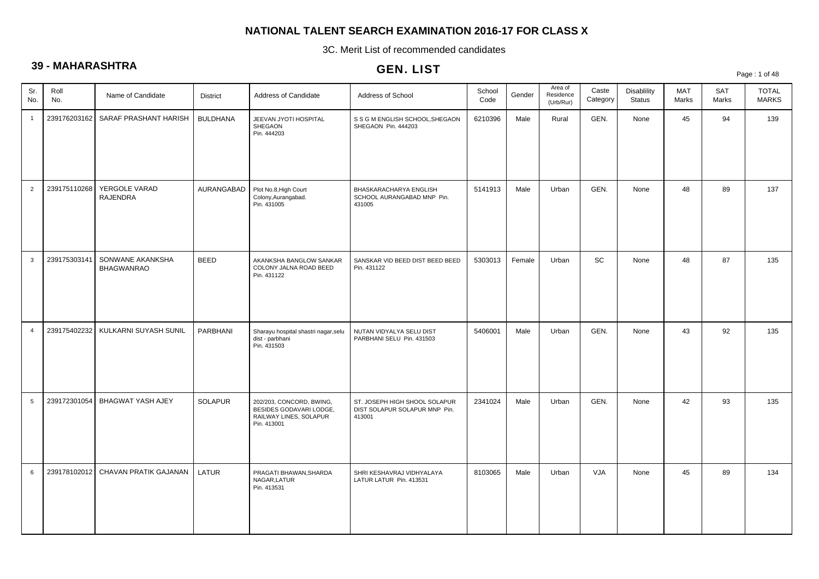3C. Merit List of recommended candidates

# **39 - MAHARASHTRA**

|                 |              |                                       |                 |                                                                                              | ULIV. LIJ I                                                              |                |        |                                   |                   |                              |                     |                     | Page: 1 of 48                |
|-----------------|--------------|---------------------------------------|-----------------|----------------------------------------------------------------------------------------------|--------------------------------------------------------------------------|----------------|--------|-----------------------------------|-------------------|------------------------------|---------------------|---------------------|------------------------------|
| Sr.<br>No.      | Roll<br>No.  | Name of Candidate                     | <b>District</b> | Address of Candidate                                                                         | Address of School                                                        | School<br>Code | Gender | Area of<br>Residence<br>(Urb/Rur) | Caste<br>Category | Disablility<br><b>Status</b> | <b>MAT</b><br>Marks | <b>SAT</b><br>Marks | <b>TOTAL</b><br><b>MARKS</b> |
| $\mathbf{1}$    | 239176203162 | SARAF PRASHANT HARISH                 | <b>BULDHANA</b> | JEEVAN JYOTI HOSPITAL<br>SHEGAON<br>Pin. 444203                                              | S S G M ENGLISH SCHOOL, SHEGAON<br>SHEGAON Pin. 444203                   | 6210396        | Male   | Rural                             | GEN.              | None                         | 45                  | 94                  | 139                          |
| $\overline{2}$  | 239175110268 | YERGOLE VARAD<br><b>RAJENDRA</b>      | AURANGABAD      | Plot No.8, High Court<br>Colony, Aurangabad.<br>Pin. 431005                                  | BHASKARACHARYA ENGLISH<br>SCHOOL AURANGABAD MNP Pin.<br>431005           | 5141913        | Male   | Urban                             | GEN.              | None                         | 48                  | 89                  | 137                          |
| $\mathbf{3}$    | 239175303141 | SONWANE AKANKSHA<br><b>BHAGWANRAO</b> | <b>BEED</b>     | AKANKSHA BANGLOW SANKAR<br>COLONY JALNA ROAD BEED<br>Pin. 431122                             | SANSKAR VID BEED DIST BEED BEED<br>Pin. 431122                           | 5303013        | Female | Urban                             | SC                | None                         | 48                  | 87                  | 135                          |
| $\overline{4}$  | 239175402232 | KULKARNI SUYASH SUNIL                 | <b>PARBHANI</b> | Sharayu hospital shastri nagar, selu<br>dist - parbhani<br>Pin. 431503                       | NUTAN VIDYALYA SELU DIST<br>PARBHANI SELU Pin. 431503                    | 5406001        | Male   | Urban                             | GEN.              | None                         | 43                  | 92                  | 135                          |
| $5\overline{5}$ | 239172301054 | BHAGWAT YASH AJEY                     | <b>SOLAPUR</b>  | 202/203, CONCORD, BWING,<br>BESIDES GODAVARI LODGE,<br>RAILWAY LINES, SOLAPUR<br>Pin. 413001 | ST. JOSEPH HIGH SHOOL SOLAPUR<br>DIST SOLAPUR SOLAPUR MNP Pin.<br>413001 | 2341024        | Male   | Urban                             | GEN.              | None                         | 42                  | 93                  | 135                          |
| $6\phantom{.0}$ |              | 239178102012 CHAVAN PRATIK GAJANAN    | LATUR           | PRAGATI BHAWAN, SHARDA<br>NAGAR, LATUR<br>Pin. 413531                                        | SHRI KESHAVRAJ VIDHYALAYA<br>LATUR LATUR Pin. 413531                     | 8103065        | Male   | Urban                             | VJA               | None                         | 45                  | 89                  | 134                          |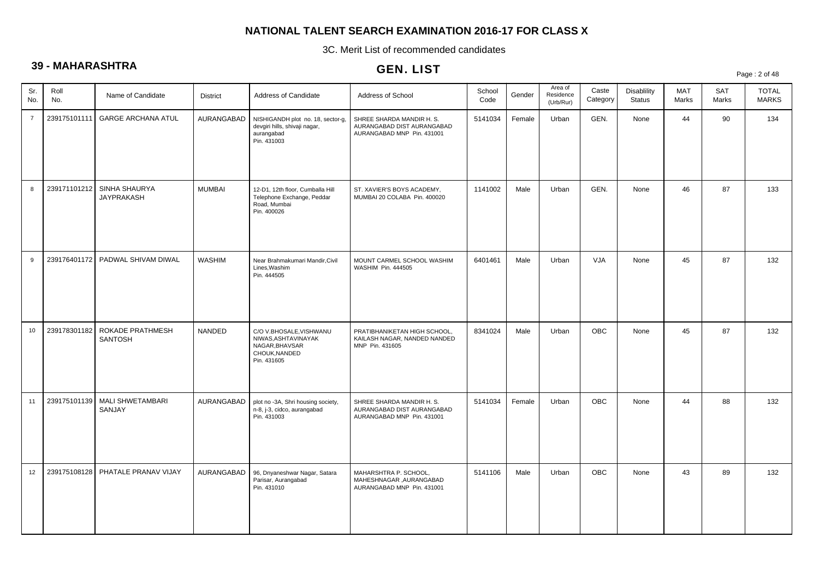3C. Merit List of recommended candidates

# **39 - MAHARASHTRA**

|                | .            |                                     |                 |                                                                                                 | ULIV. LIJ I                                                                           |                |        |                                   |                   |                              |                     |                     | Page: 2 of 48                |
|----------------|--------------|-------------------------------------|-----------------|-------------------------------------------------------------------------------------------------|---------------------------------------------------------------------------------------|----------------|--------|-----------------------------------|-------------------|------------------------------|---------------------|---------------------|------------------------------|
| Sr.<br>No.     | Roll<br>No.  | Name of Candidate                   | <b>District</b> | Address of Candidate                                                                            | Address of School                                                                     | School<br>Code | Gender | Area of<br>Residence<br>(Urb/Rur) | Caste<br>Category | Disablility<br><b>Status</b> | <b>MAT</b><br>Marks | <b>SAT</b><br>Marks | <b>TOTAL</b><br><b>MARKS</b> |
| $\overline{7}$ | 239175101111 | <b>GARGE ARCHANA ATUL</b>           | AURANGABAD      | NISHIGANDH plot no. 18, sector-g,<br>devgiri hills, shivaji nagar,<br>aurangabad<br>Pin. 431003 | SHREE SHARDA MANDIR H. S.<br>AURANGABAD DIST AURANGABAD<br>AURANGABAD MNP Pin. 431001 | 5141034        | Female | Urban                             | GEN.              | None                         | 44                  | 90                  | 134                          |
| 8              | 239171101212 | SINHA SHAURYA<br><b>JAYPRAKASH</b>  | <b>MUMBAI</b>   | 12-D1, 12th floor, Cumballa Hill<br>Telephone Exchange, Peddar<br>Road, Mumbai<br>Pin. 400026   | ST. XAVIER'S BOYS ACADEMY,<br>MUMBAI 20 COLABA Pin. 400020                            | 1141002        | Male   | Urban                             | GEN.              | None                         | 46                  | 87                  | 133                          |
| 9              |              | 239176401172   PADWAL SHIVAM DIWAL  | <b>WASHIM</b>   | Near Brahmakumari Mandir, Civil<br>Lines, Washim<br>Pin. 444505                                 | MOUNT CARMEL SCHOOL WASHIM<br>WASHIM Pin. 444505                                      | 6401461        | Male   | Urban                             | <b>VJA</b>        | None                         | 45                  | 87                  | 132                          |
| 10             | 239178301182 | ROKADE PRATHMESH<br><b>SANTOSH</b>  | <b>NANDED</b>   | C/O V.BHOSALE, VISHWANU<br>NIWAS.ASHTAVINAYAK<br>NAGAR, BHAVSAR<br>CHOUK, NANDED<br>Pin. 431605 | PRATIBHANIKETAN HIGH SCHOOL,<br>KAILASH NAGAR, NANDED NANDED<br>MNP Pin. 431605       | 8341024        | Male   | Urban                             | <b>OBC</b>        | None                         | 45                  | 87                  | 132                          |
| 11             | 239175101139 | <b>MALI SHWETAMBARI</b><br>SANJAY   | AURANGABAD      | plot no -3A, Shri housing society,<br>n-8, j-3, cidco, aurangabad<br>Pin. 431003                | SHREE SHARDA MANDIR H. S.<br>AURANGABAD DIST AURANGABAD<br>AURANGABAD MNP Pin. 431001 | 5141034        | Female | Urban                             | <b>OBC</b>        | None                         | 44                  | 88                  | 132                          |
| 12             |              | 239175108128   PHATALE PRANAV VIJAY | AURANGABAD      | 96, Dnyaneshwar Nagar, Satara<br>Parisar, Aurangabad<br>Pin. 431010                             | MAHARSHTRA P. SCHOOL,<br>MAHESHNAGAR , AURANGABAD<br>AURANGABAD MNP Pin. 431001       | 5141106        | Male   | Urban                             | <b>OBC</b>        | None                         | 43                  | 89                  | 132                          |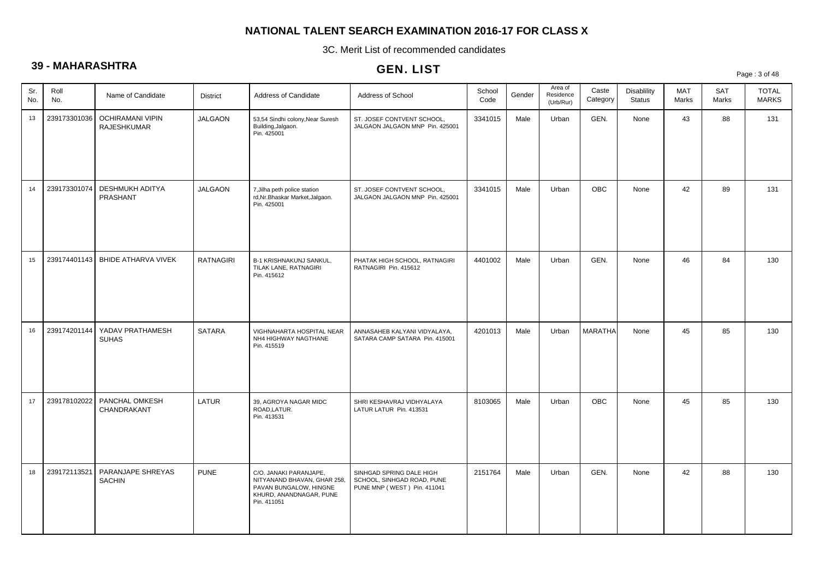3C. Merit List of recommended candidates

# **39 - MAHARASHTRA**

|            |              |                                        |                  |                                                                                                                           | ULIV. LIJ I                                                                           |                |        |                                   |                   |                                     |              |                     | Page: 3 of 48                |
|------------|--------------|----------------------------------------|------------------|---------------------------------------------------------------------------------------------------------------------------|---------------------------------------------------------------------------------------|----------------|--------|-----------------------------------|-------------------|-------------------------------------|--------------|---------------------|------------------------------|
| Sr.<br>No. | Roll<br>No.  | Name of Candidate                      | <b>District</b>  | Address of Candidate                                                                                                      | Address of School                                                                     | School<br>Code | Gender | Area of<br>Residence<br>(Urb/Rur) | Caste<br>Category | <b>Disablility</b><br><b>Status</b> | MAT<br>Marks | <b>SAT</b><br>Marks | <b>TOTAL</b><br><b>MARKS</b> |
| 13         | 239173301036 | <b>OCHIRAMANI VIPIN</b><br>RAJESHKUMAR | <b>JALGAON</b>   | 53,54 Sindhi colony, Near Suresh<br>Building, Jalgaon.<br>Pin. 425001                                                     | ST. JOSEF CONTVENT SCHOOL,<br>JALGAON JALGAON MNP Pin. 425001                         | 3341015        | Male   | Urban                             | GEN.              | None                                | 43           | 88                  | 131                          |
| 14         | 239173301074 | DESHMUKH ADITYA<br>PRASHANT            | JALGAON          | 7, Jilha peth police station<br>rd, Nr. Bhaskar Market, Jalgaon.<br>Pin. 425001                                           | ST. JOSEF CONTVENT SCHOOL,<br>JALGAON JALGAON MNP Pin. 425001                         | 3341015        | Male   | Urban                             | OBC               | None                                | 42           | 89                  | 131                          |
| 15         |              | 239174401143   BHIDE ATHARVA VIVEK     | <b>RATNAGIRI</b> | B-1 KRISHNAKUNJ SANKUL,<br>TILAK LANE, RATNAGIRI<br>Pin. 415612                                                           | PHATAK HIGH SCHOOL, RATNAGIRI<br>RATNAGIRI Pin. 415612                                | 4401002        | Male   | Urban                             | GEN.              | None                                | 46           | 84                  | 130                          |
| 16         | 239174201144 | YADAV PRATHAMESH<br><b>SUHAS</b>       | <b>SATARA</b>    | VIGHNAHARTA HOSPITAL NEAR<br>NH4 HIGHWAY NAGTHANE<br>Pin. 415519                                                          | ANNASAHEB KALYANI VIDYALAYA,<br>SATARA CAMP SATARA Pin. 415001                        | 4201013        | Male   | Urban                             | <b>MARATHA</b>    | None                                | 45           | 85                  | 130                          |
| 17         | 239178102022 | PANCHAL OMKESH<br>CHANDRAKANT          | LATUR            | 39, AGROYA NAGAR MIDC<br>ROAD, LATUR.<br>Pin. 413531                                                                      | SHRI KESHAVRAJ VIDHYALAYA<br>LATUR LATUR Pin. 413531                                  | 8103065        | Male   | Urban                             | <b>OBC</b>        | None                                | 45           | 85                  | 130                          |
| 18         | 239172113521 | PARANJAPE SHREYAS<br><b>SACHIN</b>     | <b>PUNE</b>      | C/O. JANAKI PARANJAPE,<br>NITYANAND BHAVAN, GHAR 258,<br>PAVAN BUNGALOW, HINGNE<br>KHURD, ANANDNAGAR, PUNE<br>Pin. 411051 | SINHGAD SPRING DALE HIGH<br>SCHOOL, SINHGAD ROAD, PUNE<br>PUNE MNP (WEST) Pin. 411041 | 2151764        | Male   | Urban                             | GEN.              | None                                | 42           | 88                  | 130                          |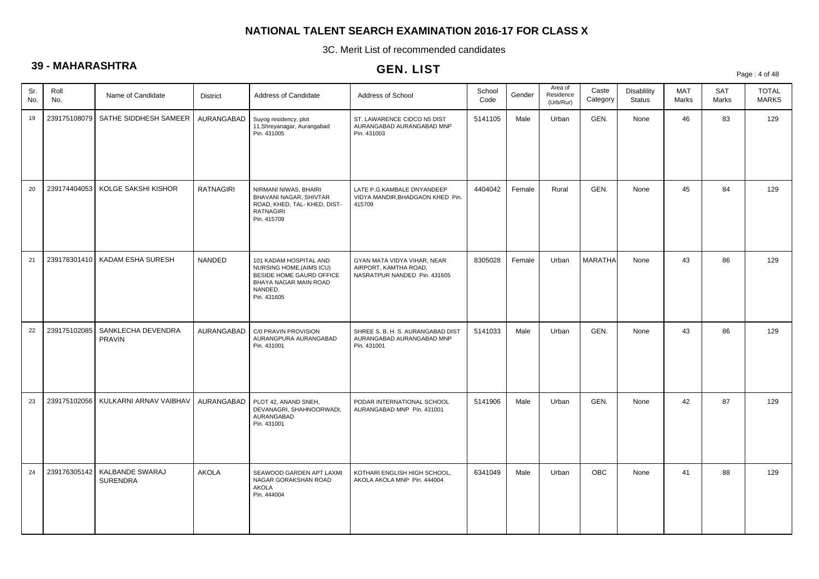3C. Merit List of recommended candidates

# **39 - MAHARASHTRA**

|            |              |                                    |                  |                                                                                                                                   | ULIV. LIJ I                                                                          |                |        |                                   |                   |                              |                     |                     | Page: 4 of 48                |
|------------|--------------|------------------------------------|------------------|-----------------------------------------------------------------------------------------------------------------------------------|--------------------------------------------------------------------------------------|----------------|--------|-----------------------------------|-------------------|------------------------------|---------------------|---------------------|------------------------------|
| Sr.<br>No. | Roll<br>No.  | Name of Candidate                  | <b>District</b>  | Address of Candidate                                                                                                              | Address of School                                                                    | School<br>Code | Gender | Area of<br>Residence<br>(Urb/Rur) | Caste<br>Category | Disablility<br><b>Status</b> | <b>MAT</b><br>Marks | <b>SAT</b><br>Marks | <b>TOTAL</b><br><b>MARKS</b> |
| 19         | 239175108079 | SATHE SIDDHESH SAMEER              | AURANGABAD       | Suyog residency, plot<br>11, Shreyanagar, Aurangabad<br>Pin. 431005                                                               | ST. LAWARENCE CIDCO N5 DIST<br>AURANGABAD AURANGABAD MNP<br>Pin. 431003              | 5141105        | Male   | Urban                             | GEN.              | None                         | 46                  | 83                  | 129                          |
| 20         | 239174404053 | KOLGE SAKSHI KISHOR                | <b>RATNAGIRI</b> | NIRMANI NIWAS, BHAIRI<br>BHAVANI NAGAR, SHIVTAR<br>ROAD, KHED, TAL-KHED, DIST-<br><b>RATNAGIRI</b><br>Pin. 415709                 | LATE P.G.KAMBALE DNYANDEEP<br>VIDYA MANDIR, BHADGAON KHED Pin.<br>415709             | 4404042        | Female | Rural                             | GEN.              | None                         | 45                  | 84                  | 129                          |
| 21         |              | 239178301410   KADAM ESHA SURESH   | <b>NANDED</b>    | 101 KADAM HOSPITAL AND<br>NURSING HOME, (AIMS ICU)<br>BESIDE HOME GAURD OFFICE<br>BHAYA NAGAR MAIN ROAD<br>NANDED.<br>Pin. 431605 | GYAN MATA VIDYA VIHAR, NEAR<br>AIRPORT, KAMTHA ROAD.<br>NASRATPUR NANDED Pin. 431605 | 8305028        | Female | Urban                             | <b>MARATHA</b>    | None                         | 43                  | 86                  | 129                          |
| 22         | 239175102085 | SANKLECHA DEVENDRA<br>PRAVIN       | AURANGABAD       | C/0 PRAVIN PROVISION<br>AURANGPURA AURANGABAD<br>Pin. 431001                                                                      | SHREE S. B. H. S. AURANGABAD DIST<br>AURANGABAD AURANGABAD MNP<br>Pin. 431001        | 5141033        | Male   | Urban                             | GEN.              | None                         | 43                  | 86                  | 129                          |
| 23         | 239175102056 | KULKARNI ARNAV VAIBHAV             | AURANGABAD       | PLOT 42, ANAND SNEH,<br>DEVANAGRI, SHAHNOORWADI,<br>AURANGABAD<br>Pin. 431001                                                     | PODAR INTERNATIONAL SCHOOL<br>AURANGABAD MNP Pin. 431001                             | 5141906        | Male   | Urban                             | GEN.              | None                         | 42                  | 87                  | 129                          |
| 24         | 239176305142 | KALBANDE SWARAJ<br><b>SURENDRA</b> | <b>AKOLA</b>     | SEAWOOD GARDEN APT LAXMI<br>NAGAR GORAKSHAN ROAD<br>AKOLA<br>Pin. 444004                                                          | KOTHARI ENGLISH HIGH SCHOOL,<br>AKOLA AKOLA MNP Pin. 444004                          | 6341049        | Male   | Urban                             | <b>OBC</b>        | None                         | 41                  | 88                  | 129                          |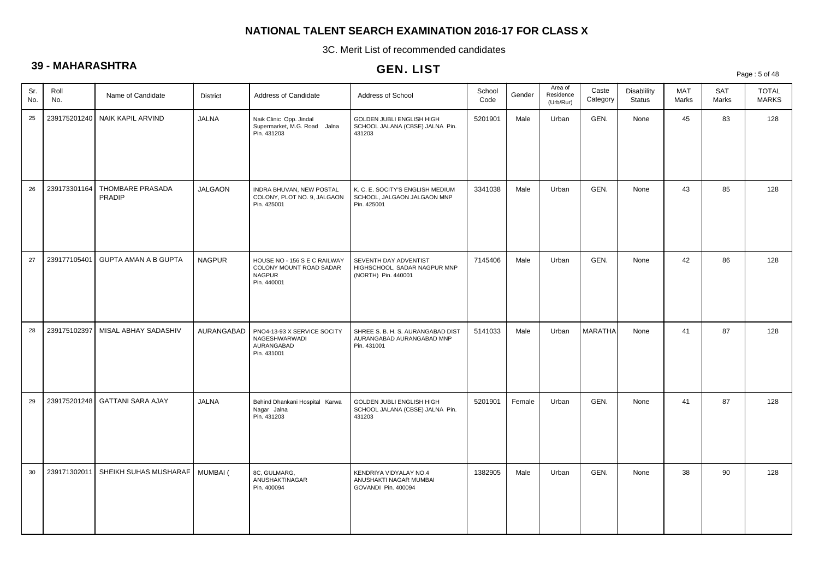3C. Merit List of recommended candidates

# **39 - MAHARASHTRA**

# GEN. LIST

Page : 5 of 48

| Sr.<br>No. | Roll<br>No.  | Name of Candidate                | <b>District</b> | Address of Candidate                                                                    | Address of School                                                              | School<br>Code | Gender | Area of<br>Residence<br>(Urb/Rur) | Caste<br>Category | Disablility<br><b>Status</b> | MAT<br>Marks | SAT<br>Marks | <b>TOTAL</b><br><b>MARKS</b> |
|------------|--------------|----------------------------------|-----------------|-----------------------------------------------------------------------------------------|--------------------------------------------------------------------------------|----------------|--------|-----------------------------------|-------------------|------------------------------|--------------|--------------|------------------------------|
| 25         |              | 239175201240   NAIK KAPIL ARVIND | <b>JALNA</b>    | Naik Clinic Opp. Jindal<br>Supermarket, M.G. Road Jalna<br>Pin. 431203                  | GOLDEN JUBLI ENGLISH HIGH<br>SCHOOL JALANA (CBSE) JALNA Pin.<br>431203         | 5201901        | Male   | Urban                             | GEN.              | None                         | 45           | 83           | 128                          |
| 26         | 239173301164 | THOMBARE PRASADA<br>PRADIP       | <b>JALGAON</b>  | INDRA BHUVAN, NEW POSTAL<br>COLONY, PLOT NO. 9, JALGAON<br>Pin. 425001                  | K. C. E. SOCITY'S ENGLISH MEDIUM<br>SCHOOL, JALGAON JALGAON MNP<br>Pin. 425001 | 3341038        | Male   | Urban                             | GEN.              | None                         | 43           | 85           | 128                          |
| 27         | 239177105401 | <b>GUPTA AMAN A B GUPTA</b>      | <b>NAGPUR</b>   | HOUSE NO - 156 S E C RAILWAY<br>COLONY MOUNT ROAD SADAR<br><b>NAGPUR</b><br>Pin. 440001 | SEVENTH DAY ADVENTIST<br>HIGHSCHOOL, SADAR NAGPUR MNP<br>(NORTH) Pin. 440001   | 7145406        | Male   | Urban                             | GEN.              | None                         | 42           | 86           | 128                          |
| 28         | 239175102397 | MISAL ABHAY SADASHIV             | AURANGABAD      | PNO4-13-93 X SERVICE SOCITY<br><b>NAGESHWARWADI</b><br>AURANGABAD<br>Pin. 431001        | SHREE S. B. H. S. AURANGABAD DIST<br>AURANGABAD AURANGABAD MNP<br>Pin. 431001  | 5141033        | Male   | Urban                             | <b>MARATHA</b>    | None                         | 41           | 87           | 128                          |
| 29         | 239175201248 | <b>GATTANI SARA AJAY</b>         | <b>JALNA</b>    | Behind Dhankani Hospital Karwa<br>Nagar Jalna<br>Pin. 431203                            | GOLDEN JUBLI ENGLISH HIGH<br>SCHOOL JALANA (CBSE) JALNA Pin.<br>431203         | 5201901        | Female | Urban                             | GEN.              | None                         | 41           | 87           | 128                          |
| 30         | 239171302011 | SHEIKH SUHAS MUSHARAF            | <b>MUMBAI</b> ( | 8C, GULMARG,<br>ANUSHAKTINAGAR<br>Pin. 400094                                           | KENDRIYA VIDYALAY NO.4<br>ANUSHAKTI NAGAR MUMBAI<br>GOVANDI Pin. 400094        | 1382905        | Male   | Urban                             | GEN.              | None                         | 38           | 90           | 128                          |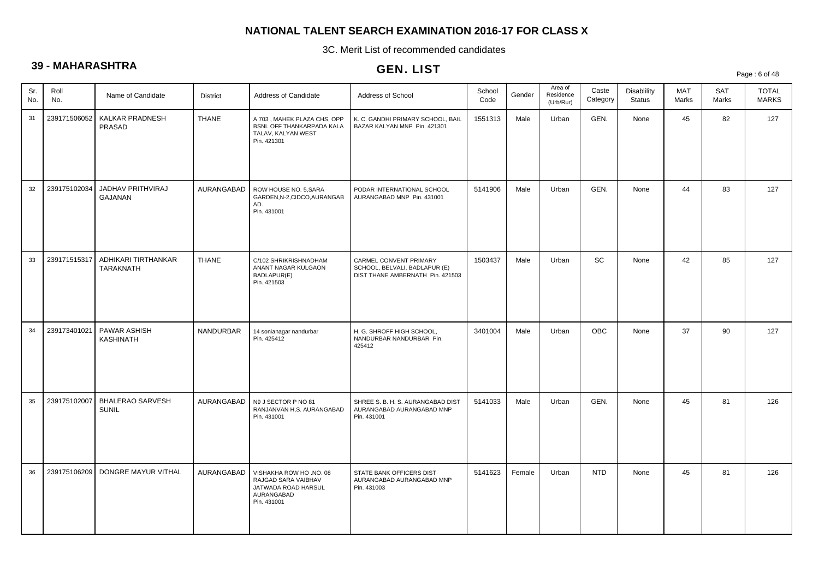3C. Merit List of recommended candidates

# **39 - MAHARASHTRA**

## GEN. LIST

Page : 6 of 48

| Sr.<br>No. | Roll<br>No.  | Name of Candidate                | <b>District</b> | Address of Candidate                                                                               | Address of School                                                                           | School<br>Code | Gender | Area of<br>Residence<br>(Urb/Rur) | Caste<br>Category | <b>Disablility</b><br><b>Status</b> | <b>MAT</b><br>Marks | <b>SAT</b><br>Marks | <b>TOTAL</b><br><b>MARKS</b> |
|------------|--------------|----------------------------------|-----------------|----------------------------------------------------------------------------------------------------|---------------------------------------------------------------------------------------------|----------------|--------|-----------------------------------|-------------------|-------------------------------------|---------------------|---------------------|------------------------------|
| 31         | 239171506052 | KALKAR PRADNESH<br>PRASAD        | <b>THANE</b>    | A 703, MAHEK PLAZA CHS, OPP<br>BSNL OFF THANKARPADA KALA<br>TALAV, KALYAN WEST<br>Pin. 421301      | K. C. GANDHI PRIMARY SCHOOL, BAIL<br>BAZAR KALYAN MNP Pin. 421301                           | 1551313        | Male   | Urban                             | GEN.              | None                                | 45                  | 82                  | 127                          |
| 32         | 239175102034 | JADHAV PRITHVIRAJ<br>GAJANAN     | AURANGABAD      | ROW HOUSE NO. 5.SARA<br>GARDEN, N-2, CIDCO, AURANGAB<br>AD.<br>Pin. 431001                         | PODAR INTERNATIONAL SCHOOL<br>AURANGABAD MNP Pin. 431001                                    | 5141906        | Male   | Urban                             | GEN.              | None                                | 44                  | 83                  | 127                          |
| 33         | 239171515317 | ADHIKARI TIRTHANKAR<br>TARAKNATH | <b>THANE</b>    | C/102 SHRIKRISHNADHAM<br>ANANT NAGAR KULGAON<br>BADLAPUR(E)<br>Pin. 421503                         | CARMEL CONVENT PRIMARY<br>SCHOOL, BELVALI, BADLAPUR (E)<br>DIST THANE AMBERNATH Pin. 421503 | 1503437        | Male   | Urban                             | SC                | None                                | 42                  | 85                  | 127                          |
| 34         | 239173401021 | PAWAR ASHISH<br><b>KASHINATH</b> | NANDURBAR       | 14 sonianagar nandurbar<br>Pin. 425412                                                             | H. G. SHROFF HIGH SCHOOL,<br>NANDURBAR NANDURBAR Pin.<br>425412                             | 3401004        | Male   | Urban                             | <b>OBC</b>        | None                                | 37                  | 90                  | 127                          |
| 35         | 239175102007 | <b>BHALERAO SARVESH</b><br>SUNIL | AURANGABAD      | N9 J SECTOR P NO 81<br>RANJANVAN H,S. AURANGABAD<br>Pin. 431001                                    | SHREE S. B. H. S. AURANGABAD DIST<br>AURANGABAD AURANGABAD MNP<br>Pin. 431001               | 5141033        | Male   | Urban                             | GEN.              | None                                | 45                  | 81                  | 126                          |
| 36         | 239175106209 | DONGRE MAYUR VITHAL              | AURANGABAD      | VISHAKHA ROW HO .NO. 08<br>RAJGAD SARA VAIBHAV<br>JATWADA ROAD HARSUL<br>AURANGABAD<br>Pin. 431001 | STATE BANK OFFICERS DIST<br>AURANGABAD AURANGABAD MNP<br>Pin. 431003                        | 5141623        | Female | Urban                             | <b>NTD</b>        | None                                | 45                  | 81                  | 126                          |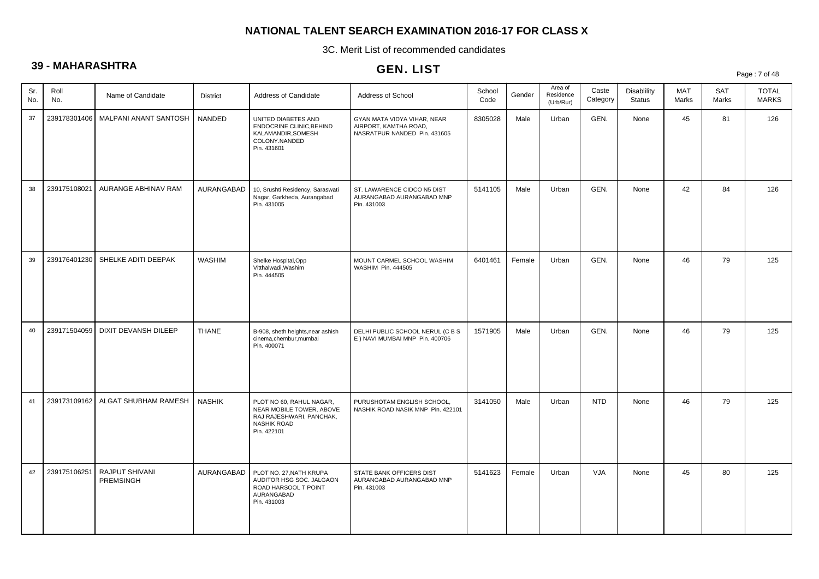3C. Merit List of recommended candidates

# **39 - MAHARASHTRA**

|            |              |                                    |                 |                                                                                                                       | <b>ULIV. LIJI</b>                                                                    |                |        |                                   |                   |                                     |              |              | Page: 7 of 48                |
|------------|--------------|------------------------------------|-----------------|-----------------------------------------------------------------------------------------------------------------------|--------------------------------------------------------------------------------------|----------------|--------|-----------------------------------|-------------------|-------------------------------------|--------------|--------------|------------------------------|
| Sr.<br>No. | Roll<br>No.  | Name of Candidate                  | <b>District</b> | Address of Candidate                                                                                                  | Address of School                                                                    | School<br>Code | Gender | Area of<br>Residence<br>(Urb/Rur) | Caste<br>Category | <b>Disablility</b><br><b>Status</b> | MAT<br>Marks | SAT<br>Marks | <b>TOTAL</b><br><b>MARKS</b> |
| 37         | 239178301406 | MALPANI ANANT SANTOSH              | NANDED          | UNITED DIABETES AND<br>ENDOCRINE CLINIC, BEHIND<br>KALAMANDIR, SOMESH<br>COLONY.NANDED<br>Pin. 431601                 | GYAN MATA VIDYA VIHAR, NEAR<br>AIRPORT, KAMTHA ROAD,<br>NASRATPUR NANDED Pin. 431605 | 8305028        | Male   | Urban                             | GEN.              | None                                | 45           | 81           | 126                          |
| 38         | 239175108021 | AURANGE ABHINAV RAM                | AURANGABAD      | 10, Srushti Residency, Saraswati<br>Nagar, Garkheda, Aurangabad<br>Pin. 431005                                        | ST. LAWARENCE CIDCO N5 DIST<br>AURANGABAD AURANGABAD MNP<br>Pin. 431003              | 5141105        | Male   | Urban                             | GEN.              | None                                | 42           | 84           | 126                          |
| 39         | 239176401230 | SHELKE ADITI DEEPAK                | <b>WASHIM</b>   | Shelke Hospital, Opp<br>Vitthalwadi, Washim<br>Pin. 444505                                                            | MOUNT CARMEL SCHOOL WASHIM<br>WASHIM Pin. 444505                                     | 6401461        | Female | Urban                             | GEN.              | None                                | 46           | 79           | 125                          |
| 40         | 239171504059 | DIXIT DEVANSH DILEEP               | <b>THANE</b>    | B-908, sheth heights, near ashish<br>cinema,chembur,mumbai<br>Pin. 400071                                             | DELHI PUBLIC SCHOOL NERUL (C B S<br>E ) NAVI MUMBAI MNP Pin. 400706                  | 1571905        | Male   | Urban                             | GEN.              | None                                | 46           | 79           | 125                          |
| 41         | 239173109162 | ALGAT SHUBHAM RAMESH               | <b>NASHIK</b>   | PLOT NO 60, RAHUL NAGAR,<br>NEAR MOBILE TOWER, ABOVE<br>RAJ RAJESHWARI, PANCHAK,<br><b>NASHIK ROAD</b><br>Pin. 422101 | PURUSHOTAM ENGLISH SCHOOL,<br>NASHIK ROAD NASIK MNP Pin. 422101                      | 3141050        | Male   | Urban                             | <b>NTD</b>        | None                                | 46           | 79           | 125                          |
| 42         | 239175106251 | RAJPUT SHIVANI<br><b>PREMSINGH</b> | AURANGABAD      | PLOT NO. 27, NATH KRUPA<br>AUDITOR HSG SOC. JALGAON<br>ROAD HARSOOL T POINT<br>AURANGABAD<br>Pin. 431003              | STATE BANK OFFICERS DIST<br>AURANGABAD AURANGABAD MNP<br>Pin. 431003                 | 5141623        | Female | Urban                             | VJA               | None                                | 45           | 80           | 125                          |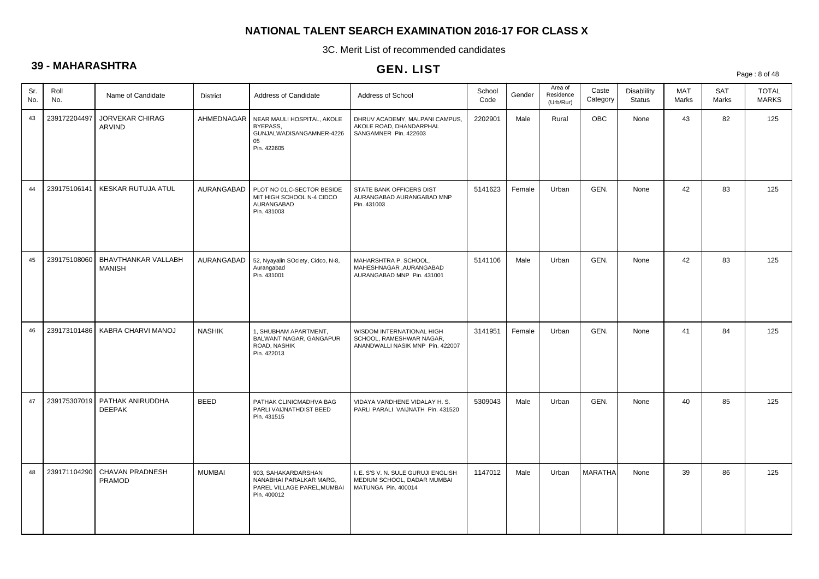3C. Merit List of recommended candidates

# **39 - MAHARASHTRA**

# GEN. LIST

Page : 8 of 48

| Sr.<br>No. | Roll<br>No.  | Name of Candidate                                | <b>District</b> | Address of Candidate                                                                         | Address of School                                                                         | School<br>Code | Gender | Area of<br>Residence<br>(Urb/Rur) | Caste<br>Category | Disablility<br><b>Status</b> | <b>MAT</b><br>Marks | <b>SAT</b><br>Marks | <b>TOTAL</b><br><b>MARKS</b> |
|------------|--------------|--------------------------------------------------|-----------------|----------------------------------------------------------------------------------------------|-------------------------------------------------------------------------------------------|----------------|--------|-----------------------------------|-------------------|------------------------------|---------------------|---------------------|------------------------------|
| 43         | 239172204497 | <b>JORVEKAR CHIRAG</b><br>ARVIND                 | AHMEDNAGAR      | NEAR MAULI HOSPITAL, AKOLE<br>BYEPASS,<br>GUNJALWADISANGAMNER-4226<br>05<br>Pin. 422605      | DHRUV ACADEMY, MALPANI CAMPUS,<br>AKOLE ROAD, DHANDARPHAL<br>SANGAMNER Pin. 422603        | 2202901        | Male   | Rural                             | OBC               | None                         | 43                  | 82                  | 125                          |
| 44         | 239175106141 | KESKAR RUTUJA ATUL                               | AURANGABAD      | PLOT NO 01,C-SECTOR BESIDE<br>MIT HIGH SCHOOL N-4 CIDCO<br>AURANGABAD<br>Pin. 431003         | STATE BANK OFFICERS DIST<br>AURANGABAD AURANGABAD MNP<br>Pin. 431003                      | 5141623        | Female | Urban                             | GEN.              | None                         | 42                  | 83                  | 125                          |
| 45         | 239175108060 | BHAVTHANKAR VALLABH<br><b>MANISH</b>             | AURANGABAD      | 52, Nyayalin SOciety, Cidco, N-8,<br>Aurangabad<br>Pin. 431001                               | MAHARSHTRA P. SCHOOL,<br>MAHESHNAGAR , AURANGABAD<br>AURANGABAD MNP Pin. 431001           | 5141106        | Male   | Urban                             | GEN.              | None                         | 42                  | 83                  | 125                          |
| 46         |              | 239173101486   KABRA CHARVI MANOJ                | <b>NASHIK</b>   | 1, SHUBHAM APARTMENT,<br>BALWANT NAGAR, GANGAPUR<br>ROAD, NASHIK<br>Pin. 422013              | WISDOM INTERNATIONAL HIGH<br>SCHOOL, RAMESHWAR NAGAR,<br>ANANDWALLI NASIK MNP Pin. 422007 | 3141951        | Female | Urban                             | GEN.              | None                         | 41                  | 84                  | 125                          |
| 47         |              | 239175307019   PATHAK ANIRUDDHA<br><b>DEEPAK</b> | <b>BEED</b>     | PATHAK CLINICMADHVA BAG<br>PARLI VAIJNATHDIST BEED<br>Pin. 431515                            | VIDAYA VARDHENE VIDALAY H. S.<br>PARLI PARALI VAIJNATH Pin. 431520                        | 5309043        | Male   | Urban                             | GEN.              | None                         | 40                  | 85                  | 125                          |
| 48         | 239171104290 | <b>CHAVAN PRADNESH</b><br><b>PRAMOD</b>          | <b>MUMBAI</b>   | 903, SAHAKARDARSHAN<br>NANABHAI PARALKAR MARG,<br>PAREL VILLAGE PAREL, MUMBAI<br>Pin. 400012 | I. E. S'S V. N. SULE GURUJI ENGLISH<br>MEDIUM SCHOOL, DADAR MUMBAI<br>MATUNGA Pin. 400014 | 1147012        | Male   | Urban                             | <b>MARATHA</b>    | None                         | 39                  | 86                  | 125                          |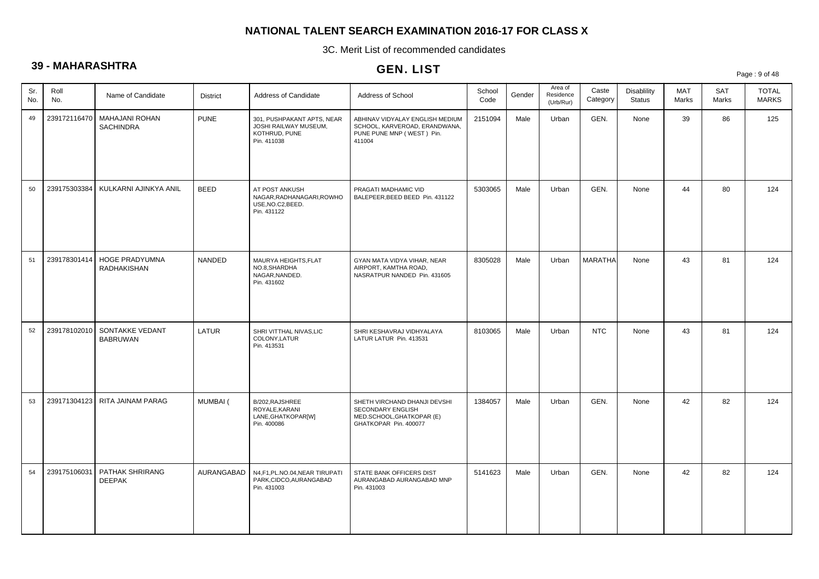3C. Merit List of recommended candidates

# **39 - MAHARASHTRA**

## GEN. LIST

Page : 9 of 48

| Sr.<br>No. | Roll<br>No.  | Name of Candidate                                 | District    | Address of Candidate                                                                | Address of School                                                                                       | School<br>Code | Gender | Area of<br>Residence<br>(Urb/Rur) | Caste<br>Category | Disablility<br><b>Status</b> | <b>MAT</b><br>Marks | <b>SAT</b><br>Marks | <b>TOTAL</b><br><b>MARKS</b> |
|------------|--------------|---------------------------------------------------|-------------|-------------------------------------------------------------------------------------|---------------------------------------------------------------------------------------------------------|----------------|--------|-----------------------------------|-------------------|------------------------------|---------------------|---------------------|------------------------------|
| 49         |              | 239172116470   MAHAJANI ROHAN<br><b>SACHINDRA</b> | <b>PUNE</b> | 301, PUSHPAKANT APTS, NEAR<br>JOSHI RAILWAY MUSEUM,<br>KOTHRUD, PUNE<br>Pin. 411038 | ABHINAV VIDYALAY ENGLISH MEDIUM<br>SCHOOL, KARVEROAD, ERANDWANA,<br>PUNE PUNE MNP (WEST) Pin.<br>411004 | 2151094        | Male   | Urban                             | GEN.              | None                         | 39                  | 86                  | 125                          |
| 50         | 239175303384 | KULKARNI AJINKYA ANIL                             | <b>BEED</b> | AT POST ANKUSH<br>NAGAR, RADHANAGARI, ROWHO<br>USE, NO.C2, BEED.<br>Pin. 431122     | PRAGATI MADHAMIC VID<br>BALEPEER, BEED BEED Pin. 431122                                                 | 5303065        | Male   | Urban                             | GEN.              | None                         | 44                  | 80                  | 124                          |
| 51         | 239178301414 | <b>HOGE PRADYUMNA</b><br>RADHAKISHAN              | NANDED      | MAURYA HEIGHTS, FLAT<br>NO.8.SHARDHA<br>NAGAR, NANDED.<br>Pin. 431602               | GYAN MATA VIDYA VIHAR, NEAR<br>AIRPORT, KAMTHA ROAD,<br>NASRATPUR NANDED Pin. 431605                    | 8305028        | Male   | Urban                             | <b>MARATHA</b>    | None                         | 43                  | 81                  | 124                          |
| 52         |              | 239178102010 SONTAKKE VEDANT<br><b>BABRUWAN</b>   | LATUR       | SHRI VITTHAL NIVAS, LIC<br>COLONY, LATUR<br>Pin. 413531                             | SHRI KESHAVRAJ VIDHYALAYA<br>LATUR LATUR Pin. 413531                                                    | 8103065        | Male   | Urban                             | <b>NTC</b>        | None                         | 43                  | 81                  | 124                          |
| 53         |              | 239171304123   RITA JAINAM PARAG                  | MUMBAI (    | B/202, RAJSHREE<br>ROYALE, KARANI<br>LANE, GHATKOPAR[W]<br>Pin. 400086              | SHETH VIRCHAND DHANJI DEVSHI<br>SECONDARY ENGLISH<br>MED.SCHOOL, GHATKOPAR (E)<br>GHATKOPAR Pin. 400077 | 1384057        | Male   | Urban                             | GEN.              | None                         | 42                  | 82                  | 124                          |
| 54         | 239175106031 | PATHAK SHRIRANG<br><b>DEEPAK</b>                  | AURANGABAD  | N4,F1,PL.NO.04,NEAR TIRUPATI<br>PARK,CIDCO,AURANGABAD<br>Pin. 431003                | STATE BANK OFFICERS DIST<br>AURANGABAD AURANGABAD MNP<br>Pin. 431003                                    | 5141623        | Male   | Urban                             | GEN.              | None                         | 42                  | 82                  | 124                          |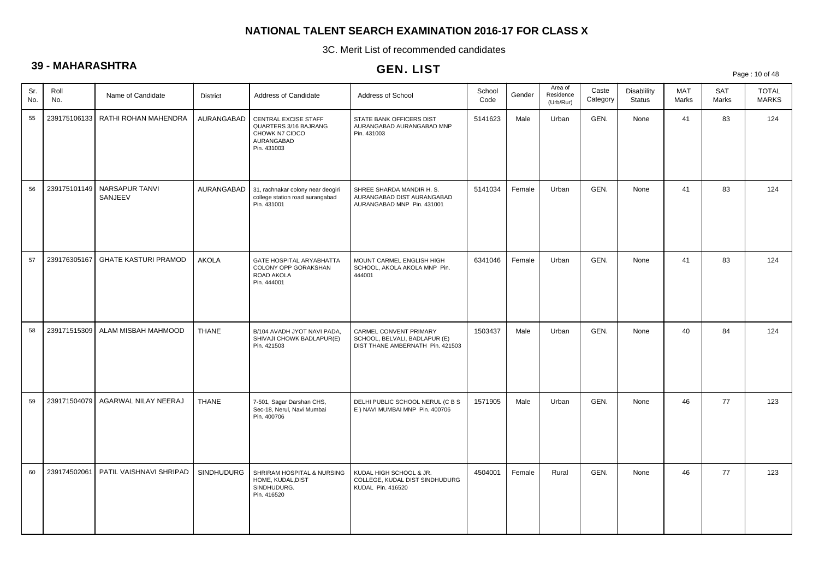3C. Merit List of recommended candidates

# **39 - MAHARASHTRA**

| vv         |              |                             |                   |                                                                                              | GEN. LIST                                                                                   |                |        |                                   |                   |                                     |                     |              | Page: 10 of 48               |
|------------|--------------|-----------------------------|-------------------|----------------------------------------------------------------------------------------------|---------------------------------------------------------------------------------------------|----------------|--------|-----------------------------------|-------------------|-------------------------------------|---------------------|--------------|------------------------------|
| Sr.<br>No. | Roll<br>No.  | Name of Candidate           | <b>District</b>   | Address of Candidate                                                                         | Address of School                                                                           | School<br>Code | Gender | Area of<br>Residence<br>(Urb/Rur) | Caste<br>Category | <b>Disablility</b><br><b>Status</b> | <b>MAT</b><br>Marks | SAT<br>Marks | <b>TOTAL</b><br><b>MARKS</b> |
| 55         | 239175106133 | RATHI ROHAN MAHENDRA        | AURANGABAD        | CENTRAL EXCISE STAFF<br>QUARTERS 3/16 BAJRANG<br>CHOWK N7 CIDCO<br>AURANGABAD<br>Pin. 431003 | STATE BANK OFFICERS DIST<br>AURANGABAD AURANGABAD MNP<br>Pin. 431003                        | 5141623        | Male   | Urban                             | GEN.              | None                                | 41                  | 83           | 124                          |
| 56         | 239175101149 | NARSAPUR TANVI<br>SANJEEV   | AURANGABAD        | 31, rachnakar colony near deogiri<br>college station road aurangabad<br>Pin. 431001          | SHREE SHARDA MANDIR H. S.<br>AURANGABAD DIST AURANGABAD<br>AURANGABAD MNP Pin. 431001       | 5141034        | Female | Urban                             | GEN.              | None                                | 41                  | 83           | 124                          |
| 57         | 239176305167 | <b>GHATE KASTURI PRAMOD</b> | <b>AKOLA</b>      | GATE HOSPITAL ARYABHATTA<br>COLONY OPP GORAKSHAN<br>ROAD AKOLA<br>Pin. 444001                | MOUNT CARMEL ENGLISH HIGH<br>SCHOOL, AKOLA AKOLA MNP Pin.<br>444001                         | 6341046        | Female | Urban                             | GEN.              | None                                | 41                  | 83           | 124                          |
| 58         | 239171515309 | ALAM MISBAH MAHMOOD         | <b>THANE</b>      | B/104 AVADH JYOT NAVI PADA,<br>SHIVAJI CHOWK BADLAPUR(E)<br>Pin. 421503                      | CARMEL CONVENT PRIMARY<br>SCHOOL, BELVALI, BADLAPUR (E)<br>DIST THANE AMBERNATH Pin. 421503 | 1503437        | Male   | Urban                             | GEN.              | None                                | 40                  | 84           | 124                          |
| 59         | 239171504079 | AGARWAL NILAY NEERAJ        | <b>THANE</b>      | 7-501, Sagar Darshan CHS,<br>Sec-18, Nerul, Navi Mumbai<br>Pin. 400706                       | DELHI PUBLIC SCHOOL NERUL (C B S<br>E ) NAVI MUMBAI MNP Pin. 400706                         | 1571905        | Male   | Urban                             | GEN.              | None                                | 46                  | 77           | 123                          |
| 60         | 239174502061 | PATIL VAISHNAVI SHRIPAD     | <b>SINDHUDURG</b> | SHRIRAM HOSPITAL & NURSING<br>HOME, KUDAL, DIST<br>SINDHUDURG.<br>Pin. 416520                | KUDAL HIGH SCHOOL & JR.<br>COLLEGE, KUDAL DIST SINDHUDURG<br>KUDAL Pin. 416520              | 4504001        | Female | Rural                             | GEN.              | None                                | 46                  | 77           | 123                          |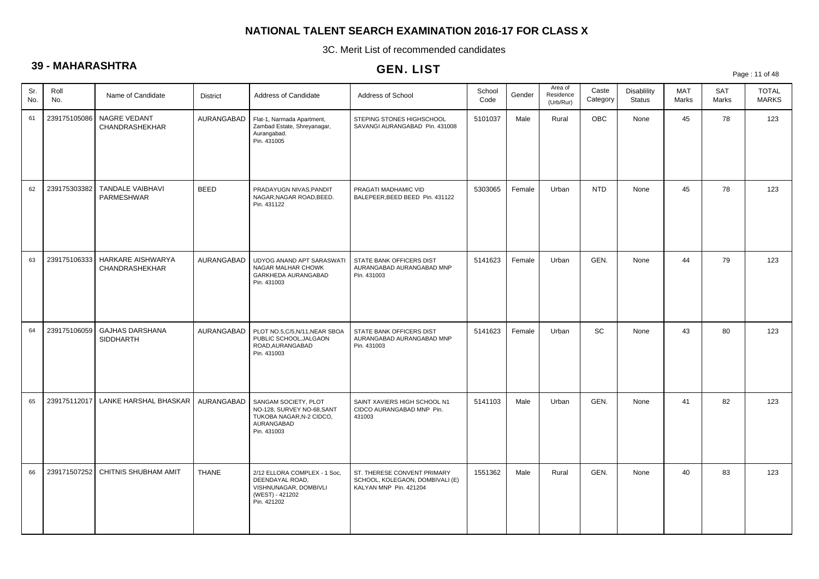3C. Merit List of recommended candidates

# **39 - MAHARASHTRA**

# GEN. LIST

Page : 11 of 48

| Roll<br>Sr.<br>No.<br>No. | Name of Candidate                     | <b>District</b> | Address of Candidate                                                                                        | Address of School                                                                        | School<br>Code | Gender | Area of<br>Residence<br>(Urb/Rur) | Caste<br>Category | Disablility<br><b>Status</b> | <b>MAT</b><br>Marks | <b>SAT</b><br>Marks | <b>TOTAL</b><br><b>MARKS</b> |
|---------------------------|---------------------------------------|-----------------|-------------------------------------------------------------------------------------------------------------|------------------------------------------------------------------------------------------|----------------|--------|-----------------------------------|-------------------|------------------------------|---------------------|---------------------|------------------------------|
| 239175105086<br>61        | NAGRE VEDANT<br>CHANDRASHEKHAR        | AURANGABAD      | Flat-1, Narmada Apartment,<br>Zambad Estate, Shreyanagar,<br>Aurangabad.<br>Pin. 431005                     | STEPING STONES HIGHSCHOOL<br>SAVANGI AURANGABAD Pin. 431008                              | 5101037        | Male   | Rural                             | OBC               | None                         | 45                  | 78                  | 123                          |
| 239175303382<br>62        | <b>TANDALE VAIBHAVI</b><br>PARMESHWAR | <b>BEED</b>     | PRADAYUGN NIVAS, PANDIT<br>NAGAR, NAGAR ROAD, BEED.<br>Pin. 431122                                          | PRAGATI MADHAMIC VID<br>BALEPEER, BEED BEED Pin. 431122                                  | 5303065        | Female | Urban                             | <b>NTD</b>        | None                         | 45                  | 78                  | 123                          |
| 239175106333<br>63        | HARKARE AISHWARYA<br>CHANDRASHEKHAR   | AURANGABAD      | UDYOG ANAND APT SARASWATI<br><b>NAGAR MALHAR CHOWK</b><br>GARKHEDA AURANGABAD<br>Pin. 431003                | STATE BANK OFFICERS DIST<br>AURANGABAD AURANGABAD MNP<br>Pin. 431003                     | 5141623        | Female | Urban                             | GEN.              | None                         | 44                  | 79                  | 123                          |
| 64<br>239175106059        | <b>GAJHAS DARSHANA</b><br>SIDDHARTH   | AURANGABAD      | PLOT NO.5, C/5, N/11, NEAR SBOA<br>PUBLIC SCHOOL, JALGAON<br>ROAD, AURANGABAD<br>Pin. 431003                | STATE BANK OFFICERS DIST<br>AURANGABAD AURANGABAD MNP<br>Pin. 431003                     | 5141623        | Female | Urban                             | SC                | None                         | 43                  | 80                  | 123                          |
| 239175112017<br>65        | LANKE HARSHAL BHASKAR                 | AURANGABAD      | SANGAM SOCIETY, PLOT<br>NO-128, SURVEY NO-68, SANT<br>TUKOBA NAGAR, N-2 CIDCO,<br>AURANGABAD<br>Pin. 431003 | SAINT XAVIERS HIGH SCHOOL N1<br>CIDCO AURANGABAD MNP Pin.<br>431003                      | 5141103        | Male   | Urban                             | GEN.              | None                         | 41                  | 82                  | 123                          |
| 66<br>239171507252        | CHITNIS SHUBHAM AMIT                  | <b>THANE</b>    | 2/12 ELLORA COMPLEX - 1 Soc,<br>DEENDAYAL ROAD,<br>VISHNUNAGAR, DOMBIVLI<br>(WEST) - 421202<br>Pin. 421202  | ST. THERESE CONVENT PRIMARY<br>SCHOOL, KOLEGAON, DOMBIVALI (E)<br>KALYAN MNP Pin. 421204 | 1551362        | Male   | Rural                             | GEN.              | None                         | 40                  | 83                  | 123                          |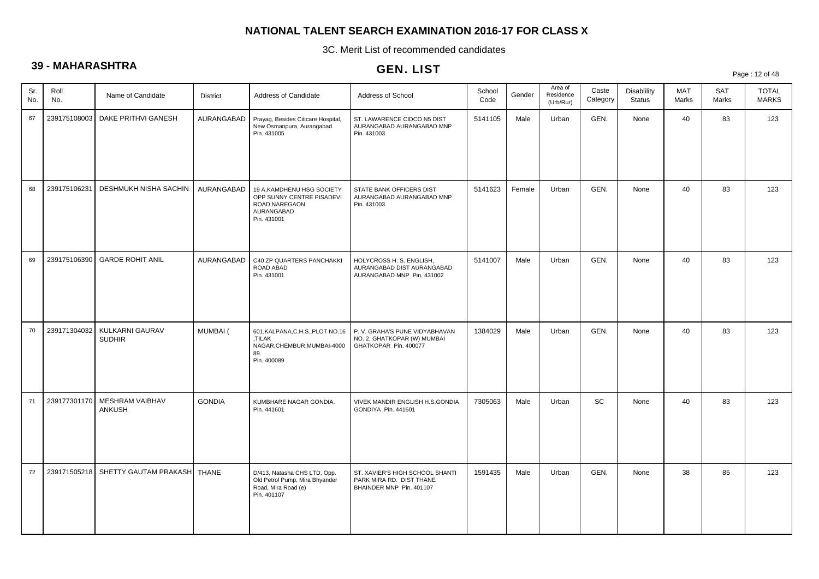3C. Merit List of recommended candidates

# **39 - MAHARASHTRA**

|            |              |                                  |                 |                                                                                                       | <b>ULIV. LIJI</b>                                                                       |                |        |                                   |                   |                              |                     |                     | Page: 12 of 48               |
|------------|--------------|----------------------------------|-----------------|-------------------------------------------------------------------------------------------------------|-----------------------------------------------------------------------------------------|----------------|--------|-----------------------------------|-------------------|------------------------------|---------------------|---------------------|------------------------------|
| Sr.<br>No. | Roll<br>No.  | Name of Candidate                | <b>District</b> | Address of Candidate                                                                                  | Address of School                                                                       | School<br>Code | Gender | Area of<br>Residence<br>(Urb/Rur) | Caste<br>Category | Disablility<br><b>Status</b> | <b>MAT</b><br>Marks | <b>SAT</b><br>Marks | <b>TOTAL</b><br><b>MARKS</b> |
| 67         | 239175108003 | DAKE PRITHVI GANESH              | AURANGABAD      | Prayag, Besides Citicare Hospital,<br>New Osmanpura, Aurangabad<br>Pin. 431005                        | ST. LAWARENCE CIDCO N5 DIST<br>AURANGABAD AURANGABAD MNP<br>Pin. 431003                 | 5141105        | Male   | Urban                             | GEN.              | None                         | 40                  | 83                  | 123                          |
| 68         | 239175106231 | DESHMUKH NISHA SACHIN            | AURANGABAD      | 19 A, KAMDHENU HSG SOCIETY<br>OPP SUNNY CENTRE PISADEVI<br>ROAD NAREGAON<br>AURANGABAD<br>Pin. 431001 | STATE BANK OFFICERS DIST<br>AURANGABAD AURANGABAD MNP<br>Pin. 431003                    | 5141623        | Female | Urban                             | GEN.              | None                         | 40                  | 83                  | 123                          |
| 69         | 239175106390 | <b>GARDE ROHIT ANIL</b>          | AURANGABAD      | C40 ZP QUARTERS PANCHAKKI<br>ROAD ABAD<br>Pin. 431001                                                 | HOLYCROSS H. S. ENGLISH,<br>AURANGABAD DIST AURANGABAD<br>AURANGABAD MNP Pin. 431002    | 5141007        | Male   | Urban                             | GEN.              | None                         | 40                  | 83                  | 123                          |
| 70         | 239171304032 | KULKARNI GAURAV<br><b>SUDHIR</b> | MUMBAI (        | 601, KALPANA, C.H.S., PLOT NO.16<br>.TILAK<br>NAGAR, CHEMBUR, MUMBAI-4000<br>89.<br>Pin. 400089       | P. V. GRAHA'S PUNE VIDYABHAVAN<br>NO. 2, GHATKOPAR (W) MUMBAI<br>GHATKOPAR Pin. 400077  | 1384029        | Male   | Urban                             | GEN.              | None                         | 40                  | 83                  | 123                          |
| 71         | 239177301170 | MESHRAM VAIBHAV<br><b>ANKUSH</b> | <b>GONDIA</b>   | KUMBHARE NAGAR GONDIA.<br>Pin. 441601                                                                 | VIVEK MANDIR ENGLISH H.S.GONDIA<br>GONDIYA Pin. 441601                                  | 7305063        | Male   | Urban                             | SC                | None                         | 40                  | 83                  | 123                          |
| 72         | 239171505218 | SHETTY GAUTAM PRAKASH   THANE    |                 | D/413, Natasha CHS LTD, Opp.<br>Old Petrol Pump, Mira Bhyander<br>Road, Mira Road (e)<br>Pin. 401107  | ST. XAVIER'S HIGH SCHOOL SHANTI<br>PARK MIRA RD. DIST THANE<br>BHAINDER MNP Pin. 401107 | 1591435        | Male   | Urban                             | GEN.              | None                         | 38                  | 85                  | 123                          |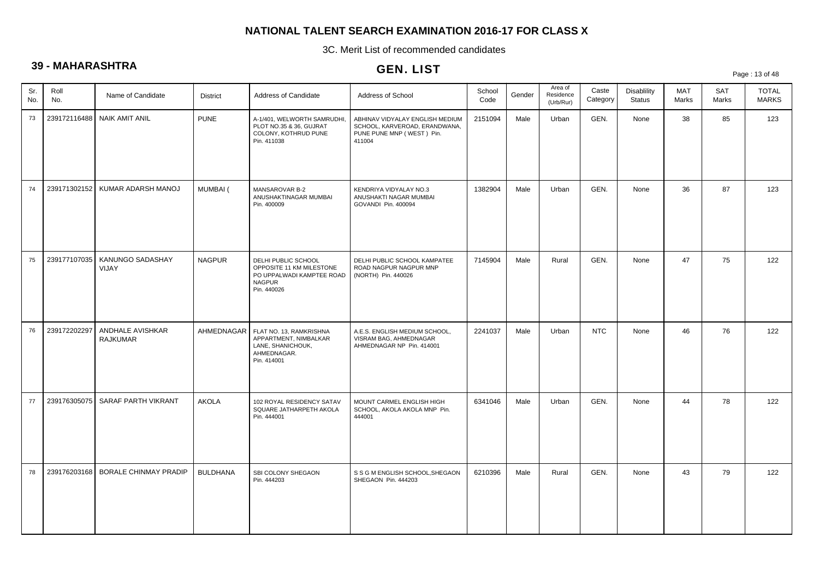3C. Merit List of recommended candidates

# **39 - MAHARASHTRA**

| vv         | $\frac{1}{2}$ |                                     |                 |                                                                                                              | GEN. LIST                                                                                               |                |        |                                   |                   |                                     |              |              | Page: 13 of 48               |
|------------|---------------|-------------------------------------|-----------------|--------------------------------------------------------------------------------------------------------------|---------------------------------------------------------------------------------------------------------|----------------|--------|-----------------------------------|-------------------|-------------------------------------|--------------|--------------|------------------------------|
| Sr.<br>No. | Roll<br>No.   | Name of Candidate                   | <b>District</b> | Address of Candidate                                                                                         | Address of School                                                                                       | School<br>Code | Gender | Area of<br>Residence<br>(Urb/Rur) | Caste<br>Category | <b>Disablility</b><br><b>Status</b> | MAT<br>Marks | SAT<br>Marks | <b>TOTAL</b><br><b>MARKS</b> |
| 73         | 239172116488  | <b>NAIK AMIT ANIL</b>               | <b>PUNE</b>     | A-1/401, WELWORTH SAMRUDHI,<br>PLOT NO.35 & 36, GUJRAT<br>COLONY, KOTHRUD PUNE<br>Pin. 411038                | ABHINAV VIDYALAY ENGLISH MEDIUM<br>SCHOOL, KARVEROAD, ERANDWANA,<br>PUNE PUNE MNP (WEST) Pin.<br>411004 | 2151094        | Male   | Urban                             | GEN.              | None                                | 38           | 85           | 123                          |
| 74         | 239171302152  | KUMAR ADARSH MANOJ                  | <b>MUMBAI</b> ( | MANSAROVAR B-2<br>ANUSHAKTINAGAR MUMBAI<br>Pin. 400009                                                       | KENDRIYA VIDYALAY NO.3<br>ANUSHAKTI NAGAR MUMBAI<br>GOVANDI Pin. 400094                                 | 1382904        | Male   | Urban                             | GEN.              | None                                | 36           | 87           | 123                          |
| 75         | 239177107035  | KANUNGO SADASHAY<br>VIJAY           | <b>NAGPUR</b>   | DELHI PUBLIC SCHOOL<br>OPPOSITE 11 KM MILESTONE<br>PO UPPALWADI KAMPTEE ROAD<br><b>NAGPUR</b><br>Pin. 440026 | DELHI PUBLIC SCHOOL KAMPATEE<br>ROAD NAGPUR NAGPUR MNP<br>(NORTH) Pin. 440026                           | 7145904        | Male   | Rural                             | GEN.              | None                                | 47           | 75           | 122                          |
| 76         | 239172202297  | ANDHALE AVISHKAR<br><b>RAJKUMAR</b> | AHMEDNAGAR      | FLAT NO. 13, RAMKRISHNA<br>APPARTMENT, NIMBALKAR<br>LANE, SHANICHOUK,<br>AHMEDNAGAR.<br>Pin. 414001          | A.E.S. ENGLISH MEDIUM SCHOOL,<br>VISRAM BAG, AHMEDNAGAR<br>AHMEDNAGAR NP Pin. 414001                    | 2241037        | Male   | Urban                             | <b>NTC</b>        | None                                | 46           | 76           | 122                          |
| 77         | 239176305075  | SARAF PARTH VIKRANT                 | <b>AKOLA</b>    | 102 ROYAL RESIDENCY SATAV<br>SQUARE JATHARPETH AKOLA<br>Pin. 444001                                          | MOUNT CARMEL ENGLISH HIGH<br>SCHOOL, AKOLA AKOLA MNP Pin.<br>444001                                     | 6341046        | Male   | Urban                             | GEN.              | None                                | 44           | 78           | 122                          |
| 78         | 239176203168  | <b>BORALE CHINMAY PRADIP</b>        | <b>BULDHANA</b> | SBI COLONY SHEGAON<br>Pin. 444203                                                                            | S S G M ENGLISH SCHOOL, SHEGAON<br>SHEGAON Pin. 444203                                                  | 6210396        | Male   | Rural                             | GEN.              | None                                | 43           | 79           | 122                          |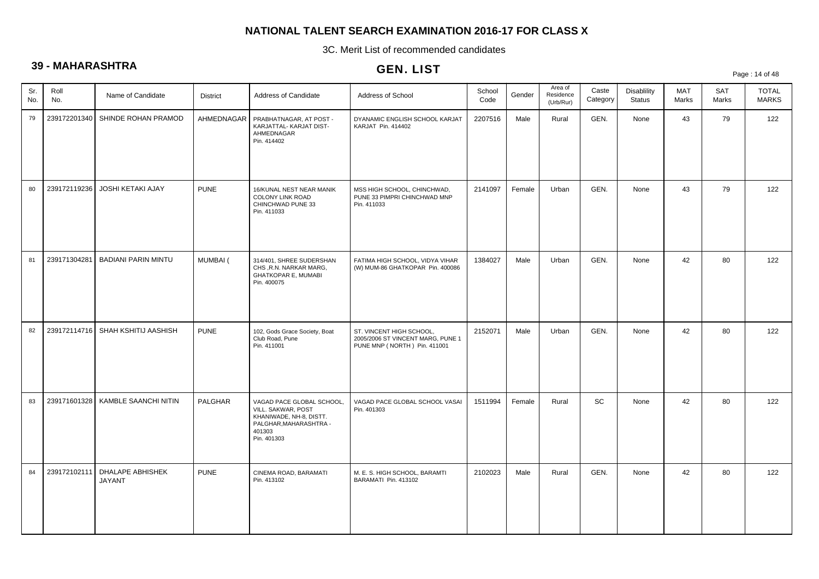3C. Merit List of recommended candidates

# **39 - MAHARASHTRA**

# GEN. LIST

Page : 14 of 48

| Sr.<br>No. | Roll<br>No.  | Name of Candidate                   | <b>District</b> | Address of Candidate                                                                                                          | Address of School                                                                             | School<br>Code | Gender | Area of<br>Residence<br>(Urb/Rur) | Caste<br>Category | Disablility<br><b>Status</b> | <b>MAT</b><br>Marks | SAT<br>Marks | <b>TOTAL</b><br><b>MARKS</b> |
|------------|--------------|-------------------------------------|-----------------|-------------------------------------------------------------------------------------------------------------------------------|-----------------------------------------------------------------------------------------------|----------------|--------|-----------------------------------|-------------------|------------------------------|---------------------|--------------|------------------------------|
| 79         | 239172201340 | SHINDE ROHAN PRAMOD                 | AHMEDNAGAR      | PRABHATNAGAR, AT POST -<br>KARJATTAL- KARJAT DIST-<br>AHMEDNAGAR<br>Pin. 414402                                               | DYANAMIC ENGLISH SCHOOL KARJAT<br>KARJAT Pin. 414402                                          | 2207516        | Male   | Rural                             | GEN.              | None                         | 43                  | 79           | 122                          |
| 80         | 239172119236 | JOSHI KETAKI AJAY                   | <b>PUNE</b>     | 16/KUNAL NEST NEAR MANIK<br><b>COLONY LINK ROAD</b><br>CHINCHWAD PUNE 33<br>Pin. 411033                                       | MSS HIGH SCHOOL, CHINCHWAD,<br>PUNE 33 PIMPRI CHINCHWAD MNP<br>Pin. 411033                    | 2141097        | Female | Urban                             | GEN.              | None                         | 43                  | 79           | 122                          |
| 81         | 239171304281 | <b>BADIANI PARIN MINTU</b>          | MUMBAI (        | 314/401, SHREE SUDERSHAN<br>CHS, R.N. NARKAR MARG,<br><b>GHATKOPAR E, MUMABI</b><br>Pin. 400075                               | FATIMA HIGH SCHOOL, VIDYA VIHAR<br>(W) MUM-86 GHATKOPAR Pin. 400086                           | 1384027        | Male   | Urban                             | GEN.              | None                         | 42                  | 80           | 122                          |
| 82         | 239172114716 | SHAH KSHITIJ AASHISH                | <b>PUNE</b>     | 102, Gods Grace Society, Boat<br>Club Road, Pune<br>Pin. 411001                                                               | ST. VINCENT HIGH SCHOOL,<br>2005/2006 ST VINCENT MARG, PUNE 1<br>PUNE MNP (NORTH) Pin. 411001 | 2152071        | Male   | Urban                             | GEN.              | None                         | 42                  | 80           | 122                          |
| 83         |              | 239171601328   KAMBLE SAANCHI NITIN | PALGHAR         | VAGAD PACE GLOBAL SCHOOL,<br>VILL. SAKWAR, POST<br>KHANIWADE, NH-8, DISTT.<br>PALGHAR, MAHARASHTRA -<br>401303<br>Pin. 401303 | VAGAD PACE GLOBAL SCHOOL VASAI<br>Pin. 401303                                                 | 1511994        | Female | Rural                             | SC                | None                         | 42                  | 80           | 122                          |
| 84         | 239172102111 | DHALAPE ABHISHEK<br><b>JAYANT</b>   | <b>PUNE</b>     | CINEMA ROAD, BARAMATI<br>Pin. 413102                                                                                          | M. E. S. HIGH SCHOOL, BARAMTI<br>BARAMATI Pin. 413102                                         | 2102023        | Male   | Rural                             | GEN.              | None                         | 42                  | 80           | 122                          |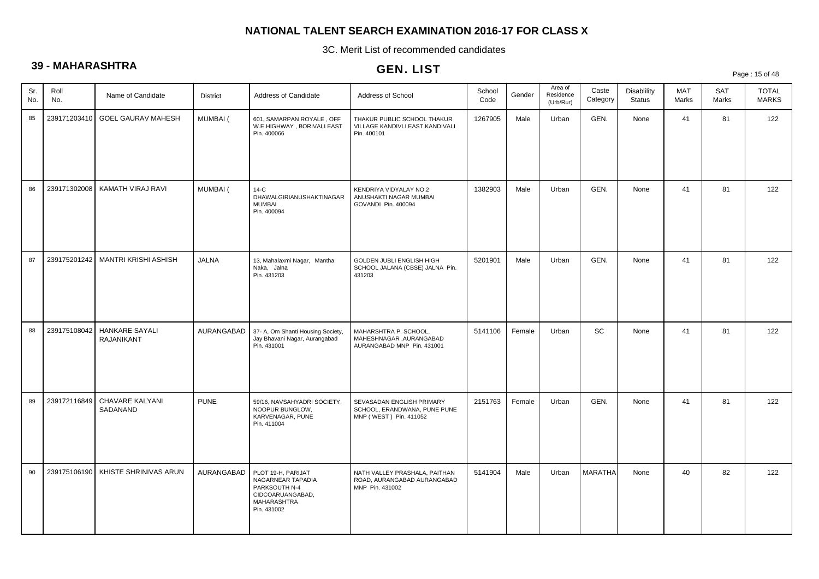3C. Merit List of recommended candidates

# **39 - MAHARASHTRA**

# GEN. LIST

Page : 15 of 48

| Sr.<br>No. | Roll<br>No.  | Name of Candidate                          | <b>District</b> | Address of Candidate                                                                                       | Address of School                                                                   | School<br>Code | Gender | Area of<br>Residence<br>(Urb/Rur) | Caste<br>Category | Disablility<br><b>Status</b> | MAT<br>Marks | SAT<br>Marks | <b>TOTAL</b><br><b>MARKS</b> |
|------------|--------------|--------------------------------------------|-----------------|------------------------------------------------------------------------------------------------------------|-------------------------------------------------------------------------------------|----------------|--------|-----------------------------------|-------------------|------------------------------|--------------|--------------|------------------------------|
| 85         | 239171203410 | <b>GOEL GAURAV MAHESH</b>                  | MUMBAI (        | 601, SAMARPAN ROYALE, OFF<br>W.E.HIGHWAY, BORIVALI EAST<br>Pin. 400066                                     | THAKUR PUBLIC SCHOOL THAKUR<br>VILLAGE KANDIVLI EAST KANDIVALI<br>Pin. 400101       | 1267905        | Male   | Urban                             | GEN.              | None                         | 41           | 81           | 122                          |
| 86         | 239171302008 | KAMATH VIRAJ RAVI                          | MUMBAI (        | $14-C$<br>DHAWALGIRIANUSHAKTINAGAR<br><b>MUMBAI</b><br>Pin. 400094                                         | KENDRIYA VIDYALAY NO.2<br>ANUSHAKTI NAGAR MUMBAI<br>GOVANDI Pin. 400094             | 1382903        | Male   | Urban                             | GEN.              | None                         | 41           | 81           | 122                          |
| 87         | 239175201242 | <b>MANTRI KRISHI ASHISH</b>                | <b>JALNA</b>    | 13, Mahalaxmi Nagar, Mantha<br>Naka, Jalna<br>Pin. 431203                                                  | GOLDEN JUBLI ENGLISH HIGH<br>SCHOOL JALANA (CBSE) JALNA Pin.<br>431203              | 5201901        | Male   | Urban                             | GEN.              | None                         | 41           | 81           | 122                          |
| 88         | 239175108042 | <b>HANKARE SAYALI</b><br><b>RAJANIKANT</b> | AURANGABAD      | 37- A, Om Shanti Housing Society,<br>Jay Bhavani Nagar, Aurangabad<br>Pin. 431001                          | MAHARSHTRA P. SCHOOL,<br>MAHESHNAGAR ,AURANGABAD<br>AURANGABAD MNP Pin. 431001      | 5141106        | Female | Urban                             | SC                | None                         | 41           | 81           | 122                          |
| 89         | 239172116849 | <b>CHAVARE KALYANI</b><br>SADANAND         | <b>PUNE</b>     | 59/16, NAVSAHYADRI SOCIETY,<br>NOOPUR BUNGLOW,<br>KARVENAGAR, PUNE<br>Pin. 411004                          | SEVASADAN ENGLISH PRIMARY<br>SCHOOL, ERANDWANA, PUNE PUNE<br>MNP (WEST) Pin. 411052 | 2151763        | Female | Urban                             | GEN.              | None                         | 41           | 81           | 122                          |
| 90         | 239175106190 | KHISTE SHRINIVAS ARUN                      | AURANGABAD      | PLOT 19-H, PARIJAT<br>NAGARNEAR TAPADIA<br>PARKSOUTH N-4<br>CIDCOARUANGABAD,<br>MAHARASHTRA<br>Pin. 431002 | NATH VALLEY PRASHALA, PAITHAN<br>ROAD, AURANGABAD AURANGABAD<br>MNP Pin. 431002     | 5141904        | Male   | Urban                             | <b>MARATHA</b>    | None                         | 40           | 82           | 122                          |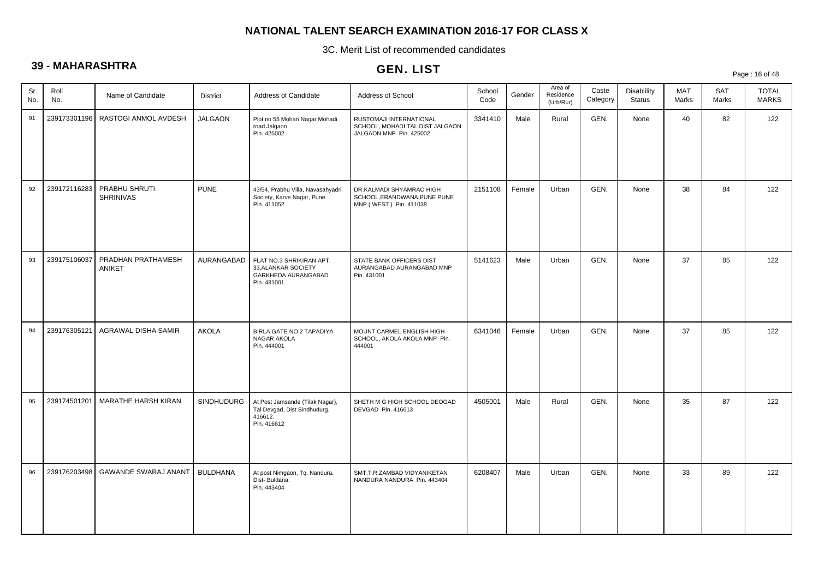3C. Merit List of recommended candidates

# **39 - MAHARASHTRA**

# GEN. LIST

Page : 16 of 48

| Sr.<br>No. | Roll<br>No.  | Name of Candidate                   | <b>District</b>   | Address of Candidate                                                                      | Address of School                                                                     | School<br>Code | Gender | Area of<br>Residence<br>(Urb/Rur) | Caste<br>Category | Disablility<br><b>Status</b> | MAT<br>Marks | SAT<br>Marks | <b>TOTAL</b><br><b>MARKS</b> |
|------------|--------------|-------------------------------------|-------------------|-------------------------------------------------------------------------------------------|---------------------------------------------------------------------------------------|----------------|--------|-----------------------------------|-------------------|------------------------------|--------------|--------------|------------------------------|
| 91         |              | 239173301196   RASTOGI ANMOL AVDESH | <b>JALGAON</b>    | Plot no 55 Mohan Nagar Mohadi<br>road Jalgaon<br>Pin. 425002                              | RUSTOMAJI INTERNATIONAL<br>SCHOOL, MOHADI TAL DIST JALGAON<br>JALGAON MNP Pin. 425002 | 3341410        | Male   | Rural                             | GEN.              | None                         | 40           | 82           | 122                          |
| 92         | 239172116283 | PRABHU SHRUTI<br><b>SHRINIVAS</b>   | <b>PUNE</b>       | 43/54, Prabhu Villa, Navasahyadri<br>Society, Karve Nagar, Pune<br>Pin. 411052            | DR.KALMADI SHYAMRAO HIGH<br>SCHOOL, ERANDWANA, PUNE PUNE<br>MNP (WEST) Pin. 411038    | 2151108        | Female | Urban                             | GEN.              | None                         | 38           | 84           | 122                          |
| 93         | 239175106037 | PRADHAN PRATHAMESH<br>ANIKET        | AURANGABAD        | FLAT NO.3 SHRIKIRAN APT.<br>33, ALANKAR SOCIETY<br>GARKHEDA AURANGABAD<br>Pin. 431001     | STATE BANK OFFICERS DIST<br>AURANGABAD AURANGABAD MNP<br>Pin. 431001                  | 5141623        | Male   | Urban                             | GEN.              | None                         | 37           | 85           | 122                          |
| 94         | 239176305121 | AGRAWAL DISHA SAMIR                 | <b>AKOLA</b>      | BIRLA GATE NO 2 TAPADIYA<br>NAGAR AKOLA<br>Pin. 444001                                    | MOUNT CARMEL ENGLISH HIGH<br>SCHOOL, AKOLA AKOLA MNP Pin.<br>444001                   | 6341046        | Female | Urban                             | GEN.              | None                         | 37           | 85           | 122                          |
| 95         | 239174501201 | MARATHE HARSH KIRAN                 | <b>SINDHUDURG</b> | At Post Jamsande (Tilak Nagar),<br>Tal Devgad, Dist Sindhudurg.<br>416612.<br>Pin. 416612 | SHETH M G HIGH SCHOOL DEOGAD<br>DEVGAD Pin. 416613                                    | 4505001        | Male   | Rural                             | GEN.              | None                         | 35           | 87           | 122                          |
| 96         | 239176203498 | <b>GAWANDE SWARAJ ANANT</b>         | <b>BULDHANA</b>   | At post Nimgaon, Tq. Nandura,<br>Dist-Buldana.<br>Pin. 443404                             | SMT.T.R.ZAMBAD VIDYANIKETAN<br>NANDURA NANDURA Pin. 443404                            | 6208407        | Male   | Urban                             | GEN.              | None                         | 33           | 89           | 122                          |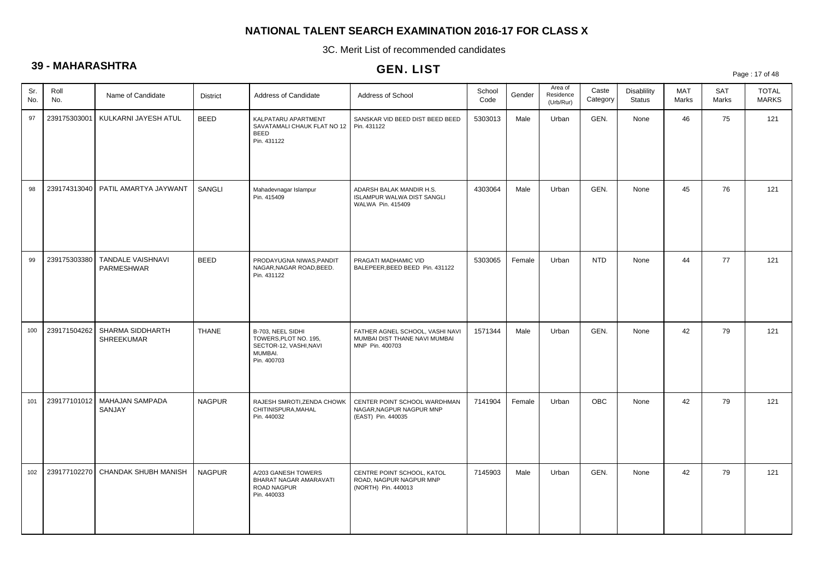3C. Merit List of recommended candidates

# **39 - MAHARASHTRA**

|            | vv           |                                      |                 |                                                                                                | GEN. LIST                                                                           |                |        |                                   |                   |                                     |              |              | Page: 17 of 48               |
|------------|--------------|--------------------------------------|-----------------|------------------------------------------------------------------------------------------------|-------------------------------------------------------------------------------------|----------------|--------|-----------------------------------|-------------------|-------------------------------------|--------------|--------------|------------------------------|
| Sr.<br>No. | Roll<br>No.  | Name of Candidate                    | <b>District</b> | Address of Candidate                                                                           | Address of School                                                                   | School<br>Code | Gender | Area of<br>Residence<br>(Urb/Rur) | Caste<br>Category | <b>Disablility</b><br><b>Status</b> | MAT<br>Marks | SAT<br>Marks | <b>TOTAL</b><br><b>MARKS</b> |
| 97         | 239175303001 | KULKARNI JAYESH ATUL                 | <b>BEED</b>     | KALPATARU APARTMENT<br>SAVATAMALI CHAUK FLAT NO 12<br><b>BEED</b><br>Pin. 431122               | SANSKAR VID BEED DIST BEED BEED<br>Pin. 431122                                      | 5303013        | Male   | Urban                             | GEN.              | None                                | 46           | 75           | 121                          |
| 98         |              | 239174313040   PATIL AMARTYA JAYWANT | SANGLI          | Mahadevnagar Islampur<br>Pin. 415409                                                           | ADARSH BALAK MANDIR H.S.<br>ISLAMPUR WALWA DIST SANGLI<br>WALWA Pin. 415409         | 4303064        | Male   | Urban                             | GEN.              | None                                | 45           | 76           | 121                          |
| 99         | 239175303380 | TANDALE VAISHNAVI<br>PARMESHWAR      | <b>BEED</b>     | PRODAYUGNA NIWAS, PANDIT<br>NAGAR, NAGAR ROAD, BEED.<br>Pin. 431122                            | PRAGATI MADHAMIC VID<br>BALEPEER, BEED BEED Pin. 431122                             | 5303065        | Female | Urban                             | <b>NTD</b>        | None                                | 44           | 77           | 121                          |
| 100        | 239171504262 | SHARMA SIDDHARTH<br>SHREEKUMAR       | <b>THANE</b>    | B-703, NEEL SIDHI<br>TOWERS, PLOT NO. 195,<br>SECTOR-12, VASHI, NAVI<br>MUMBAI.<br>Pin. 400703 | FATHER AGNEL SCHOOL, VASHI NAVI<br>MUMBAI DIST THANE NAVI MUMBAI<br>MNP Pin. 400703 | 1571344        | Male   | Urban                             | GEN.              | None                                | 42           | 79           | 121                          |
| 101        | 239177101012 | MAHAJAN SAMPADA<br>SANJAY            | <b>NAGPUR</b>   | RAJESH SMROTI, ZENDA CHOWK<br>CHITINISPURA, MAHAL<br>Pin. 440032                               | CENTER POINT SCHOOL WARDHMAN<br>NAGAR, NAGPUR NAGPUR MNP<br>(EAST) Pin. 440035      | 7141904        | Female | Urban                             | <b>OBC</b>        | None                                | 42           | 79           | 121                          |
| 102        |              | 239177102270 CHANDAK SHUBH MANISH    | <b>NAGPUR</b>   | A/203 GANESH TOWERS<br>BHARAT NAGAR AMARAVATI<br>ROAD NAGPUR<br>Pin. 440033                    | CENTRE POINT SCHOOL, KATOL<br>ROAD, NAGPUR NAGPUR MNP<br>(NORTH) Pin. 440013        | 7145903        | Male   | Urban                             | GEN.              | None                                | 42           | 79           | 121                          |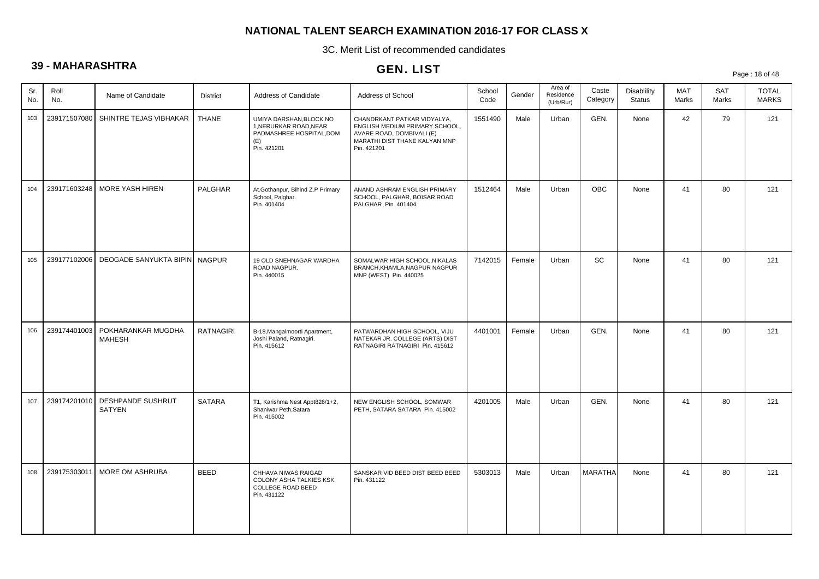3C. Merit List of recommended candidates

# **39 - MAHARASHTRA**

|            |              |                                           |                  |                                                                                                     | GEN. LIST                                                                                                                                  |                |        |                                   |                   |                                     |              |              | Page: 18 of 48               |
|------------|--------------|-------------------------------------------|------------------|-----------------------------------------------------------------------------------------------------|--------------------------------------------------------------------------------------------------------------------------------------------|----------------|--------|-----------------------------------|-------------------|-------------------------------------|--------------|--------------|------------------------------|
| Sr.<br>No. | Roll<br>No.  | Name of Candidate                         | <b>District</b>  | Address of Candidate                                                                                | Address of School                                                                                                                          | School<br>Code | Gender | Area of<br>Residence<br>(Urb/Rur) | Caste<br>Category | <b>Disablility</b><br><b>Status</b> | MAT<br>Marks | SAT<br>Marks | <b>TOTAL</b><br><b>MARKS</b> |
| 103        | 239171507080 | SHINTRE TEJAS VIBHAKAR                    | <b>THANE</b>     | UMIYA DARSHAN, BLOCK NO<br>1, NERURKAR ROAD, NEAR<br>PADMASHREE HOSPITAL, DOM<br>(E)<br>Pin. 421201 | CHANDRKANT PATKAR VIDYALYA.<br>ENGLISH MEDIUM PRIMARY SCHOOL,<br>AVARE ROAD, DOMBIVALI (E)<br>MARATHI DIST THANE KALYAN MNP<br>Pin. 421201 | 1551490        | Male   | Urban                             | GEN.              | None                                | 42           | 79           | 121                          |
| 104        | 239171603248 | MORE YASH HIREN                           | PALGHAR          | At.Gothanpur, Bihind Z.P Primary<br>School, Palghar.<br>Pin. 401404                                 | ANAND ASHRAM ENGLISH PRIMARY<br>SCHOOL, PALGHAR, BOISAR ROAD<br>PALGHAR Pin. 401404                                                        | 1512464        | Male   | Urban                             | <b>OBC</b>        | None                                | 41           | 80           | 121                          |
| 105        | 239177102006 | DEOGADE SANYUKTA BIPIN NAGPUR             |                  | 19 OLD SNEHNAGAR WARDHA<br>ROAD NAGPUR.<br>Pin. 440015                                              | SOMALWAR HIGH SCHOOL, NIKALAS<br>BRANCH, KHAMLA, NAGPUR NAGPUR<br>MNP (WEST) Pin. 440025                                                   | 7142015        | Female | Urban                             | SC                | None                                | 41           | 80           | 121                          |
| 106        | 239174401003 | POKHARANKAR MUGDHA<br><b>MAHESH</b>       | <b>RATNAGIRI</b> | B-18, Mangalmoorti Apartment,<br>Joshi Paland, Ratnagiri.<br>Pin. 415612                            | PATWARDHAN HIGH SCHOOL, VIJU<br>NATEKAR JR. COLLEGE (ARTS) DIST<br>RATNAGIRI RATNAGIRI Pin. 415612                                         | 4401001        | Female | Urban                             | GEN.              | None                                | 41           | 80           | 121                          |
| 107        | 239174201010 | <b>DESHPANDE SUSHRUT</b><br><b>SATYEN</b> | <b>SATARA</b>    | T1, Karishma Nest Appt826/1+2,<br>Shaniwar Peth, Satara<br>Pin. 415002                              | NEW ENGLISH SCHOOL, SOMWAR<br>PETH, SATARA SATARA Pin. 415002                                                                              | 4201005        | Male   | Urban                             | GEN.              | None                                | 41           | 80           | 121                          |
| 108        | 239175303011 | MORE OM ASHRUBA                           | <b>BEED</b>      | CHHAVA NIWAS RAIGAD<br>COLONY ASHA TALKIES KSK<br><b>COLLEGE ROAD BEED</b><br>Pin. 431122           | SANSKAR VID BEED DIST BEED BEED<br>Pin. 431122                                                                                             | 5303013        | Male   | Urban                             | <b>MARATHA</b>    | None                                | 41           | 80           | 121                          |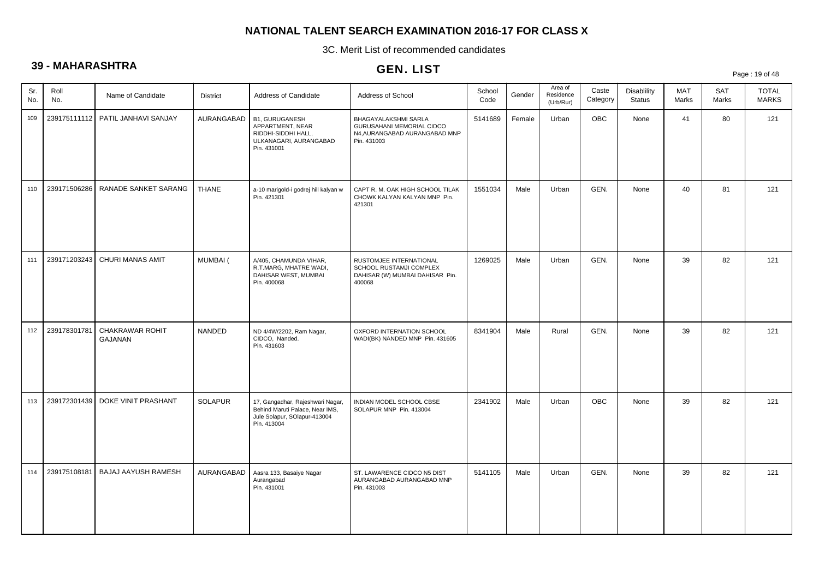3C. Merit List of recommended candidates

# **39 - MAHARASHTRA**

# GEN. LIST

Page : 19 of 48

| Sr.<br>No. | Roll<br>No.  | Name of Candidate                 | <b>District</b> | Address of Candidate                                                                                               | Address of School                                                                                 | School<br>Code | Gender | Area of<br>Residence<br>(Urb/Rur) | Caste<br>Category | Disablility<br><b>Status</b> | MAT<br>Marks | SAT<br>Marks | <b>TOTAL</b><br><b>MARKS</b> |
|------------|--------------|-----------------------------------|-----------------|--------------------------------------------------------------------------------------------------------------------|---------------------------------------------------------------------------------------------------|----------------|--------|-----------------------------------|-------------------|------------------------------|--------------|--------------|------------------------------|
| 109        |              | 239175111112 PATIL JANHAVI SANJAY | AURANGABAD      | <b>B1, GURUGANESH</b><br>APPARTMENT, NEAR<br>RIDDHI-SIDDHI HALL,<br>ULKANAGARI, AURANGABAD<br>Pin. 431001          | BHAGAYALAKSHMI SARLA<br>GURUSAHANI MEMORIAL CIDCO<br>N4, AURANGABAD AURANGABAD MNP<br>Pin. 431003 | 5141689        | Female | Urban                             | <b>OBC</b>        | None                         | 41           | 80           | 121                          |
| 110        | 239171506286 | RANADE SANKET SARANG              | <b>THANE</b>    | a-10 marigold-i godrej hill kalyan w<br>Pin. 421301                                                                | CAPT R. M. OAK HIGH SCHOOL TILAK<br>CHOWK KALYAN KALYAN MNP Pin.<br>421301                        | 1551034        | Male   | Urban                             | GEN.              | None                         | 40           | 81           | 121                          |
| 111        | 239171203243 | CHURI MANAS AMIT                  | <b>MUMBAI</b> ( | A/405, CHAMUNDA VIHAR,<br>R.T.MARG, MHATRE WADI,<br>DAHISAR WEST, MUMBAI<br>Pin. 400068                            | RUSTOMJEE INTERNATIONAL<br>SCHOOL RUSTAMJI COMPLEX<br>DAHISAR (W) MUMBAI DAHISAR Pin.<br>400068   | 1269025        | Male   | Urban                             | GEN.              | None                         | 39           | 82           | 121                          |
| 112        | 239178301781 | CHAKRAWAR ROHIT<br>GAJANAN        | NANDED          | ND 4/4W/2202, Ram Nagar,<br>CIDCO, Nanded.<br>Pin. 431603                                                          | OXFORD INTERNATION SCHOOL<br>WADI(BK) NANDED MNP Pin. 431605                                      | 8341904        | Male   | Rural                             | GEN.              | None                         | 39           | 82           | 121                          |
| 113        | 239172301439 | DOKE VINIT PRASHANT               | <b>SOLAPUR</b>  | 17, Gangadhar, Rajeshwari Nagar,<br>Behind Maruti Palace, Near IMS,<br>Jule Solapur, SOlapur-413004<br>Pin. 413004 | INDIAN MODEL SCHOOL CBSE<br>SOLAPUR MNP Pin. 413004                                               | 2341902        | Male   | Urban                             | <b>OBC</b>        | None                         | 39           | 82           | 121                          |
| 114        | 239175108181 | <b>BAJAJ AAYUSH RAMESH</b>        | AURANGABAD      | Aasra 133, Basaiye Nagar<br>Aurangabad<br>Pin. 431001                                                              | ST. LAWARENCE CIDCO N5 DIST<br>AURANGABAD AURANGABAD MNP<br>Pin. 431003                           | 5141105        | Male   | Urban                             | GEN.              | None                         | 39           | 82           | 121                          |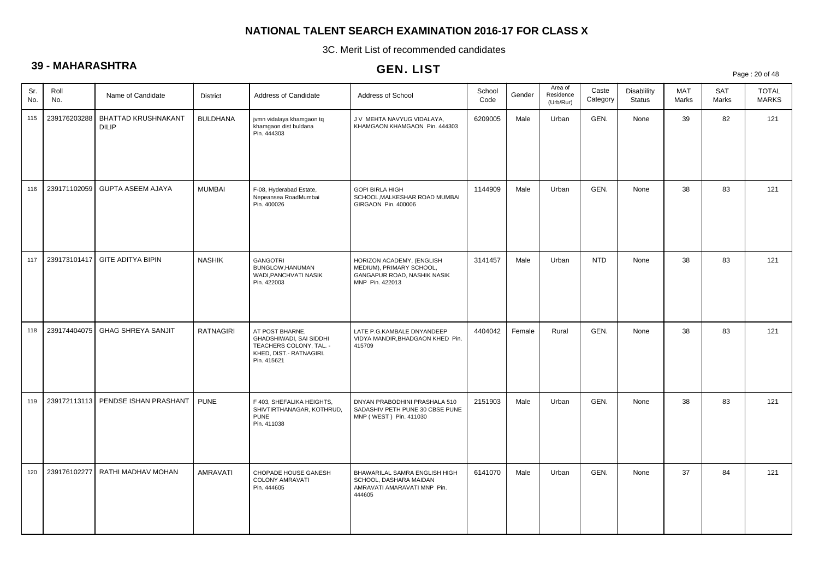3C. Merit List of recommended candidates

# **39 - MAHARASHTRA**

|            | .            |                                     |                  |                                                                                                                 | <b>GEN. LIST</b>                                                                                        |                |        |                                   |                   |                              |                     |                     | Page: 20 of 48               |
|------------|--------------|-------------------------------------|------------------|-----------------------------------------------------------------------------------------------------------------|---------------------------------------------------------------------------------------------------------|----------------|--------|-----------------------------------|-------------------|------------------------------|---------------------|---------------------|------------------------------|
| Sr.<br>No. | Roll<br>No.  | Name of Candidate                   | <b>District</b>  | Address of Candidate                                                                                            | Address of School                                                                                       | School<br>Code | Gender | Area of<br>Residence<br>(Urb/Rur) | Caste<br>Category | Disablility<br><b>Status</b> | <b>MAT</b><br>Marks | <b>SAT</b><br>Marks | <b>TOTAL</b><br><b>MARKS</b> |
| 115        | 239176203288 | BHATTAD KRUSHNAKANT<br><b>DILIP</b> | <b>BULDHANA</b>  | jvmn vidalaya khamgaon tq<br>khamgaon dist buldana<br>Pin. 444303                                               | J V MEHTA NAVYUG VIDALAYA,<br>KHAMGAON KHAMGAON Pin. 444303                                             | 6209005        | Male   | Urban                             | GEN.              | None                         | 39                  | 82                  | 121                          |
| 116        | 239171102059 | <b>GUPTA ASEEM AJAYA</b>            | <b>MUMBAI</b>    | F-08, Hyderabad Estate,<br>Nepeansea RoadMumbai<br>Pin. 400026                                                  | <b>GOPI BIRLA HIGH</b><br>SCHOOL, MALKESHAR ROAD MUMBAI<br>GIRGAON Pin. 400006                          | 1144909        | Male   | Urban                             | GEN.              | None                         | 38                  | 83                  | 121                          |
| 117        | 239173101417 | <b>GITE ADITYA BIPIN</b>            | <b>NASHIK</b>    | <b>GANGOTRI</b><br>BUNGLOW, HANUMAN<br>WADI, PANCHVATI NASIK<br>Pin. 422003                                     | HORIZON ACADEMY, (ENGLISH<br>MEDIUM), PRIMARY SCHOOL,<br>GANGAPUR ROAD, NASHIK NASIK<br>MNP Pin. 422013 | 3141457        | Male   | Urban                             | <b>NTD</b>        | None                         | 38                  | 83                  | 121                          |
| 118        | 239174404075 | <b>GHAG SHREYA SANJIT</b>           | <b>RATNAGIRI</b> | AT POST BHARNE,<br>GHADSHIWADI, SAI SIDDHI<br>TEACHERS COLONY, TAL. -<br>KHED, DIST.- RATNAGIRI.<br>Pin. 415621 | LATE P.G.KAMBALE DNYANDEEP<br>VIDYA MANDIR, BHADGAON KHED Pin.<br>415709                                | 4404042        | Female | Rural                             | GEN.              | None                         | 38                  | 83                  | 121                          |
| 119        |              | 239172113113 PENDSE ISHAN PRASHANT  | <b>PUNE</b>      | F 403, SHEFALIKA HEIGHTS,<br>SHIVTIRTHANAGAR, KOTHRUD,<br><b>PUNE</b><br>Pin. 411038                            | DNYAN PRABODHINI PRASHALA 510<br>SADASHIV PETH PUNE 30 CBSE PUNE<br>MNP (WEST) Pin. 411030              | 2151903        | Male   | Urban                             | GEN.              | None                         | 38                  | 83                  | 121                          |
| 120        | 239176102277 | RATHI MADHAV MOHAN                  | AMRAVATI         | CHOPADE HOUSE GANESH<br>COLONY AMRAVATI<br>Pin. 444605                                                          | BHAWARILAL SAMRA ENGLISH HIGH<br>SCHOOL, DASHARA MAIDAN<br>AMRAVATI AMARAVATI MNP Pin.<br>444605        | 6141070        | Male   | Urban                             | GEN.              | None                         | 37                  | 84                  | 121                          |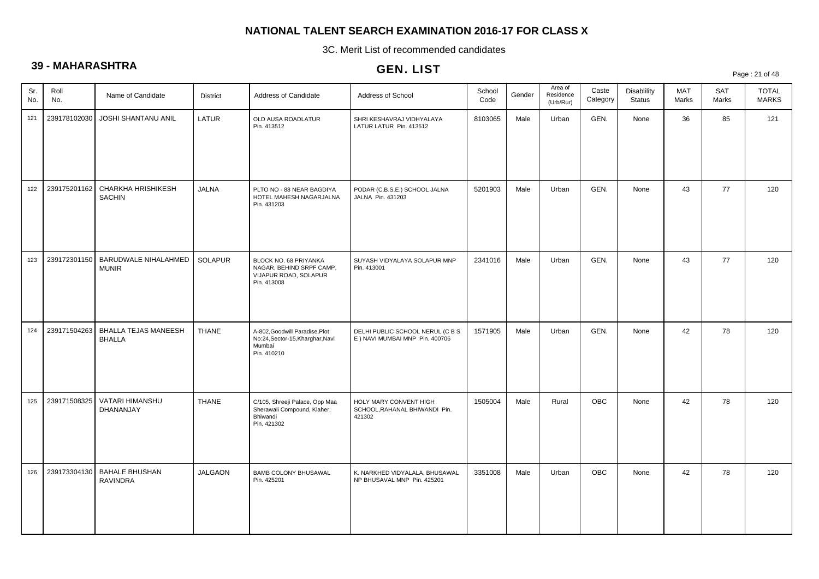3C. Merit List of recommended candidates

# **39 - MAHARASHTRA**

|            |              |                                              |                 |                                                                                             | ULIV. LIJ I                                                         |                |        |                                   |                   |                              |                     |                     | Page: 21 of 48               |
|------------|--------------|----------------------------------------------|-----------------|---------------------------------------------------------------------------------------------|---------------------------------------------------------------------|----------------|--------|-----------------------------------|-------------------|------------------------------|---------------------|---------------------|------------------------------|
| Sr.<br>No. | Roll<br>No.  | Name of Candidate                            | <b>District</b> | Address of Candidate                                                                        | Address of School                                                   | School<br>Code | Gender | Area of<br>Residence<br>(Urb/Rur) | Caste<br>Category | Disablility<br><b>Status</b> | <b>MAT</b><br>Marks | <b>SAT</b><br>Marks | <b>TOTAL</b><br><b>MARKS</b> |
| 121        | 239178102030 | JOSHI SHANTANU ANIL                          | LATUR           | OLD AUSA ROADLATUR<br>Pin. 413512                                                           | SHRI KESHAVRAJ VIDHYALAYA<br>LATUR LATUR Pin. 413512                | 8103065        | Male   | Urban                             | GEN.              | None                         | 36                  | 85                  | 121                          |
| 122        | 239175201162 | <b>CHARKHA HRISHIKESH</b><br><b>SACHIN</b>   | <b>JALNA</b>    | PLTO NO - 88 NEAR BAGDIYA<br>HOTEL MAHESH NAGARJALNA<br>Pin. 431203                         | PODAR (C.B.S.E.) SCHOOL JALNA<br>JALNA Pin. 431203                  | 5201903        | Male   | Urban                             | GEN.              | None                         | 43                  | 77                  | 120                          |
| 123        | 239172301150 | BARUDWALE NIHALAHMED<br><b>MUNIR</b>         | SOLAPUR         | BLOCK NO. 68 PRIYANKA<br>NAGAR, BEHIND SRPF CAMP,<br>VIJAPUR ROAD, SOLAPUR<br>Pin. 413008   | SUYASH VIDYALAYA SOLAPUR MNP<br>Pin. 413001                         | 2341016        | Male   | Urban                             | GEN.              | None                         | 43                  | 77                  | 120                          |
| 124        | 239171504263 | <b>BHALLA TEJAS MANEESH</b><br><b>BHALLA</b> | <b>THANE</b>    | A-802, Goodwill Paradise, Plot<br>No:24, Sector-15, Kharghar, Navi<br>Mumbai<br>Pin. 410210 | DELHI PUBLIC SCHOOL NERUL (C B S<br>E ) NAVI MUMBAI MNP Pin. 400706 | 1571905        | Male   | Urban                             | GEN.              | None                         | 42                  | 78                  | 120                          |
| 125        | 239171508325 | VATARI HIMANSHU<br>DHANANJAY                 | <b>THANE</b>    | C/105, Shreeji Palace, Opp Maa<br>Sherawali Compound, Klaher,<br>Bhiwandi<br>Pin. 421302    | HOLY MARY CONVENT HIGH<br>SCHOOL, RAHANAL BHIWANDI Pin.<br>421302   | 1505004        | Male   | Rural                             | <b>OBC</b>        | None                         | 42                  | 78                  | 120                          |
| 126        | 239173304130 | <b>BAHALE BHUSHAN</b><br><b>RAVINDRA</b>     | <b>JALGAON</b>  | <b>BAMB COLONY BHUSAWAL</b><br>Pin. 425201                                                  | K. NARKHED VIDYALALA, BHUSAWAL<br>NP BHUSAVAL MNP Pin. 425201       | 3351008        | Male   | Urban                             | OBC               | None                         | 42                  | 78                  | 120                          |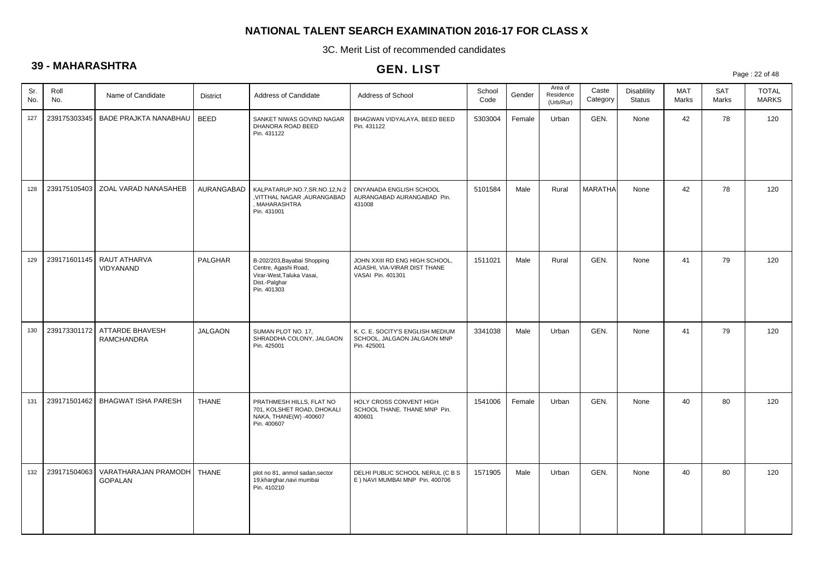3C. Merit List of recommended candidates

# **39 - MAHARASHTRA**

# GEN. LIST

Page : 22 of 48

| Sr.<br>No. | Roll<br>No.  | Name of Candidate                                   | <b>District</b> | Address of Candidate                                                                                             | Address of School                                                                   | School<br>Code | Gender | Area of<br>Residence<br>(Urb/Rur) | Caste<br>Category | <b>Disablility</b><br><b>Status</b> | MAT<br>Marks | SAT<br>Marks | <b>TOTAL</b><br><b>MARKS</b> |
|------------|--------------|-----------------------------------------------------|-----------------|------------------------------------------------------------------------------------------------------------------|-------------------------------------------------------------------------------------|----------------|--------|-----------------------------------|-------------------|-------------------------------------|--------------|--------------|------------------------------|
| 127        | 239175303345 | BADE PRAJKTA NANABHAU                               | <b>BEED</b>     | SANKET NIWAS GOVIND NAGAR<br>DHANORA ROAD BEED<br>Pin. 431122                                                    | BHAGWAN VIDYALAYA, BEED BEED<br>Pin. 431122                                         | 5303004        | Female | Urban                             | GEN.              | None                                | 42           | 78           | 120                          |
| 128        | 239175105403 | ZOAL VARAD NANASAHEB                                | AURANGABAD      | KALPATARUP.NO.7,SR.NO.12,N-2<br>VITTHAL NAGAR ,AURANGABAD<br>MAHARASHTRA<br>Pin. 431001                          | DNYANADA ENGLISH SCHOOL<br>AURANGABAD AURANGABAD Pin.<br>431008                     | 5101584        | Male   | Rural                             | <b>MARATHA</b>    | None                                | 42           | 78           | 120                          |
| 129        | 239171601145 | RAUT ATHARVA<br>VIDYANAND                           | PALGHAR         | B-202/203, Bayabai Shopping<br>Centre, Agashi Road,<br>Virar-West, Taluka Vasai,<br>Dist.-Palghar<br>Pin. 401303 | JOHN XXIII RD ENG HIGH SCHOOL,<br>AGASHI, VIA-VIRAR DIST THANE<br>VASAI Pin. 401301 | 1511021        | Male   | Rural                             | GEN.              | None                                | 41           | 79           | 120                          |
| 130        |              | 239173301172   ATTARDE BHAVESH<br><b>RAMCHANDRA</b> | <b>JALGAON</b>  | SUMAN PLOT NO. 17,<br>SHRADDHA COLONY, JALGAON<br>Pin. 425001                                                    | K. C. E. SOCITY'S ENGLISH MEDIUM<br>SCHOOL, JALGAON JALGAON MNP<br>Pin. 425001      | 3341038        | Male   | Urban                             | GEN.              | None                                | 41           | 79           | 120                          |
| 131        |              | 239171501462   BHAGWAT ISHA PARESH                  | <b>THANE</b>    | PRATHMESH HILLS, FLAT NO<br>701, KOLSHET ROAD, DHOKALI<br>NAKA, THANE(W) -400607<br>Pin. 400607                  | HOLY CROSS CONVENT HIGH<br>SCHOOL THANE, THANE MNP Pin.<br>400601                   | 1541006        | Female | Urban                             | GEN.              | None                                | 40           | 80           | 120                          |
| 132        | 239171504063 | VARATHARAJAN PRAMODH<br><b>GOPALAN</b>              | <b>THANE</b>    | plot no 81, anmol sadan, sector<br>19, kharghar, navi mumbai<br>Pin. 410210                                      | DELHI PUBLIC SCHOOL NERUL (C B S<br>E ) NAVI MUMBAI MNP Pin. 400706                 | 1571905        | Male   | Urban                             | GEN.              | None                                | 40           | 80           | 120                          |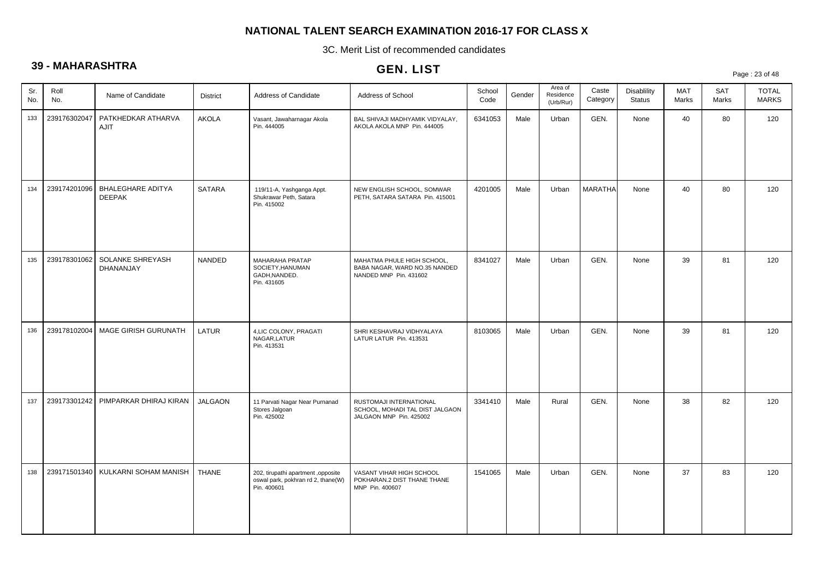3C. Merit List of recommended candidates

# **39 - MAHARASHTRA**

# GEN. LIST

Page : 23 of 48

| Sr.<br>Roll<br>No.<br>No. |              | Name of Candidate                         | <b>District</b> | Address of Candidate                                                                    | Address of School                                                                     | School<br>Code | Gender | Area of<br>Residence<br>(Urb/Rur) | Caste<br>Category | Disablility<br><b>Status</b> | <b>MAT</b><br>Marks | <b>SAT</b><br>Marks | <b>TOTAL</b><br><b>MARKS</b> |
|---------------------------|--------------|-------------------------------------------|-----------------|-----------------------------------------------------------------------------------------|---------------------------------------------------------------------------------------|----------------|--------|-----------------------------------|-------------------|------------------------------|---------------------|---------------------|------------------------------|
| 133                       | 239176302047 | PATKHEDKAR ATHARVA<br>AJIT                | <b>AKOLA</b>    | Vasant, Jawaharnagar Akola<br>Pin. 444005                                               | BAL SHIVAJI MADHYAMIK VIDYALAY,<br>AKOLA AKOLA MNP Pin. 444005                        | 6341053        | Male   | Urban                             | GEN.              | None                         | 40                  | 80                  | 120                          |
| 134                       | 239174201096 | <b>BHALEGHARE ADITYA</b><br><b>DEEPAK</b> | <b>SATARA</b>   | 119/11-A, Yashganga Appt.<br>Shukrawar Peth, Satara<br>Pin. 415002                      | NEW ENGLISH SCHOOL, SOMWAR<br>PETH, SATARA SATARA Pin. 415001                         | 4201005        | Male   | Urban                             | <b>MARATHA</b>    | None                         | 40                  | 80                  | 120                          |
| 135                       | 239178301062 | SOLANKE SHREYASH<br><b>DHANANJAY</b>      | NANDED          | MAHARAHA PRATAP<br>SOCIETY, HANUMAN<br>GADH, NANDED.<br>Pin. 431605                     | MAHATMA PHULE HIGH SCHOOL,<br>BABA NAGAR, WARD NO.35 NANDED<br>NANDED MNP Pin. 431602 | 8341027        | Male   | Urban                             | GEN.              | None                         | 39                  | 81                  | 120                          |
| 136                       | 239178102004 | MAGE GIRISH GURUNATH                      | LATUR           | 4, LIC COLONY, PRAGATI<br>NAGAR.LATUR<br>Pin. 413531                                    | SHRI KESHAVRAJ VIDHYALAYA<br>LATUR LATUR Pin. 413531                                  | 8103065        | Male   | Urban                             | GEN.              | None                         | 39                  | 81                  | 120                          |
| 137                       | 239173301242 | PIMPARKAR DHIRAJ KIRAN                    | <b>JALGAON</b>  | 11 Parvati Nagar Near Purnanad<br>Stores Jalgoan<br>Pin. 425002                         | RUSTOMAJI INTERNATIONAL<br>SCHOOL, MOHADI TAL DIST JALGAON<br>JALGAON MNP Pin. 425002 | 3341410        | Male   | Rural                             | GEN.              | None                         | 38                  | 82                  | 120                          |
| 138                       | 239171501340 | KULKARNI SOHAM MANISH                     | <b>THANE</b>    | 202, tirupathi apartment ,opposite<br>oswal park, pokhran rd 2, thane(W)<br>Pin. 400601 | VASANT VIHAR HIGH SCHOOL<br>POKHARAN.2 DIST THANE THANE<br>MNP Pin. 400607            | 1541065        | Male   | Urban                             | GEN.              | None                         | 37                  | 83                  | 120                          |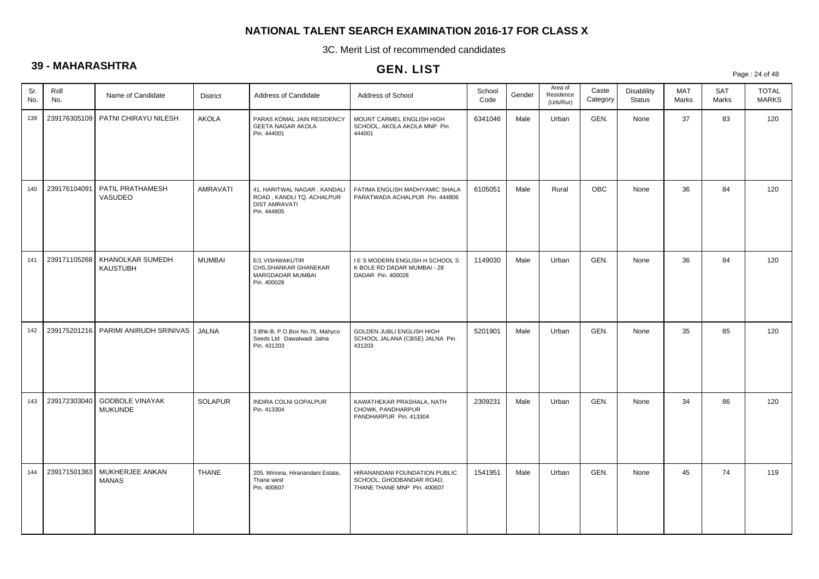3C. Merit List of recommended candidates

# **39 - MAHARASHTRA**

|            |              |                                          |                 |                                                                                                 | ULIV. LIJ I                                                                              |                |        |                                   |                   |                              |                     |                     | Page: 24 of 48               |
|------------|--------------|------------------------------------------|-----------------|-------------------------------------------------------------------------------------------------|------------------------------------------------------------------------------------------|----------------|--------|-----------------------------------|-------------------|------------------------------|---------------------|---------------------|------------------------------|
| Sr.<br>No. | Roll<br>No.  | Name of Candidate                        | <b>District</b> | Address of Candidate                                                                            | Address of School                                                                        | School<br>Code | Gender | Area of<br>Residence<br>(Urb/Rur) | Caste<br>Category | Disablility<br><b>Status</b> | <b>MAT</b><br>Marks | <b>SAT</b><br>Marks | <b>TOTAL</b><br><b>MARKS</b> |
| 139        |              | 239176305109   PATNI CHIRAYU NILESH      | <b>AKOLA</b>    | PARAS KOMAL JAIN RESIDENCY<br>GEETA NAGAR AKOLA<br>Pin. 444001                                  | MOUNT CARMEL ENGLISH HIGH<br>SCHOOL, AKOLA AKOLA MNP Pin.<br>444001                      | 6341046        | Male   | Urban                             | GEN.              | None                         | 37                  | 83                  | 120                          |
| 140        | 239176104091 | PATIL PRATHAMESH<br>VASUDEO              | AMRAVATI        | 41, HARITWAL NAGAR, KANDALI<br>ROAD, KANDLI TQ. ACHALPUR<br><b>DIST AMRAVATI</b><br>Pin. 444805 | FATIMA ENGLISH MADHYAMIC SHALA<br>PARATWADA ACHALPUR Pin. 444806                         | 6105051        | Male   | Rural                             | <b>OBC</b>        | None                         | 36                  | 84                  | 120                          |
| 141        | 239171105268 | KHANOLKAR SUMEDH<br>KAUSTUBH             | <b>MUMBAI</b>   | E/1 VISHWAKUTIR<br>CHS.SHANKAR GHANEKAR<br>MARGDADAR MUMBAI<br>Pin. 400028                      | I E S MODERN ENGLISH H SCHOOL S<br>K BOLE RD DADAR MUMBAI - 28<br>DADAR Pin. 400028      | 1149030        | Male   | Urban                             | GEN.              | None                         | 36                  | 84                  | 120                          |
| 142        | 239175201216 | PARIMI ANIRUDH SRINIVAS                  | <b>JALNA</b>    | 3 Bhk-B, P.O.Box No.76, Mahyco<br>Seeds Ltd Dawalwadi Jalna<br>Pin. 431203                      | GOLDEN JUBLI ENGLISH HIGH<br>SCHOOL JALANA (CBSE) JALNA Pin.<br>431203                   | 5201901        | Male   | Urban                             | GEN.              | None                         | 35                  | 85                  | 120                          |
| 143        | 239172303040 | <b>GODBOLE VINAYAK</b><br><b>MUKUNDE</b> | <b>SOLAPUR</b>  | INDIRA COLNI GOPALPUR<br>Pin. 413304                                                            | KAWATHEKAR PRASHALA, NATH<br>CHOWK, PANDHARPUR<br>PANDHARPUR Pin. 413304                 | 2309231        | Male   | Urban                             | GEN.              | None                         | 34                  | 86                  | 120                          |
| 144        | 239171501363 | MUKHERJEE ANKAN<br><b>MANAS</b>          | <b>THANE</b>    | 205, Winona, Hiranandani Estate,<br>Thane west<br>Pin. 400607                                   | HIRANANDANI FOUNDATION PUBLIC<br>SCHOOL, GHODBANDAR ROAD,<br>THANE THANE MNP Pin. 400607 | 1541951        | Male   | Urban                             | GEN.              | None                         | 45                  | 74                  | 119                          |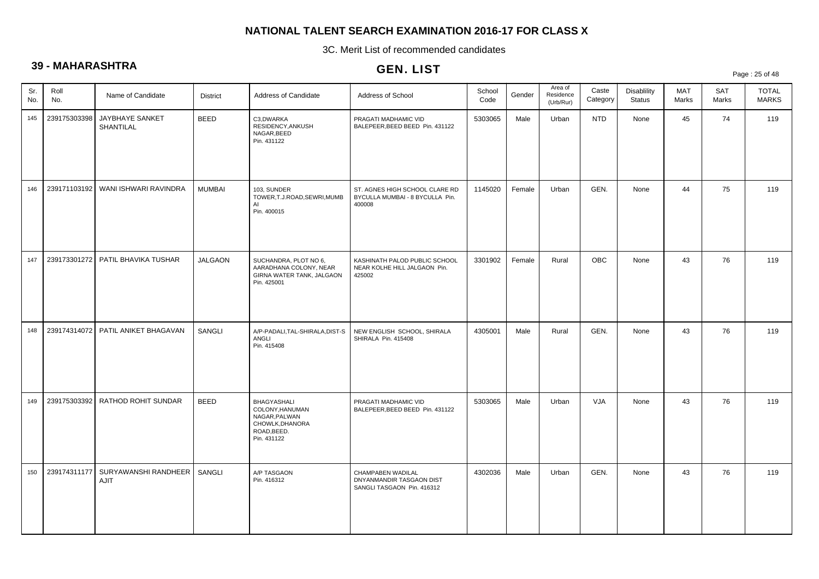3C. Merit List of recommended candidates

# **39 - MAHARASHTRA**

|            |              |                                      |                 |                                                                                                  | <b>GEN. LIST</b>                                                            |                |        |                                   |                   |                              |                     |                     | Page: 25 of 48               |
|------------|--------------|--------------------------------------|-----------------|--------------------------------------------------------------------------------------------------|-----------------------------------------------------------------------------|----------------|--------|-----------------------------------|-------------------|------------------------------|---------------------|---------------------|------------------------------|
| Sr.<br>No. | Roll<br>No.  | Name of Candidate                    | <b>District</b> | Address of Candidate                                                                             | Address of School                                                           | School<br>Code | Gender | Area of<br>Residence<br>(Urb/Rur) | Caste<br>Category | Disablility<br><b>Status</b> | <b>MAT</b><br>Marks | <b>SAT</b><br>Marks | <b>TOTAL</b><br><b>MARKS</b> |
| 145        | 239175303398 | JAYBHAYE SANKET<br>SHANTILAL         | <b>BEED</b>     | C3,DWARKA<br>RESIDENCY, ANKUSH<br>NAGAR, BEED<br>Pin. 431122                                     | PRAGATI MADHAMIC VID<br>BALEPEER, BEED BEED Pin. 431122                     | 5303065        | Male   | Urban                             | <b>NTD</b>        | None                         | 45                  | 74                  | 119                          |
| 146        |              | 239171103192   WANI ISHWARI RAVINDRA | <b>MUMBAI</b>   | 103, SUNDER<br>TOWER, T.J.ROAD, SEWRI, MUMB<br>AI<br>Pin. 400015                                 | ST. AGNES HIGH SCHOOL CLARE RD<br>BYCULLA MUMBAI - 8 BYCULLA Pin.<br>400008 | 1145020        | Female | Urban                             | GEN.              | None                         | 44                  | 75                  | 119                          |
| 147        |              | 239173301272   PATIL BHAVIKA TUSHAR  | <b>JALGAON</b>  | SUCHANDRA, PLOT NO 6,<br>AARADHANA COLONY, NEAR<br>GIRNA WATER TANK, JALGAON<br>Pin. 425001      | KASHINATH PALOD PUBLIC SCHOOL<br>NEAR KOLHE HILL JALGAON Pin.<br>425002     | 3301902        | Female | Rural                             | <b>OBC</b>        | None                         | 43                  | 76                  | 119                          |
| 148        | 239174314072 | PATIL ANIKET BHAGAVAN                | SANGLI          | A/P-PADALI, TAL-SHIRALA, DIST-S<br>ANGLI<br>Pin. 415408                                          | NEW ENGLISH SCHOOL, SHIRALA<br>SHIRALA Pin. 415408                          | 4305001        | Male   | Rural                             | GEN.              | None                         | 43                  | 76                  | 119                          |
| 149        | 239175303392 | RATHOD ROHIT SUNDAR                  | <b>BEED</b>     | BHAGYASHALI<br>COLONY, HANUMAN<br>NAGAR, PALWAN<br>CHOWLK, DHANORA<br>ROAD, BEED.<br>Pin. 431122 | PRAGATI MADHAMIC VID<br>BALEPEER, BEED BEED Pin. 431122                     | 5303065        | Male   | Urban                             | <b>VJA</b>        | None                         | 43                  | 76                  | 119                          |
| 150        | 239174311177 | SURYAWANSHI RANDHEER<br>AJIT         | SANGLI          | A/P TASGAON<br>Pin. 416312                                                                       | CHAMPABEN WADILAL<br>DNYANMANDIR TASGAON DIST<br>SANGLI TASGAON Pin. 416312 | 4302036        | Male   | Urban                             | GEN.              | None                         | 43                  | 76                  | 119                          |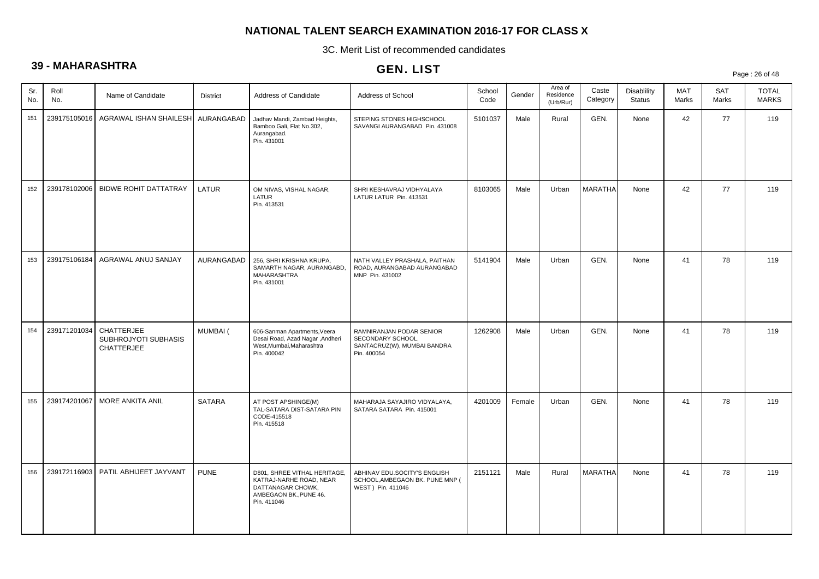3C. Merit List of recommended candidates

# **39 - MAHARASHTRA**

# GEN. LIST

Page : 26 of 48

| Sr.<br>No. | Roll<br>No.  | Name of Candidate                                       | <b>District</b> | Address of Candidate                                                                                                  | Address of School                                                                           | School<br>Code | Gender | Area of<br>Residence<br>(Urb/Rur) | Caste<br>Category | Disablility<br><b>Status</b> | MAT<br>Marks | SAT<br>Marks | <b>TOTAL</b><br><b>MARKS</b> |
|------------|--------------|---------------------------------------------------------|-----------------|-----------------------------------------------------------------------------------------------------------------------|---------------------------------------------------------------------------------------------|----------------|--------|-----------------------------------|-------------------|------------------------------|--------------|--------------|------------------------------|
| 151        |              | 239175105016   AGRAWAL ISHAN SHAILESH   AURANGABAD      |                 | Jadhav Mandi, Zambad Heights,<br>Bamboo Gali, Flat No.302,<br>Aurangabad.<br>Pin. 431001                              | STEPING STONES HIGHSCHOOL<br>SAVANGI AURANGABAD Pin. 431008                                 | 5101037        | Male   | Rural                             | GEN.              | None                         | 42           | 77           | 119                          |
| 152        |              | 239178102006   BIDWE ROHIT DATTATRAY                    | LATUR           | OM NIVAS, VISHAL NAGAR,<br>LATUR<br>Pin. 413531                                                                       | SHRI KESHAVRAJ VIDHYALAYA<br>LATUR LATUR Pin. 413531                                        | 8103065        | Male   | Urban                             | <b>MARATHA</b>    | None                         | 42           | 77           | 119                          |
| 153        | 239175106184 | AGRAWAL ANUJ SANJAY                                     | AURANGABAD      | 256, SHRI KRISHNA KRUPA,<br>SAMARTH NAGAR, AURANGABD,<br><b>MAHARASHTRA</b><br>Pin. 431001                            | NATH VALLEY PRASHALA, PAITHAN<br>ROAD, AURANGABAD AURANGABAD<br>MNP Pin. 431002             | 5141904        | Male   | Urban                             | GEN.              | None                         | 41           | 78           | 119                          |
| 154        | 239171201034 | CHATTERJEE<br>SUBHROJYOTI SUBHASIS<br><b>CHATTERJEE</b> | MUMBAI (        | 606-Sanman Apartments, Veera<br>Desai Road, Azad Nagar, Andheri<br>West, Mumbai, Maharashtra<br>Pin. 400042           | RAMNIRANJAN PODAR SENIOR<br>SECONDARY SCHOOL,<br>SANTACRUZ(W), MUMBAI BANDRA<br>Pin. 400054 | 1262908        | Male   | Urban                             | GEN.              | None                         | 41           | 78           | 119                          |
| 155        | 239174201067 | MORE ANKITA ANIL                                        | <b>SATARA</b>   | AT POST APSHINGE(M)<br>TAL-SATARA DIST-SATARA PIN<br>CODE-415518<br>Pin. 415518                                       | MAHARAJA SAYAJIRO VIDYALAYA,<br>SATARA SATARA Pin. 415001                                   | 4201009        | Female | Urban                             | GEN.              | None                         | 41           | 78           | 119                          |
| 156        | 239172116903 | PATIL ABHIJEET JAYVANT                                  | <b>PUNE</b>     | D801, SHREE VITHAL HERITAGE,<br>KATRAJ-NARHE ROAD, NEAR<br>DATTANAGAR CHOWK,<br>AMBEGAON BK., PUNE 46.<br>Pin. 411046 | ABHINAV EDU.SOCITY'S ENGLISH<br>SCHOOL, AMBEGAON BK. PUNE MNP (<br>WEST ) Pin. 411046       | 2151121        | Male   | Rural                             | <b>MARATHA</b>    | None                         | 41           | 78           | 119                          |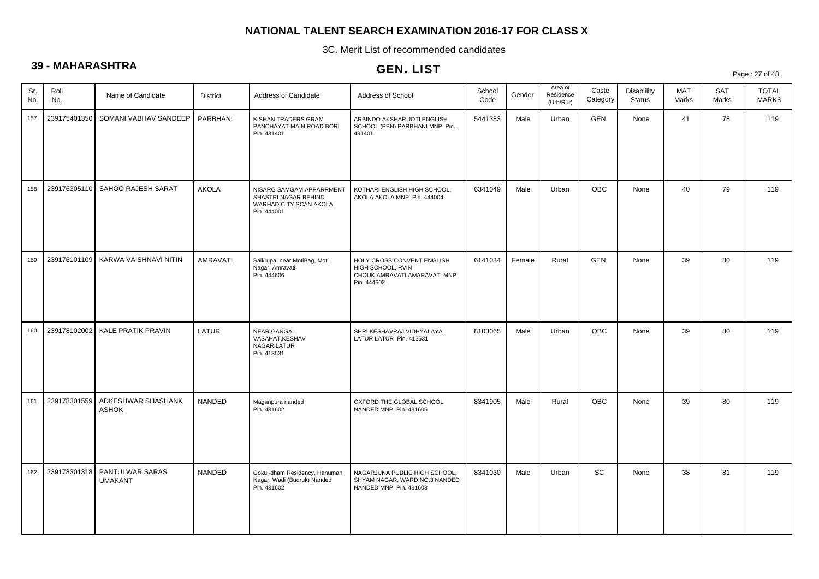3C. Merit List of recommended candidates

# **39 - MAHARASHTRA**

|            |              |                                    |                 |                                                                                           | <b>ULIV. LIJI</b>                                                                                |                |        |                                   |                   |                              |                     |                     | Page: 27 of 48               |
|------------|--------------|------------------------------------|-----------------|-------------------------------------------------------------------------------------------|--------------------------------------------------------------------------------------------------|----------------|--------|-----------------------------------|-------------------|------------------------------|---------------------|---------------------|------------------------------|
| Sr.<br>No. | Roll<br>No.  | Name of Candidate                  | <b>District</b> | Address of Candidate                                                                      | Address of School                                                                                | School<br>Code | Gender | Area of<br>Residence<br>(Urb/Rur) | Caste<br>Category | Disablility<br><b>Status</b> | <b>MAT</b><br>Marks | <b>SAT</b><br>Marks | <b>TOTAL</b><br><b>MARKS</b> |
| 157        | 239175401350 | SOMANI VABHAV SANDEEP              | PARBHANI        | KISHAN TRADERS GRAM<br>PANCHAYAT MAIN ROAD BORI<br>Pin. 431401                            | ARBINDO AKSHAR JOTI ENGLISH<br>SCHOOL (PBN) PARBHANI MNP Pin.<br>431401                          | 5441383        | Male   | Urban                             | GEN.              | None                         | 41                  | 78                  | 119                          |
| 158        | 239176305110 | SAHOO RAJESH SARAT                 | AKOLA           | NISARG SAMGAM APPARRMENT<br>SHASTRI NAGAR BEHIND<br>WARHAD CITY SCAN AKOLA<br>Pin. 444001 | KOTHARI ENGLISH HIGH SCHOOL,<br>AKOLA AKOLA MNP Pin. 444004                                      | 6341049        | Male   | Urban                             | <b>OBC</b>        | None                         | 40                  | 79                  | 119                          |
| 159        | 239176101109 | KARWA VAISHNAVI NITIN              | AMRAVATI        | Saikrupa, near MotiBag, Moti<br>Nagar, Amravati.<br>Pin. 444606                           | HOLY CROSS CONVENT ENGLISH<br>HIGH SCHOOL, IRVIN<br>CHOUK, AMRAVATI AMARAVATI MNP<br>Pin. 444602 | 6141034        | Female | Rural                             | GEN.              | None                         | 39                  | 80                  | 119                          |
| 160        | 239178102002 | KALE PRATIK PRAVIN                 | LATUR           | <b>NEAR GANGAL</b><br>VASAHAT, KESHAV<br>NAGAR, LATUR<br>Pin. 413531                      | SHRI KESHAVRAJ VIDHYALAYA<br>LATUR LATUR Pin. 413531                                             | 8103065        | Male   | Urban                             | <b>OBC</b>        | None                         | 39                  | 80                  | 119                          |
| 161        | 239178301559 | ADKESHWAR SHASHANK<br><b>ASHOK</b> | <b>NANDED</b>   | Maganpura nanded<br>Pin. 431602                                                           | OXFORD THE GLOBAL SCHOOL<br>NANDED MNP Pin. 431605                                               | 8341905        | Male   | Rural                             | <b>OBC</b>        | None                         | 39                  | 80                  | 119                          |
| 162        | 239178301318 | PANTULWAR SARAS<br><b>UMAKANT</b>  | <b>NANDED</b>   | Gokul-dham Residency, Hanuman<br>Nagar, Wadi (Budruk) Nanded<br>Pin. 431602               | NAGARJUNA PUBLIC HIGH SCHOOL,<br>SHYAM NAGAR, WARD NO.3 NANDED<br>NANDED MNP Pin. 431603         | 8341030        | Male   | Urban                             | SC                | None                         | 38                  | 81                  | 119                          |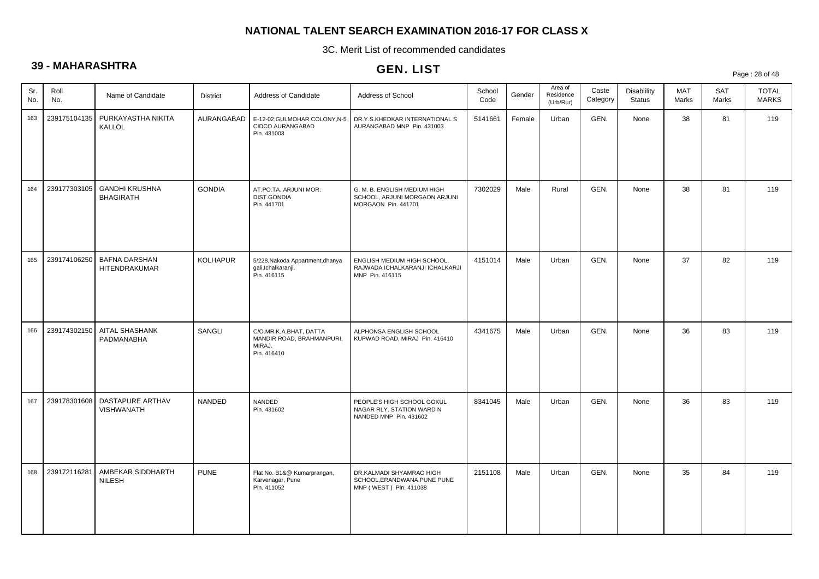3C. Merit List of recommended candidates

# **39 - MAHARASHTRA**

|            |              |                                           |                 |                                                                              | <b>ULIV. LIJI</b>                                                                    |                |        |                                   |                   |                                     |              |                     | Page: 28 of 48               |
|------------|--------------|-------------------------------------------|-----------------|------------------------------------------------------------------------------|--------------------------------------------------------------------------------------|----------------|--------|-----------------------------------|-------------------|-------------------------------------|--------------|---------------------|------------------------------|
| Sr.<br>No. | Roll<br>No.  | Name of Candidate                         | <b>District</b> | Address of Candidate                                                         | Address of School                                                                    | School<br>Code | Gender | Area of<br>Residence<br>(Urb/Rur) | Caste<br>Category | <b>Disablility</b><br><b>Status</b> | MAT<br>Marks | <b>SAT</b><br>Marks | <b>TOTAL</b><br><b>MARKS</b> |
| 163        | 239175104135 | PURKAYASTHA NIKITA<br>KALLOL              | AURANGABAD      | E-12-02, GULMOHAR COLONY, N-5<br>CIDCO AURANGABAD<br>Pin. 431003             | DR.Y.S.KHEDKAR INTERNATIONAL S<br>AURANGABAD MNP Pin. 431003                         | 5141661        | Female | Urban                             | GEN.              | None                                | 38           | 81                  | 119                          |
| 164        | 239177303105 | <b>GANDHI KRUSHNA</b><br><b>BHAGIRATH</b> | <b>GONDIA</b>   | AT.PO.TA. ARJUNI MOR.<br>DIST.GONDIA<br>Pin. 441701                          | G. M. B. ENGLISH MEDIUM HIGH<br>SCHOOL, ARJUNI MORGAON ARJUNI<br>MORGAON Pin. 441701 | 7302029        | Male   | Rural                             | GEN.              | None                                | 38           | 81                  | 119                          |
| 165        | 239174106250 | <b>BAFNA DARSHAN</b><br>HITENDRAKUMAR     | <b>KOLHAPUR</b> | 5/228, Nakoda Appartment, dhanya<br>gali, Ichalkaranji.<br>Pin. 416115       | ENGLISH MEDIUM HIGH SCHOOL,<br>RAJWADA ICHALKARANJI ICHALKARJI<br>MNP Pin. 416115    | 4151014        | Male   | Urban                             | GEN.              | None                                | 37           | 82                  | 119                          |
| 166        | 239174302150 | AITAL SHASHANK<br>PADMANABHA              | SANGLI          | C/O.MR.K.A.BHAT, DATTA<br>MANDIR ROAD, BRAHMANPURI,<br>MIRAJ.<br>Pin. 416410 | ALPHONSA ENGLISH SCHOOL<br>KUPWAD ROAD, MIRAJ Pin. 416410                            | 4341675        | Male   | Urban                             | GEN.              | None                                | 36           | 83                  | 119                          |
| 167        | 239178301608 | DASTAPURE ARTHAV<br><b>VISHWANATH</b>     | NANDED          | NANDED<br>Pin. 431602                                                        | PEOPLE'S HIGH SCHOOL GOKUL<br>NAGAR RLY. STATION WARD N<br>NANDED MNP Pin. 431602    | 8341045        | Male   | Urban                             | GEN.              | None                                | 36           | 83                  | 119                          |
| 168        | 239172116281 | AMBEKAR SIDDHARTH<br><b>NILESH</b>        | <b>PUNE</b>     | Flat No. B1&@ Kumarprangan,<br>Karvenagar, Pune<br>Pin. 411052               | DR.KALMADI SHYAMRAO HIGH<br>SCHOOL, ERANDWANA, PUNE PUNE<br>MNP (WEST) Pin. 411038   | 2151108        | Male   | Urban                             | GEN.              | None                                | 35           | 84                  | 119                          |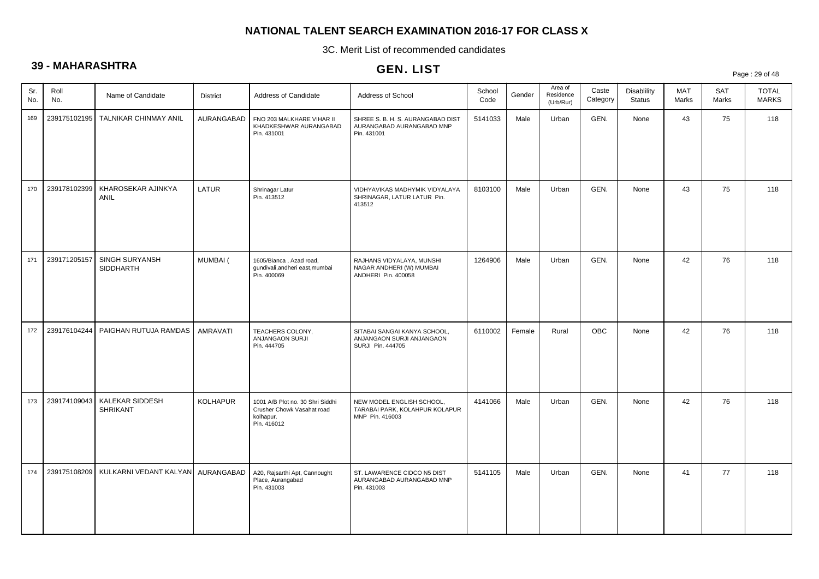3C. Merit List of recommended candidates

# **39 - MAHARASHTRA**

|            | .            |                                    |                 |                                                                                            | <b>ULIV. LIJI</b>                                                              |                |        |                                   |                   |                                     |              |              | Page: 29 of 48               |
|------------|--------------|------------------------------------|-----------------|--------------------------------------------------------------------------------------------|--------------------------------------------------------------------------------|----------------|--------|-----------------------------------|-------------------|-------------------------------------|--------------|--------------|------------------------------|
| Sr.<br>No. | Roll<br>No.  | Name of Candidate                  | <b>District</b> | Address of Candidate                                                                       | Address of School                                                              | School<br>Code | Gender | Area of<br>Residence<br>(Urb/Rur) | Caste<br>Category | <b>Disablility</b><br><b>Status</b> | MAT<br>Marks | SAT<br>Marks | <b>TOTAL</b><br><b>MARKS</b> |
| 169        | 239175102195 | TALNIKAR CHINMAY ANIL              | AURANGABAD      | FNO 203 MALKHARE VIHAR II<br>KHADKESHWAR AURANGABAD<br>Pin. 431001                         | SHREE S. B. H. S. AURANGABAD DIST<br>AURANGABAD AURANGABAD MNP<br>Pin. 431001  | 5141033        | Male   | Urban                             | GEN.              | None                                | 43           | 75           | 118                          |
| 170        | 239178102399 | KHAROSEKAR AJINKYA<br>ANIL         | LATUR           | Shrinagar Latur<br>Pin. 413512                                                             | VIDHYAVIKAS MADHYMIK VIDYALAYA<br>SHRINAGAR, LATUR LATUR Pin.<br>413512        | 8103100        | Male   | Urban                             | GEN.              | None                                | 43           | 75           | 118                          |
| 171        | 239171205157 | SINGH SURYANSH<br>SIDDHARTH        | MUMBAI (        | 1605/Bianca, Azad road,<br>qundivali, andheri east, mumbai<br>Pin. 400069                  | RAJHANS VIDYALAYA, MUNSHI<br>NAGAR ANDHERI (W) MUMBAI<br>ANDHERI Pin. 400058   | 1264906        | Male   | Urban                             | GEN.              | None                                | 42           | 76           | 118                          |
| 172        | 239176104244 | PAIGHAN RUTUJA RAMDAS              | <b>AMRAVATI</b> | TEACHERS COLONY,<br>ANJANGAON SURJI<br>Pin. 444705                                         | SITABAI SANGAI KANYA SCHOOL,<br>ANJANGAON SURJI ANJANGAON<br>SURJI Pin. 444705 | 6110002        | Female | Rural                             | <b>OBC</b>        | None                                | 42           | 76           | 118                          |
| 173        | 239174109043 | KALEKAR SIDDESH<br><b>SHRIKANT</b> | <b>KOLHAPUR</b> | 1001 A/B Plot no. 30 Shri Siddhi<br>Crusher Chowk Vasahat road<br>kolhapur.<br>Pin. 416012 | NEW MODEL ENGLISH SCHOOL,<br>TARABAI PARK, KOLAHPUR KOLAPUR<br>MNP Pin. 416003 | 4141066        | Male   | Urban                             | GEN.              | None                                | 42           | 76           | 118                          |
| 174        | 239175108209 | KULKARNI VEDANT KALYAN AURANGABAD  |                 | A20, Rajsarthi Apt, Cannought<br>Place, Aurangabad<br>Pin. 431003                          | ST. LAWARENCE CIDCO N5 DIST<br>AURANGABAD AURANGABAD MNP<br>Pin. 431003        | 5141105        | Male   | Urban                             | GEN.              | None                                | 41           | 77           | 118                          |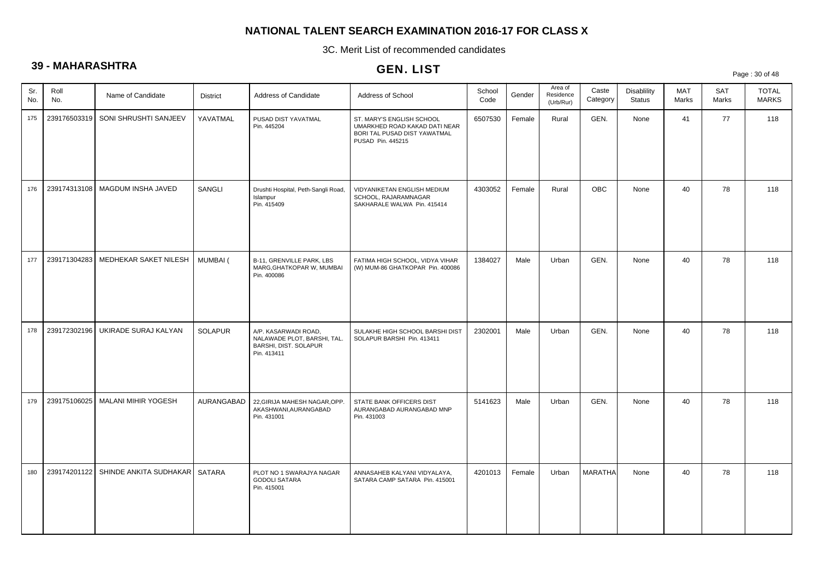3C. Merit List of recommended candidates

# **39 - MAHARASHTRA**

# GEN. LIST

Page : 30 of 48

| Sr.<br>No. | Roll<br>No.  | Name of Candidate             | <b>District</b> | Address of Candidate                                                                        | Address of School                                                                                               | School<br>Code | Gender | Area of<br>Residence<br>(Urb/Rur) | Caste<br>Category | Disablility<br>Status | MAT<br>Marks | <b>SAT</b><br>Marks | <b>TOTAL</b><br><b>MARKS</b> |
|------------|--------------|-------------------------------|-----------------|---------------------------------------------------------------------------------------------|-----------------------------------------------------------------------------------------------------------------|----------------|--------|-----------------------------------|-------------------|-----------------------|--------------|---------------------|------------------------------|
| 175        | 239176503319 | SONI SHRUSHTI SANJEEV         | YAVATMAL        | PUSAD DIST YAVATMAL<br>Pin. 445204                                                          | ST. MARY'S ENGLISH SCHOOL<br>UMARKHED ROAD KAKAD DATI NEAR<br>BORI TAL PUSAD DIST YAWATMAL<br>PUSAD Pin. 445215 | 6507530        | Female | Rural                             | GEN.              | None                  | 41           | 77                  | 118                          |
| 176        | 239174313108 | MAGDUM INSHA JAVED            | SANGLI          | Drushti Hospital, Peth-Sangli Road,<br>Islampur<br>Pin. 415409                              | VIDYANIKETAN ENGLISH MEDIUM<br>SCHOOL, RAJARAMNAGAR<br>SAKHARALE WALWA Pin. 415414                              | 4303052        | Female | Rural                             | <b>OBC</b>        | None                  | 40           | 78                  | 118                          |
| 177        | 239171304283 | MEDHEKAR SAKET NILESH         | MUMBAI (        | B-11, GRENVILLE PARK, LBS<br>MARG, GHATKOPAR W, MUMBAI<br>Pin. 400086                       | FATIMA HIGH SCHOOL, VIDYA VIHAR<br>(W) MUM-86 GHATKOPAR Pin. 400086                                             | 1384027        | Male   | Urban                             | GEN.              | None                  | 40           | 78                  | 118                          |
| 178        | 239172302196 | UKIRADE SURAJ KALYAN          | <b>SOLAPUR</b>  | A/P. KASARWADI ROAD,<br>NALAWADE PLOT, BARSHI, TAL.<br>BARSHI, DIST. SOLAPUR<br>Pin. 413411 | SULAKHE HIGH SCHOOL BARSHI DIST<br>SOLAPUR BARSHI Pin. 413411                                                   | 2302001        | Male   | Urban                             | GEN.              | None                  | 40           | 78                  | 118                          |
| 179        | 239175106025 | <b>MALANI MIHIR YOGESH</b>    | AURANGABAD      | 22, GIRIJA MAHESH NAGAR, OPP.<br>AKASHWANI, AURANGABAD<br>Pin. 431001                       | STATE BANK OFFICERS DIST<br>AURANGABAD AURANGABAD MNP<br>Pin. 431003                                            | 5141623        | Male   | Urban                             | GEN.              | None                  | 40           | 78                  | 118                          |
| 180        | 239174201122 | SHINDE ANKITA SUDHAKAR SATARA |                 | PLOT NO 1 SWARAJYA NAGAR<br><b>GODOLI SATARA</b><br>Pin. 415001                             | ANNASAHEB KALYANI VIDYALAYA,<br>SATARA CAMP SATARA Pin. 415001                                                  | 4201013        | Female | Urban                             | <b>MARATHA</b>    | None                  | 40           | 78                  | 118                          |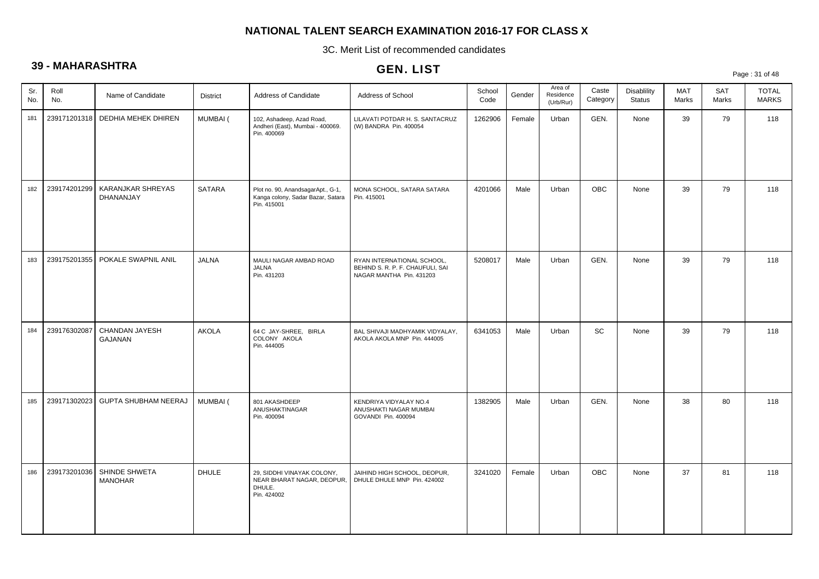3C. Merit List of recommended candidates

# **39 - MAHARASHTRA**

# GEN. LIST

Page : 31 of 48

| Sr.<br>No. | Roll<br>No.  | Name of Candidate               | <b>District</b> | Address of Candidate                                                                  | Address of School                                                                          | School<br>Code | Gender | Area of<br>Residence<br>(Urb/Rur) | Caste<br>Category | <b>Disablility</b><br><b>Status</b> | MAT<br>Marks | SAT<br>Marks | <b>TOTAL</b><br><b>MARKS</b> |
|------------|--------------|---------------------------------|-----------------|---------------------------------------------------------------------------------------|--------------------------------------------------------------------------------------------|----------------|--------|-----------------------------------|-------------------|-------------------------------------|--------------|--------------|------------------------------|
| 181        | 239171201318 | DEDHIA MEHEK DHIREN             | MUMBAI (        | 102, Ashadeep, Azad Road,<br>Andheri (East), Mumbai - 400069.<br>Pin. 400069          | LILAVATI POTDAR H. S. SANTACRUZ<br>(W) BANDRA Pin. 400054                                  | 1262906        | Female | Urban                             | GEN.              | None                                | 39           | 79           | 118                          |
| 182        | 239174201299 | KARANJKAR SHREYAS<br>DHANANJAY  | <b>SATARA</b>   | Plot no. 90, AnandsagarApt., G-1,<br>Kanga colony, Sadar Bazar, Satara<br>Pin. 415001 | MONA SCHOOL, SATARA SATARA<br>Pin. 415001                                                  | 4201066        | Male   | Urban                             | <b>OBC</b>        | None                                | 39           | 79           | 118                          |
| 183        | 239175201355 | POKALE SWAPNIL ANIL             | <b>JALNA</b>    | MAULI NAGAR AMBAD ROAD<br><b>JALNA</b><br>Pin. 431203                                 | RYAN INTERNATIONAL SCHOOL,<br>BEHIND S. R. P. F. CHAUFULI, SAI<br>NAGAR MANTHA Pin. 431203 | 5208017        | Male   | Urban                             | GEN.              | None                                | 39           | 79           | 118                          |
| 184        | 239176302087 | CHANDAN JAYESH<br>GAJANAN       | <b>AKOLA</b>    | 64 C JAY-SHREE, BIRLA<br>COLONY AKOLA<br>Pin. 444005                                  | BAL SHIVAJI MADHYAMIK VIDYALAY,<br>AKOLA AKOLA MNP Pin. 444005                             | 6341053        | Male   | Urban                             | SC                | None                                | 39           | 79           | 118                          |
| 185        | 239171302023 | <b>GUPTA SHUBHAM NEERAJ</b>     | MUMBAI (        | 801 AKASHDEEP<br>ANUSHAKTINAGAR<br>Pin. 400094                                        | KENDRIYA VIDYALAY NO.4<br>ANUSHAKTI NAGAR MUMBAI<br>GOVANDI Pin. 400094                    | 1382905        | Male   | Urban                             | GEN.              | None                                | 38           | 80           | 118                          |
| 186        | 239173201036 | SHINDE SHWETA<br><b>MANOHAR</b> | <b>DHULE</b>    | 29, SIDDHI VINAYAK COLONY,<br>NEAR BHARAT NAGAR, DEOPUR,<br>DHULE.<br>Pin. 424002     | JAIHIND HIGH SCHOOL, DEOPUR,<br>DHULE DHULE MNP Pin. 424002                                | 3241020        | Female | Urban                             | OBC               | None                                | 37           | 81           | 118                          |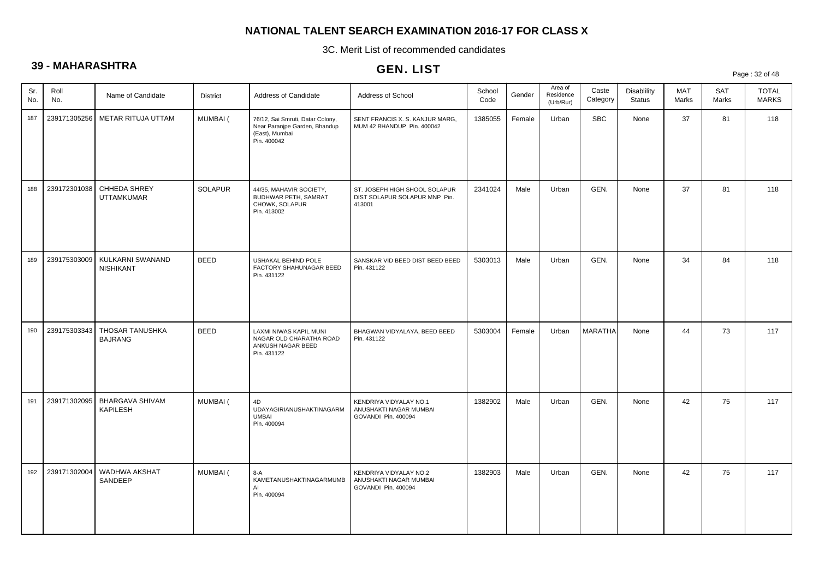3C. Merit List of recommended candidates

# **39 - MAHARASHTRA**

|            |              |                                      |                 |                                                                                                    | <b>ULIV. LIJI</b>                                                        |                |        |                                   |                   |                                     |              |                     | Page: 32 of 48               |
|------------|--------------|--------------------------------------|-----------------|----------------------------------------------------------------------------------------------------|--------------------------------------------------------------------------|----------------|--------|-----------------------------------|-------------------|-------------------------------------|--------------|---------------------|------------------------------|
| Sr.<br>No. | Roll<br>No.  | Name of Candidate                    | <b>District</b> | Address of Candidate                                                                               | Address of School                                                        | School<br>Code | Gender | Area of<br>Residence<br>(Urb/Rur) | Caste<br>Category | <b>Disablility</b><br><b>Status</b> | MAT<br>Marks | <b>SAT</b><br>Marks | <b>TOTAL</b><br><b>MARKS</b> |
| 187        | 239171305256 | METAR RITUJA UTTAM                   | MUMBAI (        | 76/12, Sai Smruti, Datar Colony,<br>Near Paranipe Garden, Bhandup<br>(East), Mumbai<br>Pin. 400042 | SENT FRANCIS X. S. KANJUR MARG,<br>MUM 42 BHANDUP Pin. 400042            | 1385055        | Female | Urban                             | <b>SBC</b>        | None                                | 37           | 81                  | 118                          |
| 188        | 239172301038 | CHHEDA SHREY<br><b>UTTAMKUMAR</b>    | <b>SOLAPUR</b>  | 44/35, MAHAVIR SOCIETY,<br>BUDHWAR PETH, SAMRAT<br>CHOWK, SOLAPUR<br>Pin. 413002                   | ST. JOSEPH HIGH SHOOL SOLAPUR<br>DIST SOLAPUR SOLAPUR MNP Pin.<br>413001 | 2341024        | Male   | Urban                             | GEN.              | None                                | 37           | 81                  | 118                          |
| 189        | 239175303009 | KULKARNI SWANAND<br><b>NISHIKANT</b> | <b>BEED</b>     | USHAKAL BEHIND POLE<br>FACTORY SHAHUNAGAR BEED<br>Pin. 431122                                      | SANSKAR VID BEED DIST BEED BEED<br>Pin. 431122                           | 5303013        | Male   | Urban                             | GEN.              | None                                | 34           | 84                  | 118                          |
| 190        | 239175303343 | THOSAR TANUSHKA<br><b>BAJRANG</b>    | <b>BEED</b>     | LAXMI NIWAS KAPIL MUNI<br>NAGAR OLD CHARATHA ROAD<br>ANKUSH NAGAR BEED<br>Pin. 431122              | BHAGWAN VIDYALAYA, BEED BEED<br>Pin. 431122                              | 5303004        | Female | Urban                             | <b>MARATHA</b>    | None                                | 44           | 73                  | 117                          |
| 191        | 239171302095 | BHARGAVA SHIVAM<br>KAPILESH          | MUMBAI (        | 4D<br>UDAYAGIRIANUSHAKTINAGARM<br><b>UMBAI</b><br>Pin. 400094                                      | KENDRIYA VIDYALAY NO.1<br>ANUSHAKTI NAGAR MUMBAI<br>GOVANDI Pin. 400094  | 1382902        | Male   | Urban                             | GEN.              | None                                | 42           | 75                  | 117                          |
| 192        | 239171302004 | WADHWA AKSHAT<br>SANDEEP             | MUMBAI (        | $8-A$<br>KAMETANUSHAKTINAGARMUMB<br>AI<br>Pin. 400094                                              | KENDRIYA VIDYALAY NO.2<br>ANUSHAKTI NAGAR MUMBAI<br>GOVANDI Pin. 400094  | 1382903        | Male   | Urban                             | GEN.              | None                                | 42           | 75                  | 117                          |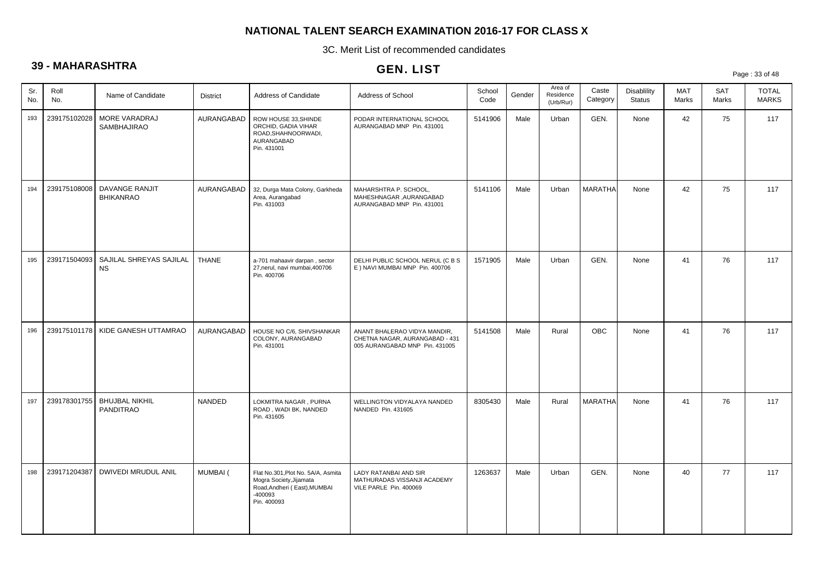3C. Merit List of recommended candidates

# **39 - MAHARASHTRA**

|            |              |                                      |                 |                                                                                                                         | GEN. LIJ I                                                                                       |                |        |                                   |                   |                                     |                     |              | Page: 33 of 48               |
|------------|--------------|--------------------------------------|-----------------|-------------------------------------------------------------------------------------------------------------------------|--------------------------------------------------------------------------------------------------|----------------|--------|-----------------------------------|-------------------|-------------------------------------|---------------------|--------------|------------------------------|
| Sr.<br>No. | Roll<br>No.  | Name of Candidate                    | <b>District</b> | Address of Candidate                                                                                                    | Address of School                                                                                | School<br>Code | Gender | Area of<br>Residence<br>(Urb/Rur) | Caste<br>Category | <b>Disablility</b><br><b>Status</b> | <b>MAT</b><br>Marks | SAT<br>Marks | <b>TOTAL</b><br><b>MARKS</b> |
| 193        | 239175102028 | MORE VARADRAJ<br>SAMBHAJIRAO         | AURANGABAD      | ROW HOUSE 33, SHINDE<br>ORCHID, GADIA VIHAR<br>ROAD, SHAHNOORWADI,<br>AURANGABAD<br>Pin. 431001                         | PODAR INTERNATIONAL SCHOOL<br>AURANGABAD MNP Pin. 431001                                         | 5141906        | Male   | Urban                             | GEN.              | None                                | 42                  | 75           | 117                          |
| 194        | 239175108008 | DAVANGE RANJIT<br><b>BHIKANRAO</b>   | AURANGABAD      | 32, Durga Mata Colony, Garkheda<br>Area, Aurangabad<br>Pin. 431003                                                      | MAHARSHTRA P. SCHOOL,<br>MAHESHNAGAR , AURANGABAD<br>AURANGABAD MNP Pin. 431001                  | 5141106        | Male   | Urban                             | <b>MARATHA</b>    | None                                | 42                  | 75           | 117                          |
| 195        | 239171504093 | SAJILAL SHREYAS SAJILAL<br><b>NS</b> | <b>THANE</b>    | a-701 mahaavir darpan, sector<br>27, nerul, navi mumbai, 400706<br>Pin. 400706                                          | DELHI PUBLIC SCHOOL NERUL (C B S<br>E ) NAVI MUMBAI MNP Pin. 400706                              | 1571905        | Male   | Urban                             | GEN.              | None                                | 41                  | 76           | 117                          |
| 196        | 239175101178 | KIDE GANESH UTTAMRAO                 | AURANGABAD      | HOUSE NO C/6, SHIVSHANKAR<br>COLONY, AURANGABAD<br>Pin. 431001                                                          | ANANT BHALERAO VIDYA MANDIR,<br>CHETNA NAGAR, AURANGABAD - 431<br>005 AURANGABAD MNP Pin. 431005 | 5141508        | Male   | Rural                             | <b>OBC</b>        | None                                | 41                  | 76           | 117                          |
| 197        | 239178301755 | <b>BHUJBAL NIKHIL</b><br>PANDITRAO   | <b>NANDED</b>   | LOKMITRA NAGAR, PURNA<br>ROAD, WADI BK, NANDED<br>Pin. 431605                                                           | WELLINGTON VIDYALAYA NANDED<br>NANDED Pin. 431605                                                | 8305430        | Male   | Rural                             | <b>MARATHA</b>    | None                                | 41                  | 76           | 117                          |
| 198        | 239171204387 | <b>DWIVEDI MRUDUL ANIL</b>           | MUMBAI (        | Flat No.301, Plot No. 5A/A, Asmita<br>Mogra Society, Jijamata<br>Road, Andheri (East), MUMBAI<br>-400093<br>Pin. 400093 | LADY RATANBAI AND SIR<br>MATHURADAS VISSANJI ACADEMY<br>VILE PARLE Pin. 400069                   | 1263637        | Male   | Urban                             | GEN.              | None                                | 40                  | 77           | 117                          |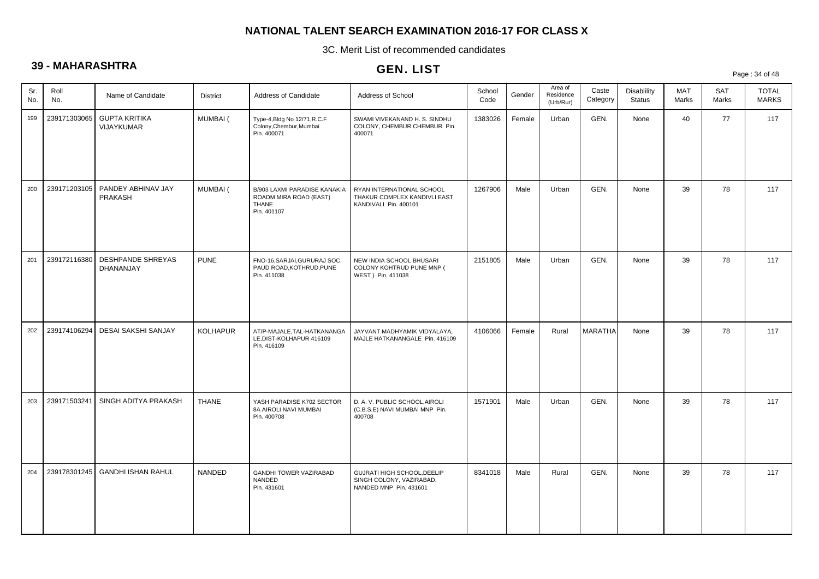3C. Merit List of recommended candidates

# **39 - MAHARASHTRA**

|            |              |                                    |                 |                                                                                       | ULIV. LIJ I                                                                        |                |        |                                   |                   |                                     |                     |                     | Page: 34 of 48               |
|------------|--------------|------------------------------------|-----------------|---------------------------------------------------------------------------------------|------------------------------------------------------------------------------------|----------------|--------|-----------------------------------|-------------------|-------------------------------------|---------------------|---------------------|------------------------------|
| Sr.<br>No. | Roll<br>No.  | Name of Candidate                  | <b>District</b> | Address of Candidate                                                                  | Address of School                                                                  | School<br>Code | Gender | Area of<br>Residence<br>(Urb/Rur) | Caste<br>Category | <b>Disablility</b><br><b>Status</b> | <b>MAT</b><br>Marks | <b>SAT</b><br>Marks | <b>TOTAL</b><br><b>MARKS</b> |
| 199        | 239171303065 | <b>GUPTA KRITIKA</b><br>VIJAYKUMAR | <b>MUMBAI</b> ( | Type-4, Bldg No 12/71, R.C.F<br>Colony, Chembur, Mumbai<br>Pin. 400071                | SWAMI VIVEKANAND H. S. SINDHU<br>COLONY, CHEMBUR CHEMBUR Pin.<br>400071            | 1383026        | Female | Urban                             | GEN.              | None                                | 40                  | 77                  | 117                          |
| 200        | 239171203105 | PANDEY ABHINAV JAY<br>PRAKASH      | MUMBAI (        | B/903 LAXMI PARADISE KANAKIA<br>ROADM MIRA ROAD (EAST)<br><b>THANE</b><br>Pin. 401107 | RYAN INTERNATIONAL SCHOOL<br>THAKUR COMPLEX KANDIVLI EAST<br>KANDIVALI Pin. 400101 | 1267906        | Male   | Urban                             | GEN.              | None                                | 39                  | 78                  | 117                          |
| 201        | 239172116380 | DESHPANDE SHREYAS<br>DHANANJAY     | <b>PUNE</b>     | FNO-16, SARJAI, GURURAJ SOC,<br>PAUD ROAD, KOTHRUD, PUNE<br>Pin. 411038               | NEW INDIA SCHOOL BHUSARI<br>COLONY KOHTRUD PUNE MNP (<br>WEST ) Pin. 411038        | 2151805        | Male   | Urban                             | GEN.              | None                                | 39                  | 78                  | 117                          |
| 202        | 239174106294 | <b>DESAI SAKSHI SANJAY</b>         | <b>KOLHAPUR</b> | AT/P-MAJALE, TAL-HATKANANGA<br>LE, DIST-KOLHAPUR 416109<br>Pin. 416109                | JAYVANT MADHYAMIK VIDYALAYA,<br>MAJLE HATKANANGALE Pin. 416109                     | 4106066        | Female | Rural                             | <b>MARATHA</b>    | None                                | 39                  | 78                  | 117                          |
| 203        | 239171503241 | SINGH ADITYA PRAKASH               | <b>THANE</b>    | YASH PARADISE K702 SECTOR<br>8A AIROLI NAVI MUMBAI<br>Pin. 400708                     | D. A. V. PUBLIC SCHOOL, AIROLI<br>(C.B.S.E) NAVI MUMBAI MNP Pin.<br>400708         | 1571901        | Male   | Urban                             | GEN.              | None                                | 39                  | 78                  | 117                          |
| 204        | 239178301245 | <b>GANDHI ISHAN RAHUL</b>          | NANDED          | GANDHI TOWER VAZIRABAD<br>NANDED<br>Pin. 431601                                       | GUJRATI HIGH SCHOOL, DEELIP<br>SINGH COLONY, VAZIRABAD,<br>NANDED MNP Pin. 431601  | 8341018        | Male   | Rural                             | GEN.              | None                                | 39                  | 78                  | 117                          |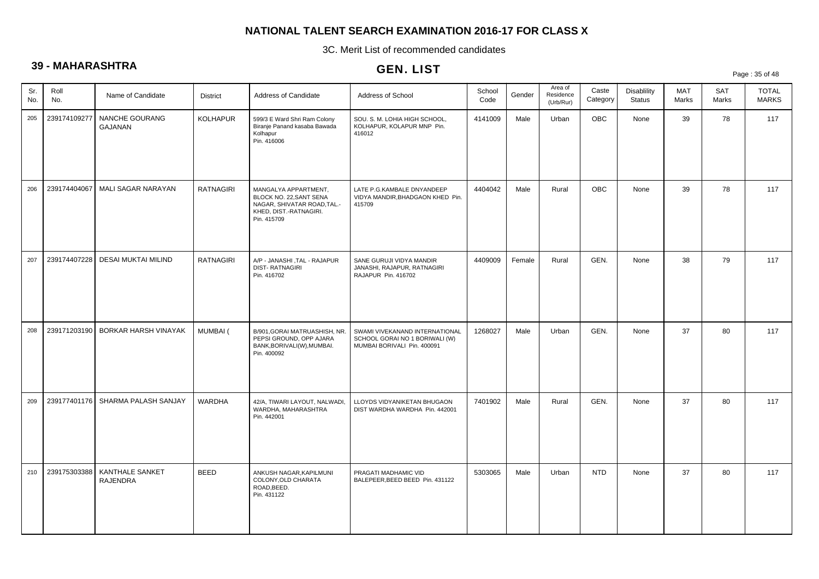3C. Merit List of recommended candidates

# **39 - MAHARASHTRA**

|                           |                             |                  |                                                                                                                         | <b>ULIV. LIJI</b>                                                                               |                |        |                                   |                   |                                     |              |                     | Page: 35 of 48               |
|---------------------------|-----------------------------|------------------|-------------------------------------------------------------------------------------------------------------------------|-------------------------------------------------------------------------------------------------|----------------|--------|-----------------------------------|-------------------|-------------------------------------|--------------|---------------------|------------------------------|
| Roll<br>Sr.<br>No.<br>No. | Name of Candidate           | <b>District</b>  | Address of Candidate                                                                                                    | Address of School                                                                               | School<br>Code | Gender | Area of<br>Residence<br>(Urb/Rur) | Caste<br>Category | <b>Disablility</b><br><b>Status</b> | MAT<br>Marks | <b>SAT</b><br>Marks | <b>TOTAL</b><br><b>MARKS</b> |
| 239174109277<br>205       | NANCHE GOURANG<br>GAJANAN   | <b>KOLHAPUR</b>  | 599/3 E Ward Shri Ram Colony<br>Biranje Panand kasaba Bawada<br>Kolhapur<br>Pin. 416006                                 | SOU. S. M. LOHIA HIGH SCHOOL,<br>KOLHAPUR, KOLAPUR MNP Pin.<br>416012                           | 4141009        | Male   | Urban                             | OBC               | None                                | 39           | 78                  | 117                          |
| 239174404067<br>206       | MALI SAGAR NARAYAN          | <b>RATNAGIRI</b> | MANGALYA APPARTMENT,<br>BLOCK NO. 22, SANT SENA<br>NAGAR, SHIVATAR ROAD, TAL.-<br>KHED, DIST.-RATNAGIRI.<br>Pin. 415709 | LATE P.G.KAMBALE DNYANDEEP<br>VIDYA MANDIR, BHADGAON KHED Pin.<br>415709                        | 4404042        | Male   | Rural                             | OBC               | None                                | 39           | 78                  | 117                          |
| 239174407228<br>207       | DESAI MUKTAI MILIND         | RATNAGIRI        | A/P - JANASHI, TAL - RAJAPUR<br><b>DIST-RATNAGIRI</b><br>Pin. 416702                                                    | SANE GURUJI VIDYA MANDIR<br>JANASHI, RAJAPUR, RATNAGIRI<br>RAJAPUR Pin. 416702                  | 4409009        | Female | Rural                             | GEN.              | None                                | 38           | 79                  | 117                          |
| 239171203190<br>208       | <b>BORKAR HARSH VINAYAK</b> | MUMBAI (         | B/901, GORAI MATRUASHISH, NR.<br>PEPSI GROUND, OPP AJARA<br>BANK, BORIVALI(W), MUMBAI.<br>Pin. 400092                   | SWAMI VIVEKANAND INTERNATIONAL<br>SCHOOL GORAI NO 1 BORIWALI (W)<br>MUMBAI BORIVALI Pin. 400091 | 1268027        | Male   | Urban                             | GEN.              | None                                | 37           | 80                  | 117                          |
| 239177401176<br>209       | SHARMA PALASH SANJAY        | <b>WARDHA</b>    | 42/A, TIWARI LAYOUT, NALWADI,<br>WARDHA, MAHARASHTRA<br>Pin. 442001                                                     | LLOYDS VIDYANIKETAN BHUGAON<br>DIST WARDHA WARDHA Pin. 442001                                   | 7401902        | Male   | Rural                             | GEN.              | None                                | 37           | 80                  | 117                          |
| 239175303388<br>210       | KANTHALE SANKET<br>RAJENDRA | <b>BEED</b>      | ANKUSH NAGAR, KAPILMUNI<br>COLONY, OLD CHARATA<br>ROAD, BEED.<br>Pin. 431122                                            | PRAGATI MADHAMIC VID<br>BALEPEER, BEED BEED Pin. 431122                                         | 5303065        | Male   | Urban                             | <b>NTD</b>        | None                                | 37           | 80                  | 117                          |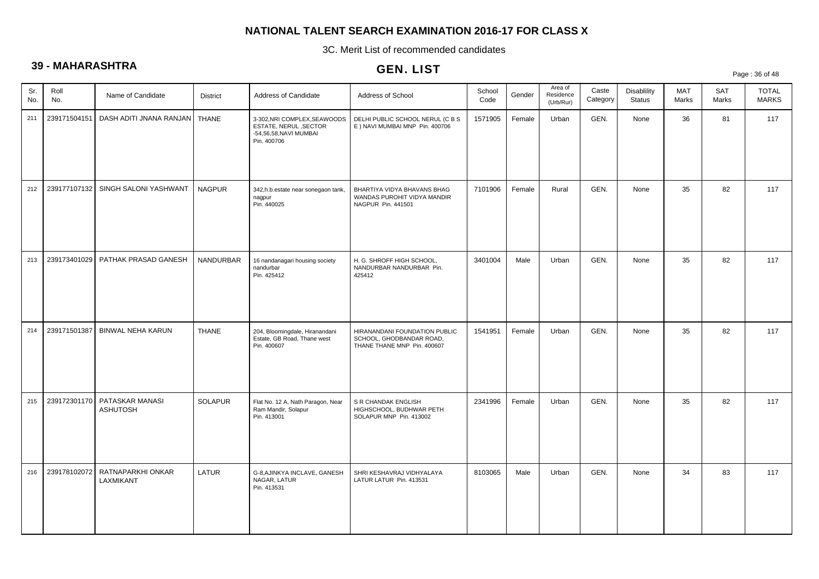3C. Merit List of recommended candidates

# **39 - MAHARASHTRA**

# GEN. LIST

Page : 36 of 48

| Sr.<br>No. | Roll<br>No.  | Name of Candidate                  | <b>District</b> | Address of Candidate                                                                           | Address of School                                                                        | School<br>Code | Gender | Area of<br>Residence<br>(Urb/Rur) | Caste<br>Category | Disablility<br><b>Status</b> | MAT<br>Marks | SAT<br>Marks | <b>TOTAL</b><br><b>MARKS</b> |
|------------|--------------|------------------------------------|-----------------|------------------------------------------------------------------------------------------------|------------------------------------------------------------------------------------------|----------------|--------|-----------------------------------|-------------------|------------------------------|--------------|--------------|------------------------------|
| 211        | 239171504151 | DASH ADITI JNANA RANJAN            | <b>THANE</b>    | 3-302, NRI COMPLEX, SEAWOODS<br>ESTATE, NERUL, SECTOR<br>-54,56,58, NAVI MUMBAI<br>Pin. 400706 | DELHI PUBLIC SCHOOL NERUL (C B S<br>E ) NAVI MUMBAI MNP Pin. 400706                      | 1571905        | Female | Urban                             | GEN.              | None                         | 36           | 81           | 117                          |
| 212        | 239177107132 | SINGH SALONI YASHWANT              | <b>NAGPUR</b>   | 342, h.b. estate near sonegaon tank,<br>nagpur<br>Pin. 440025                                  | BHARTIYA VIDYA BHAVANS BHAG<br>WANDAS PUROHIT VIDYA MANDIR<br>NAGPUR Pin. 441501         | 7101906        | Female | Rural                             | GEN.              | None                         | 35           | 82           | 117                          |
| 213        | 239173401029 | PATHAK PRASAD GANESH               | NANDURBAR       | 16 nandanagari housing society<br>nandurbar<br>Pin. 425412                                     | H. G. SHROFF HIGH SCHOOL,<br>NANDURBAR NANDURBAR Pin.<br>425412                          | 3401004        | Male   | Urban                             | GEN.              | None                         | 35           | 82           | 117                          |
| 214        | 239171501387 | BINWAL NEHA KARUN                  | <b>THANE</b>    | 204, Bloomingdale, Hiranandani<br>Estate, GB Road, Thane west<br>Pin. 400607                   | HIRANANDANI FOUNDATION PUBLIC<br>SCHOOL, GHODBANDAR ROAD,<br>THANE THANE MNP Pin. 400607 | 1541951        | Female | Urban                             | GEN.              | None                         | 35           | 82           | 117                          |
| 215        | 239172301170 | PATASKAR MANASI<br><b>ASHUTOSH</b> | SOLAPUR         | Flat No. 12 A, Nath Paragon, Near<br>Ram Mandir, Solapur<br>Pin. 413001                        | S R CHANDAK ENGLISH<br>HIGHSCHOOL, BUDHWAR PETH<br>SOLAPUR MNP Pin. 413002               | 2341996        | Female | Urban                             | GEN.              | None                         | 35           | 82           | 117                          |
| 216        | 239178102072 | RATNAPARKHI ONKAR<br>LAXMIKANT     | LATUR           | G-8, AJINKYA INCLAVE, GANESH<br>NAGAR, LATUR<br>Pin. 413531                                    | SHRI KESHAVRAJ VIDHYALAYA<br>LATUR LATUR Pin. 413531                                     | 8103065        | Male   | Urban                             | GEN.              | None                         | 34           | 83           | 117                          |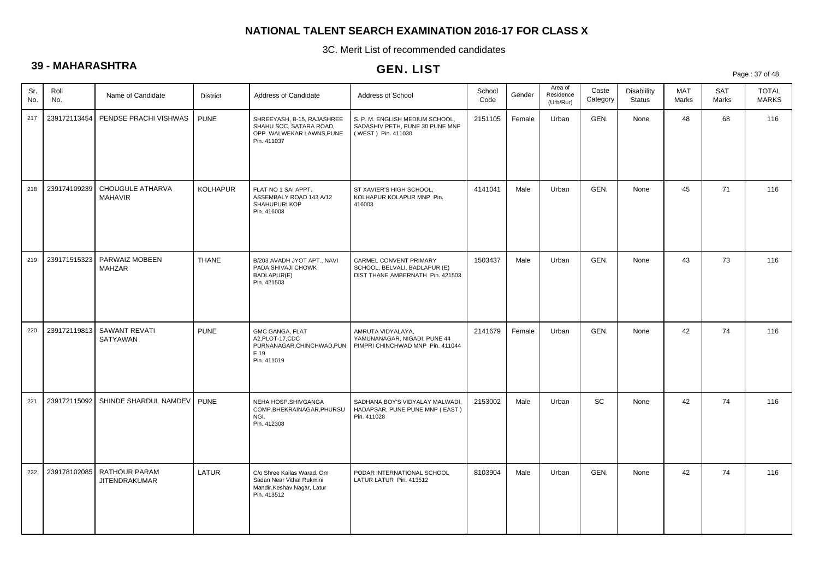3C. Merit List of recommended candidates

# **39 - MAHARASHTRA**

## GEN. LIST

Page : 37 of 48

| Sr.<br>No. | Roll<br>No.  | Name of Candidate                            | <b>District</b> | Address of Candidate                                                                                  | Address of School                                                                           | School<br>Code | Gender | Area of<br>Residence<br>(Urb/Rur) | Caste<br>Category | <b>Disablility</b><br><b>Status</b> | MAT<br>Marks | SAT<br>Marks | <b>TOTAL</b><br><b>MARKS</b> |
|------------|--------------|----------------------------------------------|-----------------|-------------------------------------------------------------------------------------------------------|---------------------------------------------------------------------------------------------|----------------|--------|-----------------------------------|-------------------|-------------------------------------|--------------|--------------|------------------------------|
| 217        |              | 239172113454   PENDSE PRACHI VISHWAS         | <b>PUNE</b>     | SHREEYASH, B-15, RAJASHREE<br>SHAHU SOC, SATARA ROAD,<br>OPP. WALWEKAR LAWNS, PUNE<br>Pin. 411037     | S. P. M. ENGLISH MEDIUM SCHOOL,<br>SADASHIV PETH, PUNE 30 PUNE MNP<br>(WEST) Pin. 411030    | 2151105        | Female | Urban                             | GEN.              | None                                | 48           | 68           | 116                          |
| 218        | 239174109239 | CHOUGULE ATHARVA<br><b>MAHAVIR</b>           | KOLHAPUR        | FLAT NO 1 SAI APPT.<br>ASSEMBALY ROAD 143 A/12<br>SHAHUPURI KOP<br>Pin. 416003                        | ST XAVIER'S HIGH SCHOOL,<br>KOLHAPUR KOLAPUR MNP Pin.<br>416003                             | 4141041        | Male   | Urban                             | GEN.              | None                                | 45           | 71           | 116                          |
| 219        | 239171515323 | PARWAIZ MOBEEN<br><b>MAHZAR</b>              | <b>THANE</b>    | B/203 AVADH JYOT APT., NAVI<br>PADA SHIVAJI CHOWK<br>BADLAPUR(E)<br>Pin. 421503                       | CARMEL CONVENT PRIMARY<br>SCHOOL, BELVALI, BADLAPUR (E)<br>DIST THANE AMBERNATH Pin. 421503 | 1503437        | Male   | Urban                             | GEN.              | None                                | 43           | 73           | 116                          |
| 220        |              | 239172119813 SAWANT REVATI<br>SATYAWAN       | <b>PUNE</b>     | <b>GMC GANGA, FLAT</b><br>A2, PLOT-17, CDC<br>PURNANAGAR, CHINCHWAD, PUN<br>E 19<br>Pin. 411019       | AMRUTA VIDYALAYA,<br>YAMUNANAGAR, NIGADI, PUNE 44<br>PIMPRI CHINCHWAD MNP Pin. 411044       | 2141679        | Female | Urban                             | GEN.              | None                                | 42           | 74           | 116                          |
| 221        |              | 239172115092 SHINDE SHARDUL NAMDEV   PUNE    |                 | NEHA HOSP.SHIVGANGA<br>COMP.BHEKRAINAGAR, PHURSU<br>NGI.<br>Pin. 412308                               | SADHANA BOY'S VIDYALAY MALWADI,<br>HADAPSAR, PUNE PUNE MNP (EAST)<br>Pin. 411028            | 2153002        | Male   | Urban                             | <b>SC</b>         | None                                | 42           | 74           | 116                          |
| 222        | 239178102085 | <b>RATHOUR PARAM</b><br><b>JITENDRAKUMAR</b> | LATUR           | C/o Shree Kailas Warad, Om<br>Sadan Near Vithal Rukmini<br>Mandir, Keshav Nagar, Latur<br>Pin. 413512 | PODAR INTERNATIONAL SCHOOL<br>LATUR LATUR Pin. 413512                                       | 8103904        | Male   | Urban                             | GEN.              | None                                | 42           | 74           | 116                          |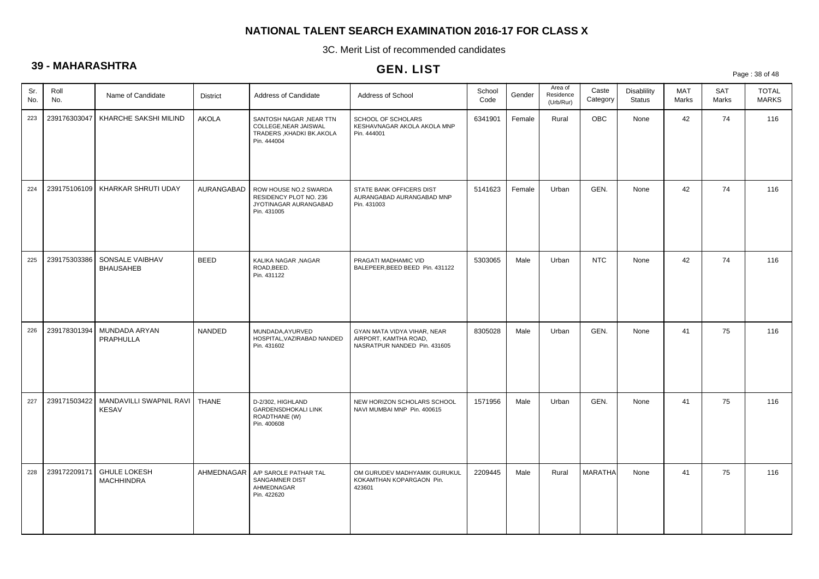3C. Merit List of recommended candidates

# **39 - MAHARASHTRA**

# GEN. LIST

Page : 38 of 48

| Sr.<br>No. | Roll<br>No.  | Name of Candidate                        | <b>District</b> | Address of Candidate                                                                         | Address of School                                                                    | School<br>Code | Gender | Area of<br>Residence<br>(Urb/Rur) | Caste<br>Category | <b>Disablility</b><br><b>Status</b> | MAT<br>Marks | <b>SAT</b><br>Marks | <b>TOTAL</b><br><b>MARKS</b> |
|------------|--------------|------------------------------------------|-----------------|----------------------------------------------------------------------------------------------|--------------------------------------------------------------------------------------|----------------|--------|-----------------------------------|-------------------|-------------------------------------|--------------|---------------------|------------------------------|
| 223        | 239176303047 | KHARCHE SAKSHI MILIND                    | <b>AKOLA</b>    | SANTOSH NAGAR , NEAR TTN<br>COLLEGE, NEAR JAISWAL<br>TRADERS, KHADKI BK.AKOLA<br>Pin. 444004 | SCHOOL OF SCHOLARS<br>KESHAVNAGAR AKOLA AKOLA MNP<br>Pin. 444001                     | 6341901        | Female | Rural                             | <b>OBC</b>        | None                                | 42           | 74                  | 116                          |
| 224        | 239175106109 | KHARKAR SHRUTI UDAY                      | AURANGABAD      | ROW HOUSE NO.2 SWARDA<br>RESIDENCY PLOT NO. 236<br>JYOTINAGAR AURANGABAD<br>Pin. 431005      | STATE BANK OFFICERS DIST<br>AURANGABAD AURANGABAD MNP<br>Pin. 431003                 | 5141623        | Female | Urban                             | GEN.              | None                                | 42           | 74                  | 116                          |
| 225        | 239175303386 | SONSALE VAIBHAV<br><b>BHAUSAHEB</b>      | <b>BEED</b>     | KALIKA NAGAR , NAGAR<br>ROAD, BEED.<br>Pin. 431122                                           | PRAGATI MADHAMIC VID<br>BALEPEER, BEED BEED Pin. 431122                              | 5303065        | Male   | Urban                             | <b>NTC</b>        | None                                | 42           | 74                  | 116                          |
| 226        | 239178301394 | MUNDADA ARYAN<br>PRAPHULLA               | NANDED          | MUNDADA, AYURVED<br>HOSPITAL.VAZIRABAD NANDED<br>Pin. 431602                                 | GYAN MATA VIDYA VIHAR, NEAR<br>AIRPORT, KAMTHA ROAD.<br>NASRATPUR NANDED Pin. 431605 | 8305028        | Male   | Urban                             | GEN.              | None                                | 41           | 75                  | 116                          |
| 227        | 239171503422 | MANDAVILLI SWAPNIL RAVI<br><b>KESAV</b>  | <b>THANE</b>    | D-2/302, HIGHLAND<br>GARDENSDHOKALI LINK<br>ROADTHANE (W)<br>Pin. 400608                     | NEW HORIZON SCHOLARS SCHOOL<br>NAVI MUMBAI MNP Pin. 400615                           | 1571956        | Male   | Urban                             | GEN.              | None                                | 41           | 75                  | 116                          |
| 228        | 239172209171 | <b>GHULE LOKESH</b><br><b>MACHHINDRA</b> | AHMEDNAGAR      | A/P SAROLE PATHAR TAL<br>SANGAMNER DIST<br>AHMEDNAGAR<br>Pin. 422620                         | OM GURUDEV MADHYAMIK GURUKUL<br>KOKAMTHAN KOPARGAON Pin.<br>423601                   | 2209445        | Male   | Rural                             | <b>MARATHA</b>    | None                                | 41           | 75                  | 116                          |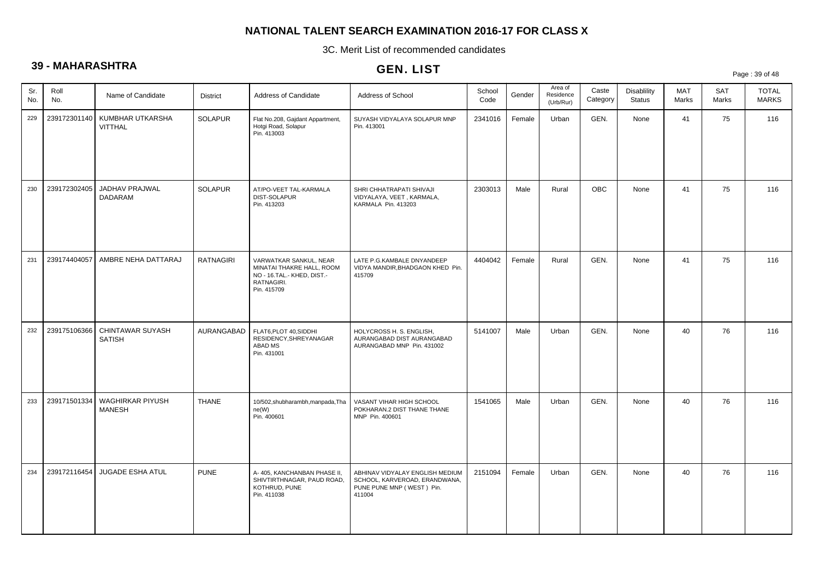3C. Merit List of recommended candidates

# **39 - MAHARASHTRA**

|            |              |                                    |                  |                                                                                                                | ULIV. LIJ I                                                                                             |                |        |                                   |                   |                              |                     |                     | Page: 39 of 48               |
|------------|--------------|------------------------------------|------------------|----------------------------------------------------------------------------------------------------------------|---------------------------------------------------------------------------------------------------------|----------------|--------|-----------------------------------|-------------------|------------------------------|---------------------|---------------------|------------------------------|
| Sr.<br>No. | Roll<br>No.  | Name of Candidate                  | <b>District</b>  | Address of Candidate                                                                                           | Address of School                                                                                       | School<br>Code | Gender | Area of<br>Residence<br>(Urb/Rur) | Caste<br>Category | Disablility<br><b>Status</b> | <b>MAT</b><br>Marks | <b>SAT</b><br>Marks | <b>TOTAL</b><br><b>MARKS</b> |
| 229        | 239172301140 | KUMBHAR UTKARSHA<br><b>VITTHAL</b> | <b>SOLAPUR</b>   | Flat No.208, Gajdant Appartment,<br>Hotgi Road, Solapur<br>Pin. 413003                                         | SUYASH VIDYALAYA SOLAPUR MNP<br>Pin. 413001                                                             | 2341016        | Female | Urban                             | GEN.              | None                         | 41                  | 75                  | 116                          |
| 230        | 239172302405 | JADHAV PRAJWAL<br>DADARAM          | <b>SOLAPUR</b>   | AT/PO-VEET TAL-KARMALA<br>DIST-SOLAPUR<br>Pin. 413203                                                          | SHRI CHHATRAPATI SHIVAJI<br>VIDYALAYA, VEET, KARMALA,<br>KARMALA Pin. 413203                            | 2303013        | Male   | Rural                             | <b>OBC</b>        | None                         | 41                  | 75                  | 116                          |
| 231        | 239174404057 | AMBRE NEHA DATTARAJ                | <b>RATNAGIRI</b> | VARWATKAR SANKUL, NEAR<br>MINATAI THAKRE HALL, ROOM<br>NO - 16.TAL.- KHED, DIST.-<br>RATNAGIRI.<br>Pin. 415709 | LATE P.G.KAMBALE DNYANDEEP<br>VIDYA MANDIR, BHADGAON KHED Pin.<br>415709                                | 4404042        | Female | Rural                             | GEN.              | None                         | 41                  | 75                  | 116                          |
| 232        | 239175106366 | CHINTAWAR SUYASH<br><b>SATISH</b>  | AURANGABAD       | FLAT6, PLOT 40, SIDDHI<br>RESIDENCY, SHREYANAGAR<br>ABAD MS<br>Pin. 431001                                     | HOLYCROSS H. S. ENGLISH,<br>AURANGABAD DIST AURANGABAD<br>AURANGABAD MNP Pin. 431002                    | 5141007        | Male   | Urban                             | GEN.              | None                         | 40                  | 76                  | 116                          |
| 233        | 239171501334 | WAGHIRKAR PIYUSH<br><b>MANESH</b>  | <b>THANE</b>     | 10/502,shubharambh,manpada,Tha<br>ne(W)<br>Pin. 400601                                                         | VASANT VIHAR HIGH SCHOOL<br>POKHARAN.2 DIST THANE THANE<br>MNP Pin. 400601                              | 1541065        | Male   | Urban                             | GEN.              | None                         | 40                  | 76                  | 116                          |
| 234        | 239172116454 | JUGADE ESHA ATUL                   | <b>PUNE</b>      | A- 405, KANCHANBAN PHASE II,<br>SHIVTIRTHNAGAR, PAUD ROAD,<br>KOTHRUD, PUNE<br>Pin. 411038                     | ABHINAV VIDYALAY ENGLISH MEDIUM<br>SCHOOL, KARVEROAD, ERANDWANA,<br>PUNE PUNE MNP (WEST) Pin.<br>411004 | 2151094        | Female | Urban                             | GEN.              | None                         | 40                  | 76                  | 116                          |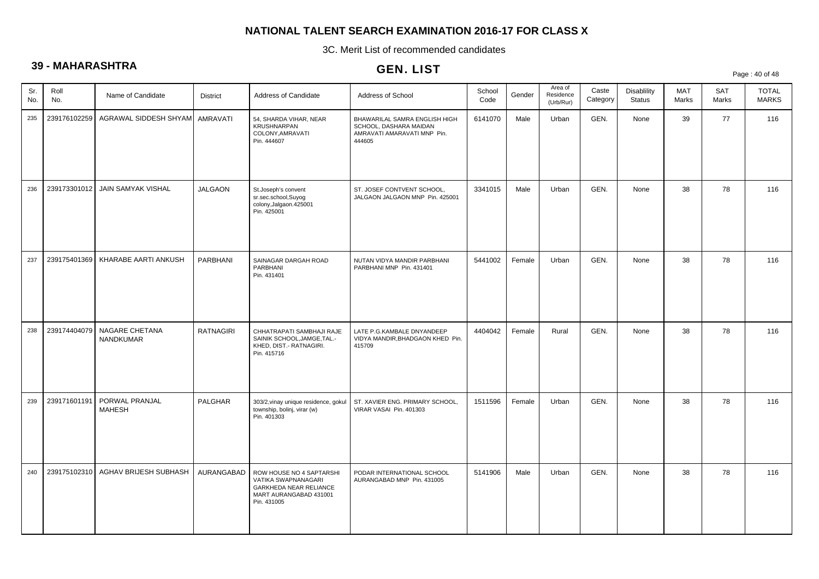3C. Merit List of recommended candidates

# **39 - MAHARASHTRA**

|            |              |                                 |                  |                                                                                                                    | GEN. LIST                                                                                        |                |        |                                   |                   |                                     |              |                     | Page: 40 of 48               |
|------------|--------------|---------------------------------|------------------|--------------------------------------------------------------------------------------------------------------------|--------------------------------------------------------------------------------------------------|----------------|--------|-----------------------------------|-------------------|-------------------------------------|--------------|---------------------|------------------------------|
| Sr.<br>No. | Roll<br>No.  | Name of Candidate               | <b>District</b>  | Address of Candidate                                                                                               | Address of School                                                                                | School<br>Code | Gender | Area of<br>Residence<br>(Urb/Rur) | Caste<br>Category | <b>Disablility</b><br><b>Status</b> | MAT<br>Marks | <b>SAT</b><br>Marks | <b>TOTAL</b><br><b>MARKS</b> |
| 235        | 239176102259 | AGRAWAL SIDDESH SHYAM           | <b>AMRAVATI</b>  | 54, SHARDA VIHAR, NEAR<br><b>KRUSHNARPAN</b><br>COLONY, AMRAVATI<br>Pin. 444607                                    | BHAWARILAL SAMRA ENGLISH HIGH<br>SCHOOL, DASHARA MAIDAN<br>AMRAVATI AMARAVATI MNP Pin.<br>444605 | 6141070        | Male   | Urban                             | GEN.              | None                                | 39           | 77                  | 116                          |
| 236        | 239173301012 | JAIN SAMYAK VISHAL              | <b>JALGAON</b>   | St.Joseph's convent<br>sr.sec.school,Suyog<br>colony, Jalgaon. 425001<br>Pin. 425001                               | ST. JOSEF CONTVENT SCHOOL,<br>JALGAON JALGAON MNP Pin. 425001                                    | 3341015        | Male   | Urban                             | GEN.              | None                                | 38           | 78                  | 116                          |
| 237        | 239175401369 | KHARABE AARTI ANKUSH            | PARBHANI         | SAINAGAR DARGAH ROAD<br>PARBHANI<br>Pin. 431401                                                                    | NUTAN VIDYA MANDIR PARBHANI<br>PARBHANI MNP Pin. 431401                                          | 5441002        | Female | Urban                             | GEN.              | None                                | 38           | 78                  | 116                          |
| 238        | 239174404079 | NAGARE CHETANA<br>NANDKUMAR     | <b>RATNAGIRI</b> | CHHATRAPATI SAMBHAJI RAJE<br>SAINIK SCHOOL, JAMGE, TAL.-<br>KHED, DIST.- RATNAGIRI.<br>Pin. 415716                 | LATE P.G.KAMBALE DNYANDEEP<br>VIDYA MANDIR, BHADGAON KHED Pin.<br>415709                         | 4404042        | Female | Rural                             | GEN.              | None                                | 38           | 78                  | 116                          |
| 239        | 239171601191 | PORWAL PRANJAL<br><b>MAHESH</b> | <b>PALGHAR</b>   | 303/2, vinay unique residence, gokul<br>township, bolinj, virar (w)<br>Pin. 401303                                 | ST. XAVIER ENG. PRIMARY SCHOOL,<br>VIRAR VASAI Pin. 401303                                       | 1511596        | Female | Urban                             | GEN.              | None                                | 38           | 78                  | 116                          |
| 240        | 239175102310 | AGHAV BRIJESH SUBHASH           | AURANGABAD       | ROW HOUSE NO 4 SAPTARSHI<br>VATIKA SWAPNANAGARI<br>GARKHEDA NEAR RELIANCE<br>MART AURANGABAD 431001<br>Pin. 431005 | PODAR INTERNATIONAL SCHOOL<br>AURANGABAD MNP Pin. 431005                                         | 5141906        | Male   | Urban                             | GEN.              | None                                | 38           | 78                  | 116                          |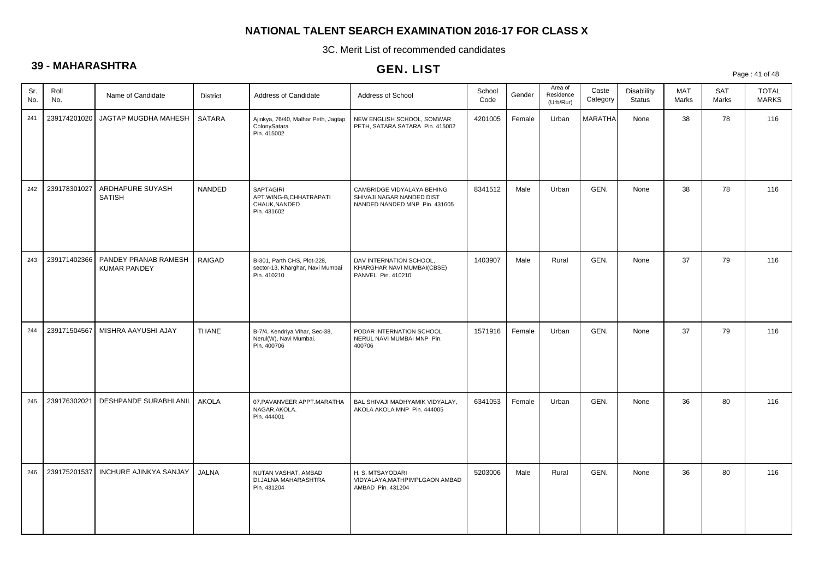3C. Merit List of recommended candidates

# **39 - MAHARASHTRA**

| vv         |              |                                             |               |                                                                                | GEN. LIST                                                                                |                |        |                                   |                   |                                     |              |              | Page: 41 of 48               |
|------------|--------------|---------------------------------------------|---------------|--------------------------------------------------------------------------------|------------------------------------------------------------------------------------------|----------------|--------|-----------------------------------|-------------------|-------------------------------------|--------------|--------------|------------------------------|
| Sr.<br>No. | Roll<br>No.  | Name of Candidate                           | District      | Address of Candidate                                                           | Address of School                                                                        | School<br>Code | Gender | Area of<br>Residence<br>(Urb/Rur) | Caste<br>Category | <b>Disablility</b><br><b>Status</b> | MAT<br>Marks | SAT<br>Marks | <b>TOTAL</b><br><b>MARKS</b> |
| 241        | 239174201020 | JAGTAP MUGDHA MAHESH                        | <b>SATARA</b> | Ajinkya, 76/40, Malhar Peth, Jagtap<br>ColonySatara<br>Pin. 415002             | NEW ENGLISH SCHOOL, SOMWAR<br>PETH, SATARA SATARA Pin. 415002                            | 4201005        | Female | Urban                             | <b>MARATHA</b>    | None                                | 38           | 78           | 116                          |
| 242        | 239178301027 | ARDHAPURE SUYASH<br><b>SATISH</b>           | NANDED        | SAPTAGIRI<br>APT.WING-B,CHHATRAPATI<br>CHAUK, NANDED<br>Pin. 431602            | CAMBRIDGE VIDYALAYA BEHING<br>SHIVAJI NAGAR NANDED DIST<br>NANDED NANDED MNP Pin. 431605 | 8341512        | Male   | Urban                             | GEN.              | None                                | 38           | 78           | 116                          |
| 243        | 239171402366 | PANDEY PRANAB RAMESH<br><b>KUMAR PANDEY</b> | RAIGAD        | B-301, Parth CHS, Plot-228,<br>sector-13, Kharghar, Navi Mumbai<br>Pin. 410210 | DAV INTERNATION SCHOOL,<br>KHARGHAR NAVI MUMBAI(CBSE)<br>PANVEL Pin. 410210              | 1403907        | Male   | Rural                             | GEN.              | None                                | 37           | 79           | 116                          |
| 244        | 239171504567 | MISHRA AAYUSHI AJAY                         | <b>THANE</b>  | B-7/4, Kendriya Vihar, Sec-38,<br>Nerul(W), Navi Mumbai.<br>Pin. 400706        | PODAR INTERNATION SCHOOL<br>NERUL NAVI MUMBAI MNP Pin.<br>400706                         | 1571916        | Female | Urban                             | GEN.              | None                                | 37           | 79           | 116                          |
| 245        | 239176302021 | <b>DESHPANDE SURABHI ANIL</b>               | <b>AKOLA</b>  | 07, PAVANVEER APPT. MARATHA<br>NAGAR, AKOLA.<br>Pin. 444001                    | BAL SHIVAJI MADHYAMIK VIDYALAY,<br>AKOLA AKOLA MNP Pin. 444005                           | 6341053        | Female | Urban                             | GEN.              | None                                | 36           | 80           | 116                          |
| 246        | 239175201537 | <b>INCHURE AJINKYA SANJAY</b>               | <b>JALNA</b>  | NUTAN VASHAT, AMBAD<br>DI.JALNA MAHARASHTRA<br>Pin. 431204                     | H. S. MTSAYODARI<br>VIDYALAYA, MATHPIMPLGAON AMBAD<br>AMBAD Pin. 431204                  | 5203006        | Male   | Rural                             | GEN.              | None                                | 36           | 80           | 116                          |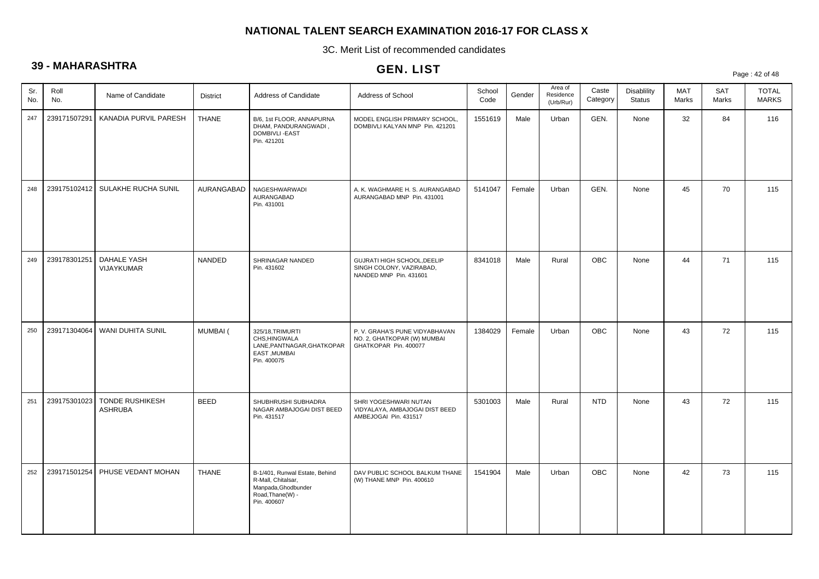3C. Merit List of recommended candidates

# **39 - MAHARASHTRA**

# GEN. LIST

Page : 42 of 48

| Sr.<br>No. | Roll<br>No.  | Name of Candidate                        | <b>District</b> | Address of Candidate                                                                                           | Address of School                                                                      | School<br>Code | Gender | Area of<br>Residence<br>(Urb/Rur) | Caste<br>Category | <b>Disablility</b><br><b>Status</b> | MAT<br>Marks | <b>SAT</b><br>Marks | <b>TOTAL</b><br><b>MARKS</b> |
|------------|--------------|------------------------------------------|-----------------|----------------------------------------------------------------------------------------------------------------|----------------------------------------------------------------------------------------|----------------|--------|-----------------------------------|-------------------|-------------------------------------|--------------|---------------------|------------------------------|
| 247        | 239171507291 | KANADIA PURVIL PARESH                    | <b>THANE</b>    | B/6, 1st FLOOR, ANNAPURNA<br>DHAM, PANDURANGWADI,<br>DOMBIVLI - EAST<br>Pin. 421201                            | MODEL ENGLISH PRIMARY SCHOOL,<br>DOMBIVLI KALYAN MNP Pin. 421201                       | 1551619        | Male   | Urban                             | GEN.              | None                                | 32           | 84                  | 116                          |
| 248        |              | 239175102412 SULAKHE RUCHA SUNIL         | AURANGABAD      | NAGESHWARWADI<br>AURANGABAD<br>Pin. 431001                                                                     | A. K. WAGHMARE H. S. AURANGABAD<br>AURANGABAD MNP Pin. 431001                          | 5141047        | Female | Urban                             | GEN.              | None                                | 45           | 70                  | 115                          |
| 249        | 239178301251 | <b>DAHALE YASH</b><br><b>VIJAYKUMAR</b>  | NANDED          | SHRINAGAR NANDED<br>Pin. 431602                                                                                | GUJRATI HIGH SCHOOL, DEELIP<br>SINGH COLONY, VAZIRABAD,<br>NANDED MNP Pin. 431601      | 8341018        | Male   | Rural                             | OBC               | None                                | 44           | 71                  | 115                          |
| 250        |              | 239171304064   WANI DUHITA SUNIL         | <b>MUMBAI</b> ( | 325/18, TRIMURTI<br>CHS.HINGWALA<br>LANE, PANTNAGAR, GHATKOPAR<br>EAST, MUMBAI<br>Pin. 400075                  | P. V. GRAHA'S PUNE VIDYABHAVAN<br>NO. 2, GHATKOPAR (W) MUMBAI<br>GHATKOPAR Pin. 400077 | 1384029        | Female | Urban                             | OBC               | None                                | 43           | 72                  | 115                          |
| 251        | 239175301023 | <b>TONDE RUSHIKESH</b><br><b>ASHRUBA</b> | <b>BEED</b>     | SHUBHRUSHI SUBHADRA<br>NAGAR AMBAJOGAI DIST BEED<br>Pin. 431517                                                | SHRI YOGESHWARI NUTAN<br>VIDYALAYA, AMBAJOGAI DIST BEED<br>AMBEJOGAI Pin. 431517       | 5301003        | Male   | Rural                             | <b>NTD</b>        | None                                | 43           | 72                  | 115                          |
| 252        | 239171501254 | PHUSE VEDANT MOHAN                       | <b>THANE</b>    | B-1/401, Runwal Estate, Behind<br>R-Mall, Chitalsar,<br>Manpada, Ghodbunder<br>Road, Thane(W) -<br>Pin. 400607 | DAV PUBLIC SCHOOL BALKUM THANE<br>(W) THANE MNP Pin. 400610                            | 1541904        | Male   | Urban                             | <b>OBC</b>        | None                                | 42           | 73                  | 115                          |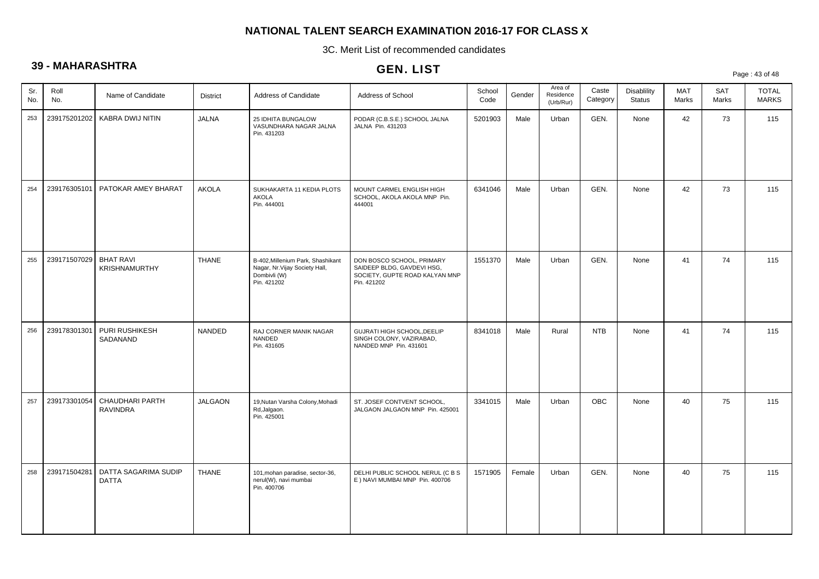3C. Merit List of recommended candidates

# **39 - MAHARASHTRA**

# GEN. LIST

Page : 43 of 48

| Sr.<br>No. | Roll<br>No.  | Name of Candidate                        | <b>District</b> | Address of Candidate                                                                               | Address of School                                                                                        | School<br>Code | Gender | Area of<br>Residence<br>(Urb/Rur) | Caste<br>Category | <b>Disablility</b><br><b>Status</b> | MAT<br>Marks | <b>SAT</b><br>Marks | <b>TOTAL</b><br><b>MARKS</b> |
|------------|--------------|------------------------------------------|-----------------|----------------------------------------------------------------------------------------------------|----------------------------------------------------------------------------------------------------------|----------------|--------|-----------------------------------|-------------------|-------------------------------------|--------------|---------------------|------------------------------|
| 253        | 239175201202 | KABRA DWIJ NITIN                         | <b>JALNA</b>    | 25 IDHITA BUNGALOW<br>VASUNDHARA NAGAR JALNA<br>Pin. 431203                                        | PODAR (C.B.S.E.) SCHOOL JALNA<br>JALNA Pin. 431203                                                       | 5201903        | Male   | Urban                             | GEN.              | None                                | 42           | 73                  | 115                          |
| 254        | 239176305101 | PATOKAR AMEY BHARAT                      | <b>AKOLA</b>    | SUKHAKARTA 11 KEDIA PLOTS<br>AKOLA<br>Pin. 444001                                                  | MOUNT CARMEL ENGLISH HIGH<br>SCHOOL, AKOLA AKOLA MNP Pin.<br>444001                                      | 6341046        | Male   | Urban                             | GEN.              | None                                | 42           | 73                  | 115                          |
| 255        | 239171507029 | <b>BHAT RAVI</b><br><b>KRISHNAMURTHY</b> | <b>THANE</b>    | B-402, Millenium Park, Shashikant<br>Nagar, Nr. Vijay Society Hall,<br>Dombivli (W)<br>Pin. 421202 | DON BOSCO SCHOOL, PRIMARY<br>SAIDEEP BLDG, GAVDEVI HSG,<br>SOCIETY, GUPTE ROAD KALYAN MNP<br>Pin. 421202 | 1551370        | Male   | Urban                             | GEN.              | None                                | 41           | 74                  | 115                          |
| 256        | 239178301301 | PURI RUSHIKESH<br>SADANAND               | NANDED          | RAJ CORNER MANIK NAGAR<br>NANDED<br>Pin. 431605                                                    | GUJRATI HIGH SCHOOL, DEELIP<br>SINGH COLONY, VAZIRABAD,<br>NANDED MNP Pin. 431601                        | 8341018        | Male   | Rural                             | <b>NTB</b>        | None                                | 41           | 74                  | 115                          |
| 257        | 239173301054 | CHAUDHARI PARTH<br><b>RAVINDRA</b>       | JALGAON         | 19, Nutan Varsha Colony, Mohadi<br>Rd, Jalgaon.<br>Pin. 425001                                     | ST. JOSEF CONTVENT SCHOOL,<br>JALGAON JALGAON MNP Pin. 425001                                            | 3341015        | Male   | Urban                             | <b>OBC</b>        | None                                | 40           | 75                  | 115                          |
| 258        | 239171504281 | DATTA SAGARIMA SUDIP<br><b>DATTA</b>     | <b>THANE</b>    | 101, mohan paradise, sector-36,<br>nerul(W), navi mumbai<br>Pin. 400706                            | DELHI PUBLIC SCHOOL NERUL (C B S<br>E ) NAVI MUMBAI MNP Pin. 400706                                      | 1571905        | Female | Urban                             | GEN.              | None                                | 40           | 75                  | 115                          |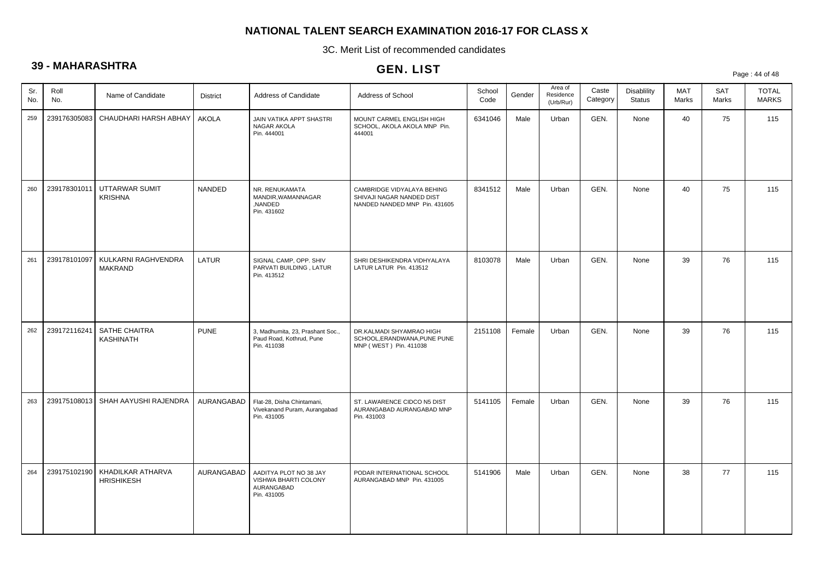3C. Merit List of recommended candidates

# **39 - MAHARASHTRA**

|            |              |                                        |                 |                                                                             | ULIV. LIJ I                                                                              |                |        |                                   |                   |                                     |              |                     | Page: 44 of 48               |
|------------|--------------|----------------------------------------|-----------------|-----------------------------------------------------------------------------|------------------------------------------------------------------------------------------|----------------|--------|-----------------------------------|-------------------|-------------------------------------|--------------|---------------------|------------------------------|
| Sr.<br>No. | Roll<br>No.  | Name of Candidate                      | <b>District</b> | Address of Candidate                                                        | Address of School                                                                        | School<br>Code | Gender | Area of<br>Residence<br>(Urb/Rur) | Caste<br>Category | <b>Disablility</b><br><b>Status</b> | MAT<br>Marks | <b>SAT</b><br>Marks | <b>TOTAL</b><br><b>MARKS</b> |
| 259        | 239176305083 | CHAUDHARI HARSH ABHAY                  | <b>AKOLA</b>    | JAIN VATIKA APPT SHASTRI<br>NAGAR AKOLA<br>Pin. 444001                      | MOUNT CARMEL ENGLISH HIGH<br>SCHOOL, AKOLA AKOLA MNP Pin.<br>444001                      | 6341046        | Male   | Urban                             | GEN.              | None                                | 40           | 75                  | 115                          |
| 260        | 239178301011 | UTTARWAR SUMIT<br><b>KRISHNA</b>       | NANDED          | NR. RENUKAMATA<br>MANDIR, WAMANNAGAR<br>,NANDED<br>Pin. 431602              | CAMBRIDGE VIDYALAYA BEHING<br>SHIVAJI NAGAR NANDED DIST<br>NANDED NANDED MNP Pin. 431605 | 8341512        | Male   | Urban                             | GEN.              | None                                | 40           | 75                  | 115                          |
| 261        | 239178101097 | KULKARNI RAGHVENDRA<br><b>MAKRAND</b>  | LATUR           | SIGNAL CAMP, OPP. SHIV<br>PARVATI BUILDING, LATUR<br>Pin. 413512            | SHRI DESHIKENDRA VIDHYALAYA<br>LATUR LATUR Pin. 413512                                   | 8103078        | Male   | Urban                             | GEN.              | None                                | 39           | 76                  | 115                          |
| 262        | 239172116241 | SATHE CHAITRA<br><b>KASHINATH</b>      | <b>PUNE</b>     | 3, Madhumita, 23, Prashant Soc.,<br>Paud Road, Kothrud, Pune<br>Pin. 411038 | DR.KALMADI SHYAMRAO HIGH<br>SCHOOL, ERANDWANA, PUNE PUNE<br>MNP (WEST) Pin. 411038       | 2151108        | Female | Urban                             | GEN.              | None                                | 39           | 76                  | 115                          |
| 263        | 239175108013 | SHAH AAYUSHI RAJENDRA                  | AURANGABAD      | Flat-28, Disha Chintamani,<br>Vivekanand Puram, Aurangabad<br>Pin. 431005   | ST. LAWARENCE CIDCO N5 DIST<br>AURANGABAD AURANGABAD MNP<br>Pin. 431003                  | 5141105        | Female | Urban                             | GEN.              | None                                | 39           | 76                  | 115                          |
| 264        | 239175102190 | KHADILKAR ATHARVA<br><b>HRISHIKESH</b> | AURANGABAD      | AADITYA PLOT NO 38 JAY<br>VISHWA BHARTI COLONY<br>AURANGABAD<br>Pin. 431005 | PODAR INTERNATIONAL SCHOOL<br>AURANGABAD MNP Pin. 431005                                 | 5141906        | Male   | Urban                             | GEN.              | None                                | 38           | 77                  | 115                          |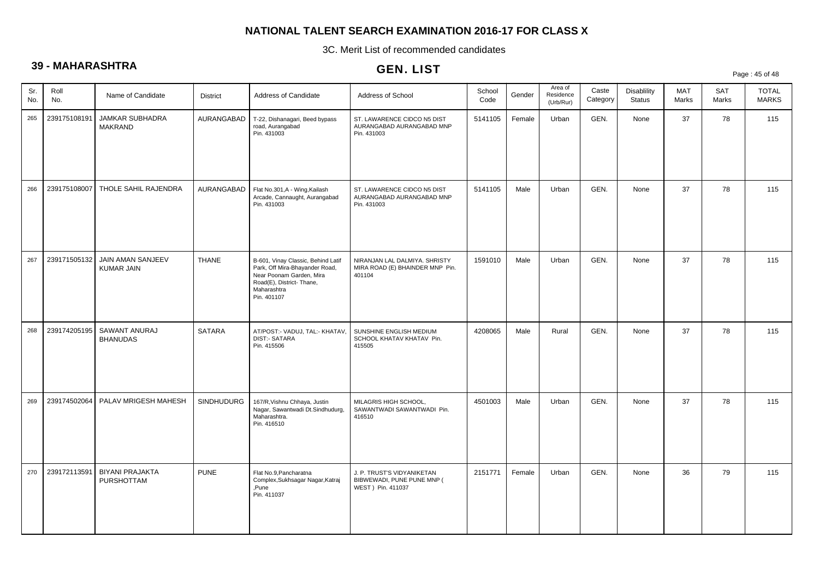3C. Merit List of recommended candidates

# **39 - MAHARASHTRA**

# GEN. LIST

Page : 45 of 48

| Sr.<br>No. | Roll<br>No.  | Name of Candidate                           | <b>District</b>   | Address of Candidate                                                                                                                                        | Address of School                                                              | School<br>Code | Gender | Area of<br>Residence<br>(Urb/Rur) | Caste<br>Category | Disablility<br><b>Status</b> | <b>MAT</b><br>Marks | <b>SAT</b><br>Marks | <b>TOTAL</b><br><b>MARKS</b> |
|------------|--------------|---------------------------------------------|-------------------|-------------------------------------------------------------------------------------------------------------------------------------------------------------|--------------------------------------------------------------------------------|----------------|--------|-----------------------------------|-------------------|------------------------------|---------------------|---------------------|------------------------------|
| 265        | 239175108191 | JAMKAR SUBHADRA<br><b>MAKRAND</b>           | AURANGABAD        | T-22, Dishanagari, Beed bypass<br>road, Aurangabad<br>Pin. 431003                                                                                           | ST. LAWARENCE CIDCO N5 DIST<br>AURANGABAD AURANGABAD MNP<br>Pin. 431003        | 5141105        | Female | Urban                             | GEN.              | None                         | 37                  | 78                  | 115                          |
| 266        | 239175108007 | THOLE SAHIL RAJENDRA                        | AURANGABAD        | Flat No.301, A - Wing, Kailash<br>Arcade, Cannaught, Aurangabad<br>Pin. 431003                                                                              | ST. LAWARENCE CIDCO N5 DIST<br>AURANGABAD AURANGABAD MNP<br>Pin. 431003        | 5141105        | Male   | Urban                             | GEN.              | None                         | 37                  | 78                  | 115                          |
| 267        | 239171505132 | JAIN AMAN SANJEEV<br><b>KUMAR JAIN</b>      | <b>THANE</b>      | B-601, Vinay Classic, Behind Latif<br>Park, Off Mira-Bhayander Road,<br>Near Poonam Garden, Mira<br>Road(E), District- Thane,<br>Maharashtra<br>Pin. 401107 | NIRANJAN LAL DALMIYA. SHRISTY<br>MIRA ROAD (E) BHAINDER MNP Pin.<br>401104     | 1591010        | Male   | Urban                             | GEN.              | None                         | 37                  | 78                  | 115                          |
| 268        | 239174205195 | SAWANT ANURAJ<br><b>BHANUDAS</b>            | <b>SATARA</b>     | AT/POST:- VADUJ, TAL:- KHATAV,<br><b>DIST:- SATARA</b><br>Pin. 415506                                                                                       | SUNSHINE ENGLISH MEDIUM<br>SCHOOL KHATAV KHATAV Pin.<br>415505                 | 4208065        | Male   | Rural                             | GEN.              | None                         | 37                  | 78                  | 115                          |
| 269        | 239174502064 | PALAV MRIGESH MAHESH                        | <b>SINDHUDURG</b> | 167/R, Vishnu Chhaya, Justin<br>Nagar, Sawantwadi Dt.Sindhudurg,<br>Maharashtra.<br>Pin. 416510                                                             | MILAGRIS HIGH SCHOOL,<br>SAWANTWADI SAWANTWADI Pin.<br>416510                  | 4501003        | Male   | Urban                             | GEN.              | None                         | 37                  | 78                  | 115                          |
| 270        | 239172113591 | <b>BIYANI PRAJAKTA</b><br><b>PURSHOTTAM</b> | <b>PUNE</b>       | Flat No.9, Pancharatna<br>Complex, Sukhsagar Nagar, Katraj<br>Pune.<br>Pin. 411037                                                                          | J. P. TRUST'S VIDYANIKETAN<br>BIBWEWADI, PUNE PUNE MNP (<br>WEST ) Pin. 411037 | 2151771        | Female | Urban                             | GEN.              | None                         | 36                  | 79                  | 115                          |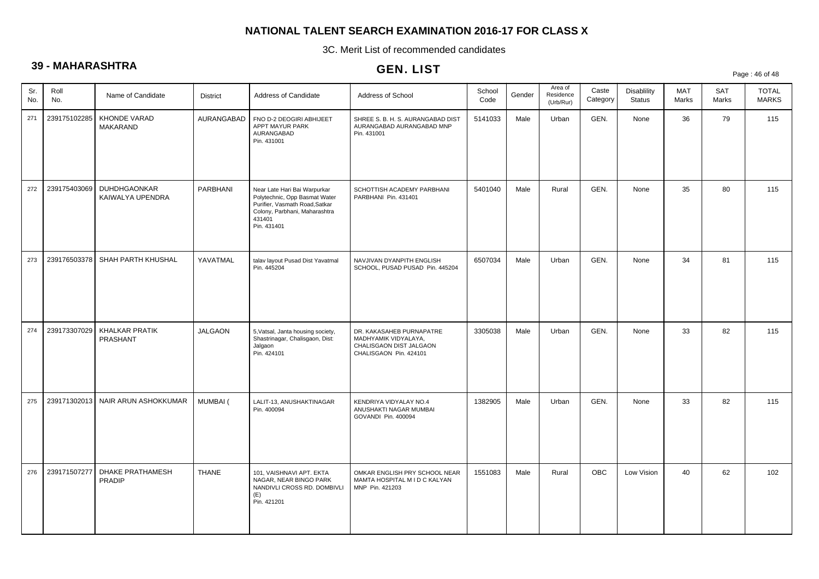3C. Merit List of recommended candidates

# **39 - MAHARASHTRA**

# GEN. LIST

Page : 46 of 48

| Sr.<br>No. | Roll<br>No.  | Name of Candidate                       | <b>District</b> | Address of Candidate                                                                                                                                      | Address of School                                                                                     | School<br>Code | Gender | Area of<br>Residence<br>(Urb/Rur) | Caste<br>Category | <b>Disablility</b><br><b>Status</b> | MAT<br>Marks | <b>SAT</b><br>Marks | <b>TOTAL</b><br><b>MARKS</b> |
|------------|--------------|-----------------------------------------|-----------------|-----------------------------------------------------------------------------------------------------------------------------------------------------------|-------------------------------------------------------------------------------------------------------|----------------|--------|-----------------------------------|-------------------|-------------------------------------|--------------|---------------------|------------------------------|
| 271        | 239175102285 | <b>KHONDE VARAD</b><br>MAKARAND         | AURANGABAD      | FNO D-2 DEOGIRI ABHIJEET<br>APPT MAYUR PARK<br>AURANGABAD<br>Pin. 431001                                                                                  | SHREE S. B. H. S. AURANGABAD DIST<br>AURANGABAD AURANGABAD MNP<br>Pin. 431001                         | 5141033        | Male   | Urban                             | GEN.              | None                                | 36           | 79                  | 115                          |
| 272        | 239175403069 | <b>DUHDHGAONKAR</b><br>KAIWALYA UPENDRA | <b>PARBHANI</b> | Near Late Hari Bai Warpurkar<br>Polytechnic, Opp Basmat Water<br>Purifier, Vasmath Road, Satkar<br>Colony, Parbhani, Maharashtra<br>431401<br>Pin. 431401 | SCHOTTISH ACADEMY PARBHANI<br>PARBHANI Pin. 431401                                                    | 5401040        | Male   | Rural                             | GEN.              | None                                | 35           | 80                  | 115                          |
| 273        | 239176503378 | SHAH PARTH KHUSHAL                      | YAVATMAL        | talav layout Pusad Dist Yavatmal<br>Pin. 445204                                                                                                           | NAVJIVAN DYANPITH ENGLISH<br>SCHOOL, PUSAD PUSAD Pin. 445204                                          | 6507034        | Male   | Urban                             | GEN.              | None                                | 34           | 81                  | 115                          |
| 274        | 239173307029 | KHALKAR PRATIK<br>PRASHANT              | <b>JALGAON</b>  | 5, Vatsal, Janta housing society,<br>Shastrinagar, Chalisgaon, Dist:<br>Jalgaon<br>Pin. 424101                                                            | DR. KAKASAHEB PURNAPATRE<br>MADHYAMIK VIDYALAYA.<br>CHALISGAON DIST JALGAON<br>CHALISGAON Pin. 424101 | 3305038        | Male   | Urban                             | GEN.              | None                                | 33           | 82                  | 115                          |
| 275        | 239171302013 | NAIR ARUN ASHOKKUMAR                    | MUMBAI (        | LALIT-13, ANUSHAKTINAGAR<br>Pin. 400094                                                                                                                   | KENDRIYA VIDYALAY NO.4<br>ANUSHAKTI NAGAR MUMBAI<br>GOVANDI Pin. 400094                               | 1382905        | Male   | Urban                             | GEN.              | None                                | 33           | 82                  | 115                          |
| 276        | 239171507277 | DHAKE PRATHAMESH<br><b>PRADIP</b>       | <b>THANE</b>    | 101, VAISHNAVI APT. EKTA<br>NAGAR, NEAR BINGO PARK<br>NANDIVLI CROSS RD. DOMBIVLI<br>(E)<br>Pin. 421201                                                   | OMKAR ENGLISH PRY SCHOOL NEAR<br>MAMTA HOSPITAL M I D C KALYAN<br>MNP Pin. 421203                     | 1551083        | Male   | Rural                             | OBC               | Low Vision                          | 40           | 62                  | 102                          |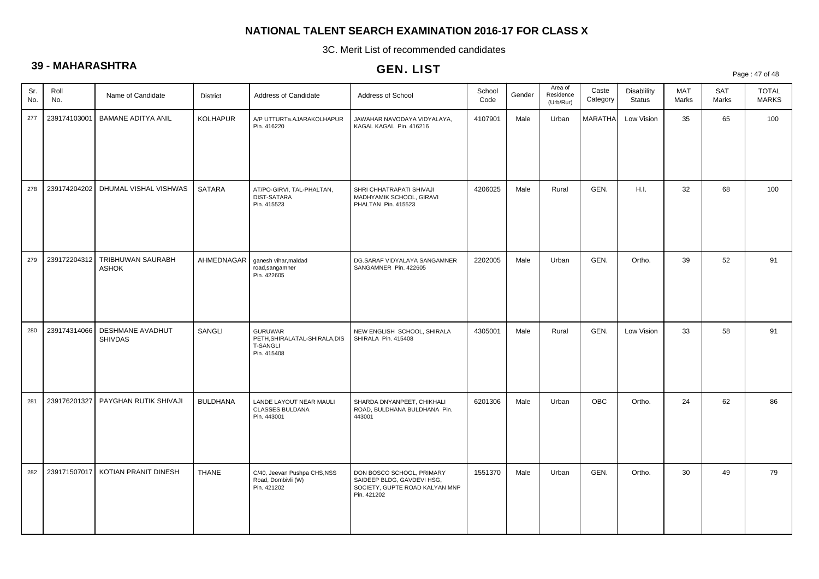3C. Merit List of recommended candidates

# **39 - MAHARASHTRA**

| $\check{ }$ |              |                                      |                 |                                                                                   | GEN. LIST                                                                                                |                |        |                                   |                   |                                     |              |              | Page: 47 of 48               |
|-------------|--------------|--------------------------------------|-----------------|-----------------------------------------------------------------------------------|----------------------------------------------------------------------------------------------------------|----------------|--------|-----------------------------------|-------------------|-------------------------------------|--------------|--------------|------------------------------|
| Sr.<br>No.  | Roll<br>No.  | Name of Candidate                    | District        | Address of Candidate                                                              | Address of School                                                                                        | School<br>Code | Gender | Area of<br>Residence<br>(Urb/Rur) | Caste<br>Category | <b>Disablility</b><br><b>Status</b> | MAT<br>Marks | SAT<br>Marks | <b>TOTAL</b><br><b>MARKS</b> |
| 277         | 239174103001 | <b>BAMANE ADITYA ANIL</b>            | KOLHAPUR        | A/P UTTURTa.AJARAKOLHAPUR<br>Pin. 416220                                          | JAWAHAR NAVODAYA VIDYALAYA,<br>KAGAL KAGAL Pin. 416216                                                   | 4107901        | Male   | Urban                             | <b>MARATHA</b>    | Low Vision                          | 35           | 65           | 100                          |
| 278         |              | 239174204202   DHUMAL VISHAL VISHWAS | <b>SATARA</b>   | AT/PO-GIRVI, TAL-PHALTAN,<br>DIST-SATARA<br>Pin. 415523                           | SHRI CHHATRAPATI SHIVAJI<br>MADHYAMIK SCHOOL, GIRAVI<br>PHALTAN Pin. 415523                              | 4206025        | Male   | Rural                             | GEN.              | H.I.                                | 32           | 68           | 100                          |
| 279         | 239172204312 | TRIBHUWAN SAURABH<br><b>ASHOK</b>    | AHMEDNAGAR      | ganesh vihar, maldad<br>road, sangamner<br>Pin. 422605                            | DG.SARAF VIDYALAYA SANGAMNER<br>SANGAMNER Pin. 422605                                                    | 2202005        | Male   | Urban                             | GEN.              | Ortho.                              | 39           | 52           | 91                           |
| 280         | 239174314066 | DESHMANE AVADHUT<br><b>SHIVDAS</b>   | SANGLI          | <b>GURUWAR</b><br>PETH, SHIRALATAL-SHIRALA, DIS<br><b>T-SANGLI</b><br>Pin. 415408 | NEW ENGLISH SCHOOL, SHIRALA<br>SHIRALA Pin. 415408                                                       | 4305001        | Male   | Rural                             | GEN.              | Low Vision                          | 33           | 58           | 91                           |
| 281         | 239176201327 | PAYGHAN RUTIK SHIVAJI                | <b>BULDHANA</b> | LANDE LAYOUT NEAR MAULI<br><b>CLASSES BULDANA</b><br>Pin. 443001                  | SHARDA DNYANPEET, CHIKHALI<br>ROAD, BULDHANA BULDHANA Pin.<br>443001                                     | 6201306        | Male   | Urban                             | <b>OBC</b>        | Ortho.                              | 24           | 62           | 86                           |
| 282         | 239171507017 | KOTIAN PRANIT DINESH                 | <b>THANE</b>    | C/40, Jeevan Pushpa CHS, NSS<br>Road, Dombivli (W)<br>Pin. 421202                 | DON BOSCO SCHOOL, PRIMARY<br>SAIDEEP BLDG, GAVDEVI HSG,<br>SOCIETY, GUPTE ROAD KALYAN MNP<br>Pin. 421202 | 1551370        | Male   | Urban                             | GEN.              | Ortho.                              | 30           | 49           | 79                           |